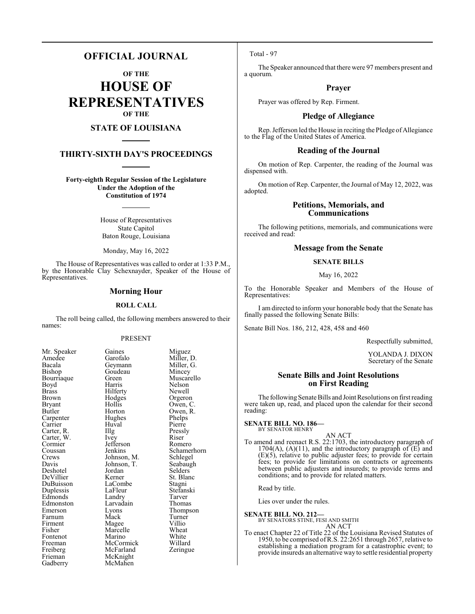# **OFFICIAL JOURNAL**

**OF THE**

**HOUSE OF REPRESENTATIVES OF THE**

# **STATE OF LOUISIANA**

# **THIRTY-SIXTH DAY'S PROCEEDINGS**

**Forty-eighth Regular Session of the Legislature Under the Adoption of the Constitution of 1974**

> House of Representatives State Capitol Baton Rouge, Louisiana

Monday, May 16, 2022

The House of Representatives was called to order at 1:33 P.M., by the Honorable Clay Schexnayder, Speaker of the House of Representatives.

#### **Morning Hour**

#### **ROLL CALL**

The roll being called, the following members answered to their names:

#### PRESENT

Bishop Goudeau<br>Bourriaque Green Brown Hodges<br>Bryant Hollis Cormier Jefferson<br>Coussan Jenkins Edmonston Larvada<br>Emerson Lyons Freiberg McFarland<br>Frieman McKnight Frieman McKnight<br>Gadberry McMahen

Mr. Speaker Gaines Miguez<br>Amedee Garofalo Miller, 1 Amedee Garofalo Miller, D.<br>Bacala Geymann Miller, G. Bacala Geymann Miller, G. Bourriaque Green Muscarello<br>
Boyd Harris Nelson Boyd Harris Nelson Brass Hilferty Newell<br>Brown Hodges Orgeron Bryant Hollis Owen, C.<br>Butler Horton Owen, R. Horton Owen, R.<br>Hughes Phelps Carpenter Hughes Phelps<br>
Carrier Huyal Pierre Carrier Huval Pierre Carter, R. Illg Pressly<br>Carter, W. Ivev Riser Carter, W. Ivey Riser Coussan Jenkins Schamerhorn<br>Crews Johnson, M. Schlegel Crews Johnson, M. Schlegel<br>Davis Johnson, T. Seabaugh Johnson, T.<br>Jordan Selders Deshotel Jordan Selders<br>
DeVillier Kerner St. Blanc DeVillier Kerner St. Blanch<br>DuBuisson LaCombe Stagni LaCombe<br>LaFleur Stefanski Duplessis LaFleur Stefans<br>Edmonds Landry Tarver Edmonds Landry Tarver<br>Edmonston Larvadain Thomas Eyons Thompson<br>
Mack Turner Farnum Mack Turner<br>Firment Magee Villio Firment Magee Villio<br>Fisher Marcelle Wheat Marcelle Wheat<br>
Marino White Fontenot Marino White<br>
Freeman McCormick Willard Freeman McCormick Willard<br>
Freiberg McFarland Zeringue McMahen

Total - 97

The Speaker announced that there were 97 members present and a quorum.

## **Prayer**

Prayer was offered by Rep. Firment.

#### **Pledge of Allegiance**

Rep. Jefferson led the House in reciting the Pledge of Allegiance to the Flag of the United States of America.

#### **Reading of the Journal**

On motion of Rep. Carpenter, the reading of the Journal was dispensed with.

On motion of Rep. Carpenter, the Journal of May 12, 2022, was adopted.

# **Petitions, Memorials, and Communications**

The following petitions, memorials, and communications were received and read:

## **Message from the Senate**

#### **SENATE BILLS**

May 16, 2022

To the Honorable Speaker and Members of the House of Representatives:

I am directed to inform your honorable body that the Senate has finally passed the following Senate Bills:

Senate Bill Nos. 186, 212, 428, 458 and 460

Respectfully submitted,

YOLANDA J. DIXON Secretary of the Senate

## **Senate Bills and Joint Resolutions on First Reading**

The following Senate Bills and Joint Resolutions on first reading were taken up, read, and placed upon the calendar for their second reading:

#### **SENATE BILL NO. 186—** BY SENATOR HENRY

AN ACT

To amend and reenact R.S. 22:1703, the introductory paragraph of 1704(A), (A)(11), and the introductory paragraph of  $\overline{E}$ ) and (E)(5), relative to public adjuster fees; to provide for certain fees; to provide for limitations on contracts or agreements between public adjusters and insureds; to provide terms and conditions; and to provide for related matters.

Read by title.

Lies over under the rules.

## **SENATE BILL NO. 212—**

BY SENATORS STINE, FESI AND SMITH

AN ACT

To enact Chapter 22 of Title 22 of the Louisiana Revised Statutes of 1950, to be comprised ofR.S. 22:2651 through 2657, relative to establishing a mediation program for a catastrophic event; to provide insureds an alternative way to settle residential property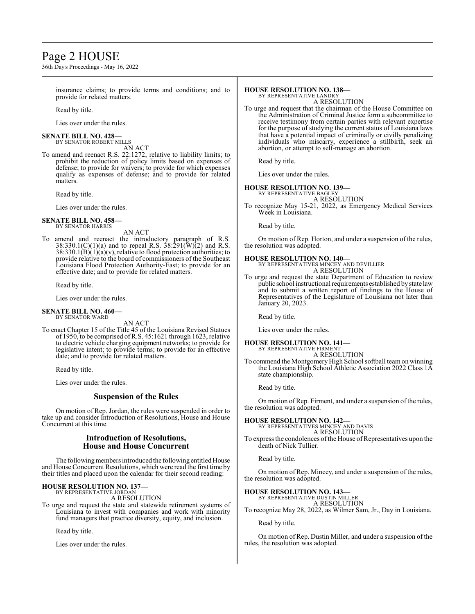# Page 2 HOUSE

36th Day's Proceedings - May 16, 2022

insurance claims; to provide terms and conditions; and to provide for related matters.

Read by title.

Lies over under the rules.

#### **SENATE BILL NO. 428—** BY SENATOR ROBERT MILLS

AN ACT

To amend and reenact R.S. 22:1272, relative to liability limits; to prohibit the reduction of policy limits based on expenses of defense; to provide for waivers; to provide for which expenses qualify as expenses of defense; and to provide for related matters.

Read by title.

Lies over under the rules.

#### **SENATE BILL NO. 458—** BY SENATOR HARRIS

AN ACT

To amend and reenact the introductory paragraph of R.S.  $38:330.1(C)(1)(a)$  and to repeal R.S.  $38:291(\text{W})(2)$  and R.S.  $38:330.1(B)(1)(a)(v)$ , relative to flood protection authorities; to provide relative to the board of commissioners of the Southeast Louisiana Flood Protection Authority-East; to provide for an effective date; and to provide for related matters.

Read by title.

Lies over under the rules.

# **SENATE BILL NO. 460—** BY SENATOR WARD

AN ACT

To enact Chapter 15 of the Title 45 of the Louisiana Revised Statues of 1950, to be comprised ofR.S. 45:1621 through 1623, relative to electric vehicle charging equipment networks; to provide for legislative intent; to provide terms; to provide for an effective date; and to provide for related matters.

Read by title.

Lies over under the rules.

## **Suspension of the Rules**

On motion of Rep. Jordan, the rules were suspended in order to take up and consider Introduction of Resolutions, House and House Concurrent at this time.

## **Introduction of Resolutions, House and House Concurrent**

The following members introduced the following entitled House and House Concurrent Resolutions, which were read the first time by their titles and placed upon the calendar for their second reading:

#### **HOUSE RESOLUTION NO. 137—** BY REPRESENTATIVE JORDAN

A RESOLUTION

To urge and request the state and statewide retirement systems of Louisiana to invest with companies and work with minority fund managers that practice diversity, equity, and inclusion.

Read by title.

Lies over under the rules.

# **HOUSE RESOLUTION NO. 138—**

BY REPRESENTATIVE LANDRY A RESOLUTION

To urge and request that the chairman of the House Committee on the Administration of Criminal Justice form a subcommittee to receive testimony from certain parties with relevant expertise for the purpose of studying the current status of Louisiana laws that have a potential impact of criminally or civilly penalizing individuals who miscarry, experience a stillbirth, seek an abortion, or attempt to self-manage an abortion.

Read by title.

Lies over under the rules.

#### **HOUSE RESOLUTION NO. 139—**

BY REPRESENTATIVE BAGLEY A RESOLUTION

To recognize May 15-21, 2022, as Emergency Medical Services Week in Louisiana.

Read by title.

On motion of Rep. Horton, and under a suspension of the rules, the resolution was adopted.

# **HOUSE RESOLUTION NO. 140—** BY REPRESENTATIVES MINCEY AND DEVILLIER

A RESOLUTION

To urge and request the state Department of Education to review public school instructional requirements established by state law and to submit a written report of findings to the House of Representatives of the Legislature of Louisiana not later than January 20, 2023.

Read by title.

Lies over under the rules.

**HOUSE RESOLUTION NO. 141—** BY REPRESENTATIVE FIRMENT A RESOLUTION

To commend the Montgomery High School softball teamon winning the Louisiana High School Athletic Association 2022 Class 1A state championship.

Read by title.

On motion of Rep. Firment, and under a suspension of the rules, the resolution was adopted.

**HOUSE RESOLUTION NO. 142—** BY REPRESENTATIVES MINCEY AND DAVIS A RESOLUTION

To express the condolences of the House of Representatives upon the death of Nick Tullier.

Read by title.

On motion of Rep. Mincey, and under a suspension of the rules, the resolution was adopted.

#### **HOUSE RESOLUTION NO. 143—**

BY REPRESENTATIVE DUSTIN MILLER A RESOLUTION

To recognize May 28, 2022, as Wilmer Sam, Jr., Day in Louisiana.

Read by title.

On motion of Rep. Dustin Miller, and under a suspension of the rules, the resolution was adopted.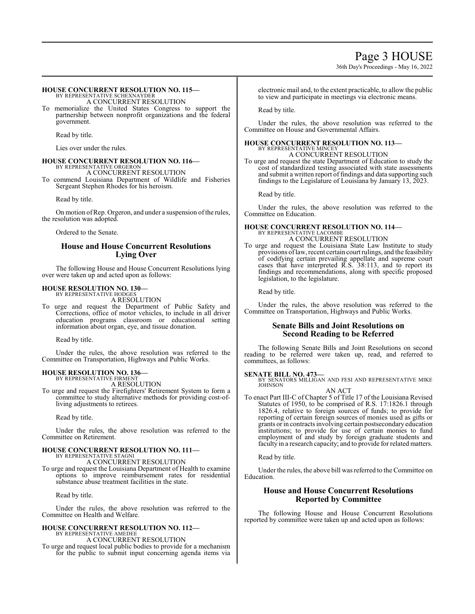36th Day's Proceedings - May 16, 2022

#### **HOUSE CONCURRENT RESOLUTION NO. 115—** BY REPRESENTATIVE SCHEXNAYDER

A CONCURRENT RESOLUTION

To memorialize the United States Congress to support the partnership between nonprofit organizations and the federal government.

Read by title.

Lies over under the rules.

#### **HOUSE CONCURRENT RESOLUTION NO. 116—** BY REPRESENTATIVE ORGERON

A CONCURRENT RESOLUTION

To commend Louisiana Department of Wildlife and Fisheries Sergeant Stephen Rhodes for his heroism.

Read by title.

On motion of Rep. Orgeron, and under a suspension of the rules, the resolution was adopted.

Ordered to the Senate.

# **House and House Concurrent Resolutions Lying Over**

The following House and House Concurrent Resolutions lying over were taken up and acted upon as follows:

# **HOUSE RESOLUTION NO. 130—** BY REPRESENTATIVE HODGES

A RESOLUTION

To urge and request the Department of Public Safety and Corrections, office of motor vehicles, to include in all driver education programs classroom or educational setting information about organ, eye, and tissue donation.

Read by title.

Under the rules, the above resolution was referred to the Committee on Transportation, Highways and Public Works.

#### **HOUSE RESOLUTION NO. 136—**

BY REPRESENTATIVE FIRMENT A RESOLUTION

To urge and request the Firefighters' Retirement System to form a committee to study alternative methods for providing cost-ofliving adjustments to retirees.

Read by title.

Under the rules, the above resolution was referred to the Committee on Retirement.

#### **HOUSE CONCURRENT RESOLUTION NO. 111—** BY REPRESENTATIVE STAGNI

A CONCURRENT RESOLUTION To urge and request the Louisiana Department of Health to examine options to improve reimbursement rates for residential substance abuse treatment facilities in the state.

Read by title.

Under the rules, the above resolution was referred to the Committee on Health and Welfare.

#### **HOUSE CONCURRENT RESOLUTION NO. 112—** BY REPRESENTATIVE AMEDEE A CONCURRENT RESOLUTION

To urge and request local public bodies to provide for a mechanism for the public to submit input concerning agenda items via electronic mail and, to the extent practicable, to allow the public to view and participate in meetings via electronic means.

Read by title.

Under the rules, the above resolution was referred to the Committee on House and Governmental Affairs.

#### **HOUSE CONCURRENT RESOLUTION NO. 113—** BY REPRESENTATIVE MINCEY

A CONCURRENT RESOLUTION

To urge and request the state Department of Education to study the cost of standardized testing associated with state assessments and submit a written report of findings and data supporting such findings to the Legislature of Louisiana by January 13, 2023.

Read by title.

Under the rules, the above resolution was referred to the Committee on Education.

#### **HOUSE CONCURRENT RESOLUTION NO. 114—** BY REPRESENTATIVE LACOMBE A CONCURRENT RESOLUTION

To urge and request the Louisiana State Law Institute to study provisions oflaw, recent certain court rulings, and the feasibility of codifying certain prevailing appellate and supreme court cases that have interpreted R.S. 38:113, and to report its findings and recommendations, along with specific proposed legislation, to the legislature.

Read by title.

Under the rules, the above resolution was referred to the Committee on Transportation, Highways and Public Works.

## **Senate Bills and Joint Resolutions on Second Reading to be Referred**

The following Senate Bills and Joint Resolutions on second reading to be referred were taken up, read, and referred to committees, as follows:

#### **SENATE BILL NO. 473—**

BY SENATORS MILLIGAN AND FESI AND REPRESENTATIVE MIKE JOHNSON AN ACT

To enact Part III-C of Chapter 5 of Title 17 of the Louisiana Revised Statutes of 1950, to be comprised of R.S. 17:1826.1 through 1826.4, relative to foreign sources of funds; to provide for reporting of certain foreign sources of monies used as gifts or grants or in contracts involving certain postsecondary education institutions; to provide for use of certain monies to fund employment of and study by foreign graduate students and faculty in a research capacity; and to provide for related matters.

Read by title.

Under the rules, the above bill was referred to the Committee on Education.

## **House and House Concurrent Resolutions Reported by Committee**

The following House and House Concurrent Resolutions reported by committee were taken up and acted upon as follows: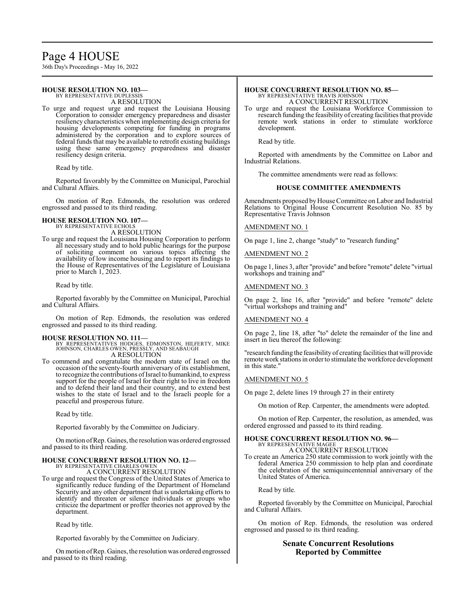# Page 4 HOUSE

36th Day's Proceedings - May 16, 2022

#### **HOUSE RESOLUTION NO. 103—** BY REPRESENTATIVE DUPLESSIS

A RESOLUTION

To urge and request urge and request the Louisiana Housing Corporation to consider emergency preparedness and disaster resiliency characteristics when implementing design criteria for housing developments competing for funding in programs administered by the corporation and to explore sources of federal funds that may be available to retrofit existing buildings using these same emergency preparedness and disaster resiliency design criteria.

Read by title.

Reported favorably by the Committee on Municipal, Parochial and Cultural Affairs.

On motion of Rep. Edmonds, the resolution was ordered engrossed and passed to its third reading.

#### **HOUSE RESOLUTION NO. 107—** BY REPRESENTATIVE ECHOLS

A RESOLUTION

To urge and request the Louisiana Housing Corporation to perform all necessary study and to hold public hearings for the purpose of soliciting comment on various topics affecting the availability of low income housing and to report its findings to the House of Representatives of the Legislature of Louisiana prior to March 1, 2023.

Read by title.

Reported favorably by the Committee on Municipal, Parochial and Cultural Affairs.

On motion of Rep. Edmonds, the resolution was ordered engrossed and passed to its third reading.

**HOUSE RESOLUTION NO. 111—**<br>BY REPRESENTATIVES HODGES, EDMONSTON, HILFERTY, MIKE<br>JOHNSON, CHARLES OWEN, PRESSLY, AND SEABAUGH<br>A RESOLUTION

To commend and congratulate the modern state of Israel on the occasion of the seventy-fourth anniversary of its establishment, to recognize the contributions of Israel to humankind, to express support for the people of Israel for their right to live in freedom and to defend their land and their country, and to extend best wishes to the state of Israel and to the Israeli people for a peaceful and prosperous future.

Read by title.

Reported favorably by the Committee on Judiciary.

Onmotion ofRep. Gaines, the resolution was ordered engrossed and passed to its third reading.

#### **HOUSE CONCURRENT RESOLUTION NO. 12—** BY REPRESENTATIVE CHARLES OWEN

A CONCURRENT RESOLUTION

To urge and request the Congress of the United States of America to significantly reduce funding of the Department of Homeland Security and any other department that is undertaking efforts to identify and threaten or silence individuals or groups who criticize the department or proffer theories not approved by the department.

Read by title.

Reported favorably by the Committee on Judiciary.

On motion ofRep. Gaines, the resolution was ordered engrossed and passed to its third reading.

#### **HOUSE CONCURRENT RESOLUTION NO. 85—** BY REPRESENTATIVE TRAVIS JOHNSON

A CONCURRENT RESOLUTION

To urge and request the Louisiana Workforce Commission to research funding the feasibility of creating facilities that provide remote work stations in order to stimulate workforce development.

Read by title.

Reported with amendments by the Committee on Labor and Industrial Relations.

The committee amendments were read as follows:

#### **HOUSE COMMITTEE AMENDMENTS**

Amendments proposed by House Committee on Labor and Industrial Relations to Original House Concurrent Resolution No. 85 by Representative Travis Johnson

#### AMENDMENT NO. 1

On page 1, line 2, change "study" to "research funding"

#### AMENDMENT NO. 2

On page 1, lines 3, after "provide" and before "remote" delete "virtual workshops and training and"

#### AMENDMENT NO. 3

On page 2, line 16, after "provide" and before "remote" delete "virtual workshops and training and"

#### AMENDMENT NO. 4

On page 2, line 18, after "to" delete the remainder of the line and insert in lieu thereof the following:

"research funding the feasibility of creating facilities that will provide remote work stations in order to stimulate theworkforce development in this state."

#### AMENDMENT NO. 5

On page 2, delete lines 19 through 27 in their entirety

On motion of Rep. Carpenter, the amendments were adopted.

On motion of Rep. Carpenter, the resolution, as amended, was ordered engrossed and passed to its third reading.

#### **HOUSE CONCURRENT RESOLUTION NO. 96—** BY REPRESENTATIVE MAGEE A CONCURRENT RESOLUTION

To create an America 250 state commission to work jointly with the federal America 250 commission to help plan and coordinate the celebration of the semiquincentennial anniversary of the United States of America.

Read by title.

Reported favorably by the Committee on Municipal, Parochial and Cultural Affairs.

On motion of Rep. Edmonds, the resolution was ordered engrossed and passed to its third reading.

## **Senate Concurrent Resolutions Reported by Committee**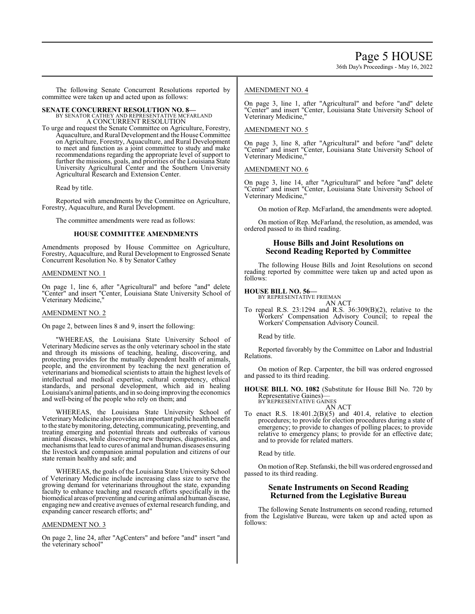36th Day's Proceedings - May 16, 2022

The following Senate Concurrent Resolutions reported by committee were taken up and acted upon as follows:

# **SENATE CONCURRENT RESOLUTION NO. 8—** BY SENATOR CATHEY AND REPRESENTATIVE MCFARLAND A CONCURRENT RESOLUTION

To urge and request the Senate Committee on Agriculture, Forestry, Aquaculture, and Rural Development and the House Committee on Agriculture, Forestry, Aquaculture, and Rural Development to meet and function as a joint committee to study and make recommendations regarding the appropriate level of support to further the missions, goals, and priorities of the Louisiana State University Agricultural Center and the Southern University Agricultural Research and Extension Center.

Read by title.

Reported with amendments by the Committee on Agriculture, Forestry, Aquaculture, and Rural Development.

The committee amendments were read as follows:

#### **HOUSE COMMITTEE AMENDMENTS**

Amendments proposed by House Committee on Agriculture, Forestry, Aquaculture, and Rural Development to Engrossed Senate Concurrent Resolution No. 8 by Senator Cathey

#### AMENDMENT NO. 1

On page 1, line 6, after "Agricultural" and before "and" delete "Center" and insert "Center, Louisiana State University School of Veterinary Medicine,"

## AMENDMENT NO. 2

On page 2, between lines 8 and 9, insert the following:

"WHEREAS, the Louisiana State University School of Veterinary Medicine serves as the only veterinary school in the state and through its missions of teaching, healing, discovering, and protecting provides for the mutually dependent health of animals, people, and the environment by teaching the next generation of veterinarians and biomedical scientists to attain the highest levels of intellectual and medical expertise, cultural competency, ethical standards, and personal development, which aid in healing Louisiana's animal patients, and in so doing improving the economics and well-being of the people who rely on them; and

WHEREAS, the Louisiana State University School of Veterinary Medicine also provides an important public health benefit to the state bymonitoring, detecting, communicating, preventing, and treating emerging and potential threats and outbreaks of various animal diseases, while discovering new therapies, diagnostics, and mechanismsthat lead to cures of animal and human diseases ensuring the livestock and companion animal population and citizens of our state remain healthy and safe; and

WHEREAS, the goals of the Louisiana State University School of Veterinary Medicine include increasing class size to serve the growing demand for veterinarians throughout the state, expanding faculty to enhance teaching and research efforts specifically in the biomedical areas of preventing and curing animal and human disease, engaging new and creative avenues of external research funding, and expanding cancer research efforts; and"

#### AMENDMENT NO. 3

On page 2, line 24, after "AgCenters" and before "and" insert "and the veterinary school"

#### AMENDMENT NO. 4

On page 3, line 1, after "Agricultural" and before "and" delete "Center" and insert "Center, Louisiana State University School of Veterinary Medicine,"

#### AMENDMENT NO. 5

On page 3, line 8, after "Agricultural" and before "and" delete "Center" and insert "Center, Louisiana State University School of Veterinary Medicine,"

#### AMENDMENT NO. 6

On page 3, line 14, after "Agricultural" and before "and" delete "Center" and insert "Center, Louisiana State University School of Veterinary Medicine,"

On motion of Rep. McFarland, the amendments were adopted.

On motion of Rep. McFarland, the resolution, as amended, was ordered passed to its third reading.

## **House Bills and Joint Resolutions on Second Reading Reported by Committee**

The following House Bills and Joint Resolutions on second reading reported by committee were taken up and acted upon as follows:

#### **HOUSE BILL NO. 56—**

BY REPRESENTATIVE FRIEMAN AN ACT

To repeal R.S. 23:1294 and R.S. 36:309(B)(2), relative to the Workers' Compensation Advisory Council; to repeal the Workers' Compensation Advisory Council.

Read by title.

Reported favorably by the Committee on Labor and Industrial Relations.

On motion of Rep. Carpenter, the bill was ordered engrossed and passed to its third reading.

**HOUSE BILL NO. 1082** (Substitute for House Bill No. 720 by Representative Gaines)— BY REPRESENTATIVE GAINES

AN ACT

To enact R.S. 18:401.2(B)(5) and 401.4, relative to election procedures; to provide for election procedures during a state of emergency; to provide to changes of polling places; to provide relative to emergency plans; to provide for an effective date; and to provide for related matters.

Read by title.

On motion ofRep. Stefanski, the bill was ordered engrossed and passed to its third reading.

## **Senate Instruments on Second Reading Returned from the Legislative Bureau**

The following Senate Instruments on second reading, returned from the Legislative Bureau, were taken up and acted upon as follows: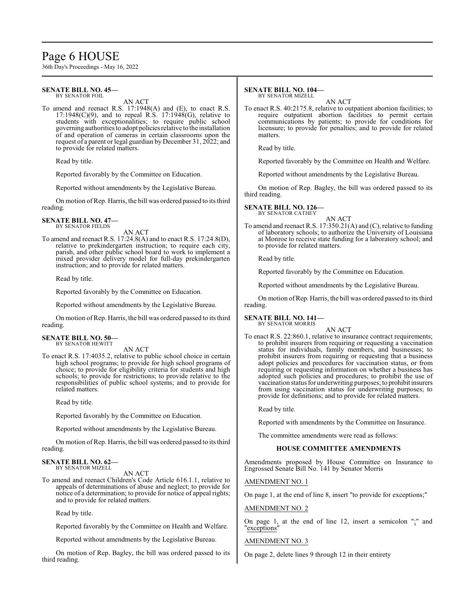# Page 6 HOUSE

36th Day's Proceedings - May 16, 2022

#### **SENATE BILL NO. 45—** BY SENATOR FOIL

AN ACT

To amend and reenact R.S. 17:1948(A) and (E), to enact R.S.  $17:1948(C)(9)$ , and to repeal R.S.  $17:1948(G)$ , relative to students with exceptionalities; to require public school governing authorities to adopt policies relative to the installation of and operation of cameras in certain classrooms upon the request of a parent or legal guardian by December 31, 2022; and to provide for related matters.

Read by title.

Reported favorably by the Committee on Education.

Reported without amendments by the Legislative Bureau.

On motion ofRep. Harris, the bill was ordered passed to its third reading.

**SENATE BILL NO. 47—** BY SENATOR FIELDS

AN ACT

To amend and reenact R.S. 17:24.8(A) and to enact R.S. 17:24.8(D), relative to prekindergarten instruction; to require each city, parish, and other public school board to work to implement a mixed provider delivery model for full-day prekindergarten instruction; and to provide for related matters.

Read by title.

Reported favorably by the Committee on Education.

Reported without amendments by the Legislative Bureau.

On motion ofRep. Harris, the bill was ordered passed to its third reading.

#### **SENATE BILL NO. 50—** BY SENATOR HEWITT

AN ACT

To enact R.S. 17:4035.2, relative to public school choice in certain high school programs; to provide for high school programs of choice; to provide for eligibility criteria for students and high schools; to provide for restrictions; to provide relative to the responsibilities of public school systems; and to provide for related matters.

Read by title.

Reported favorably by the Committee on Education.

Reported without amendments by the Legislative Bureau.

On motion ofRep. Harris, the bill was ordered passed to its third reading.

**SENATE BILL NO. 62—**

BY SENATOR MIZELL AN ACT

To amend and reenact Children's Code Article 616.1.1, relative to appeals of determinations of abuse and neglect; to provide for notice of a determination; to provide for notice of appeal rights; and to provide for related matters.

Read by title.

Reported favorably by the Committee on Health and Welfare.

Reported without amendments by the Legislative Bureau.

On motion of Rep. Bagley, the bill was ordered passed to its third reading.

#### **SENATE BILL NO. 104—** BY SENATOR MIZELL

AN ACT

To enact R.S. 40:2175.8, relative to outpatient abortion facilities; to require outpatient abortion facilities to permit certain communications by patients; to provide for conditions for licensure; to provide for penalties; and to provide for related matters.

Read by title.

Reported favorably by the Committee on Health and Welfare.

Reported without amendments by the Legislative Bureau.

On motion of Rep. Bagley, the bill was ordered passed to its third reading.

# **SENATE BILL NO. 126—** BY SENATOR CATHEY

AN ACT To amend and reenact R.S. 17:350.21(A) and (C), relative to funding of laboratory schools; to authorize the University of Louisiana at Monroe to receive state funding for a laboratory school; and to provide for related matters.

Read by title.

Reported favorably by the Committee on Education.

Reported without amendments by the Legislative Bureau.

On motion ofRep. Harris, the bill was ordered passed to its third reading.

# **SENATE BILL NO. 141—** BY SENATOR MORRIS

AN ACT

To enact R.S. 22:860.1, relative to insurance contract requirements; to prohibit insurers from requiring or requesting a vaccination status for individuals, family members, and businesses; to prohibit insurers from requiring or requesting that a business adopt policies and procedures for vaccination status, or from requiring or requesting information on whether a business has adopted such policies and procedures; to prohibit the use of vaccination status for underwriting purposes; to prohibit insurers from using vaccination status for underwriting purposes; to provide for definitions; and to provide for related matters.

Read by title.

Reported with amendments by the Committee on Insurance.

The committee amendments were read as follows:

## **HOUSE COMMITTEE AMENDMENTS**

Amendments proposed by House Committee on Insurance to Engrossed Senate Bill No. 141 by Senator Morris

AMENDMENT NO. 1

On page 1, at the end of line 8, insert "to provide for exceptions;"

AMENDMENT NO. 2

On page 1, at the end of line 12, insert a semicolon ";" and "exceptions"

## AMENDMENT NO. 3

On page 2, delete lines 9 through 12 in their entirety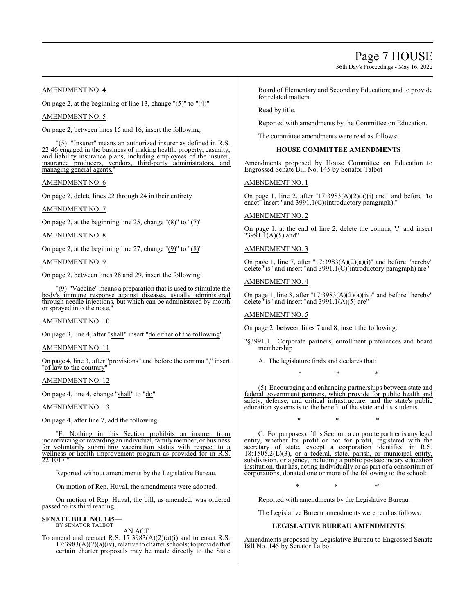# Page 7 HOUSE

36th Day's Proceedings - May 16, 2022

## AMENDMENT NO. 4

On page 2, at the beginning of line 13, change "(5)" to "(4)"

#### AMENDMENT NO. 5

On page 2, between lines 15 and 16, insert the following:

"(5) "Insurer" means an authorized insurer as defined in R.S. 22:46 engaged in the business of making health, property, casualty, and liability insurance plans, including employees of the insurer, insurance producers, vendors, third-party administrators, and managing general agents."

#### AMENDMENT NO. 6

On page 2, delete lines 22 through 24 in their entirety

#### AMENDMENT NO. 7

On page 2, at the beginning line 25, change  $\Gamma(8)$ " to  $\Gamma(7)$ "

#### AMENDMENT NO. 8

On page 2, at the beginning line 27, change " $(9)$ " to " $(8)$ "

#### AMENDMENT NO. 9

On page 2, between lines 28 and 29, insert the following:

"(9) "Vaccine" means a preparation that is used to stimulate the body's immune response against diseases, usually administered through needle injections, but which can be administered by mouth or sprayed into the nose.

#### AMENDMENT NO. 10

On page 3, line 4, after "shall" insert "do either of the following"

#### AMENDMENT NO. 11

On page 4, line 3, after "provisions" and before the comma "," insert "of law to the contrary"

## AMENDMENT NO. 12

On page 4, line 4, change "shall" to "do"

#### AMENDMENT NO. 13

On page 4, after line 7, add the following:

"F. Nothing in this Section prohibits an insurer from incentivizing or rewarding an individual, family member, or business for voluntarily submitting vaccination status with respect to a wellness or health improvement program as provided for in R.S. 22:1017.

Reported without amendments by the Legislative Bureau.

On motion of Rep. Huval, the amendments were adopted.

On motion of Rep. Huval, the bill, as amended, was ordered passed to its third reading.

#### **SENATE BILL NO. 145—** BY SENATOR TALBOT

AN ACT

To amend and reenact R.S.  $17:3983(A)(2)(a)(i)$  and to enact R.S.  $17:3983(A)(2)(a)(iv)$ , relative to charter schools; to provide that certain charter proposals may be made directly to the State

Board of Elementary and Secondary Education; and to provide for related matters.

Read by title.

Reported with amendments by the Committee on Education.

The committee amendments were read as follows:

## **HOUSE COMMITTEE AMENDMENTS**

Amendments proposed by House Committee on Education to Engrossed Senate Bill No. 145 by Senator Talbot

#### AMENDMENT NO. 1

On page 1, line 2, after "17:3983(A)(2)(a)(i) and" and before "to enact" insert "and 3991.1(C)(introductory paragraph),"

## AMENDMENT NO. 2

On page 1, at the end of line 2, delete the comma "," and insert  $"3991.\tilde{1}(A)(5)$  and"

## AMENDMENT NO. 3

On page 1, line 7, after "17:3983(A)(2)(a)(i)" and before "hereby" delete "is" and insert "and 3991.1(C)(introductory paragraph) are"

## AMENDMENT NO. 4

On page 1, line 8, after "17:3983(A)(2)(a)(iv)" and before "hereby" delete "is" and insert "and 3991.1( $\vec{A}$ )(5) are"

#### AMENDMENT NO. 5

On page 2, between lines 7 and 8, insert the following:

- "§3991.1. Corporate partners; enrollment preferences and board membership
	- A. The legislature finds and declares that:
		- \* \* \*

(5) Encouraging and enhancing partnerships between state and federal government partners, which provide for public health and safety, defense, and critical infrastructure, and the state's public education systems is to the benefit of the state and its students.

\* \* \*

C. For purposes of this Section, a corporate partner is any legal entity, whether for profit or not for profit, registered with the secretary of state, except a corporation identified in R.S.  $18:1505.2(L)(3)$ , or a federal, state, parish, or municipal entity, subdivision, or agency, including a public postsecondary education institution, that has, acting individually or as part of a consortium of corporations, donated one or more of the following to the school:

 $*$  \*  $*$  \*  $*$  \*

Reported with amendments by the Legislative Bureau.

The Legislative Bureau amendments were read as follows:

## **LEGISLATIVE BUREAU AMENDMENTS**

Amendments proposed by Legislative Bureau to Engrossed Senate Bill No. 145 by Senator Talbot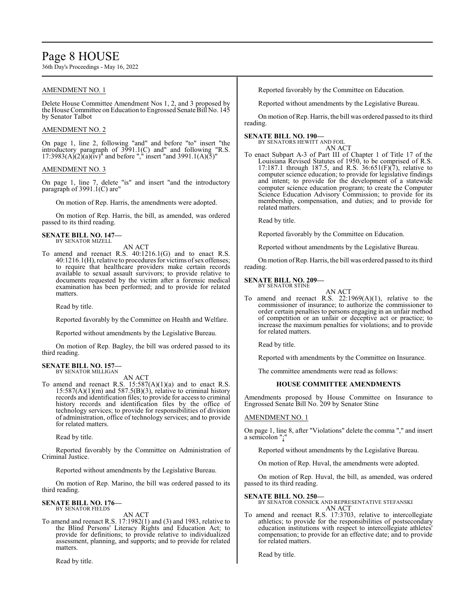# Page 8 HOUSE

36th Day's Proceedings - May 16, 2022

## AMENDMENT NO. 1

Delete House Committee Amendment Nos 1, 2, and 3 proposed by the House Committee on Education to Engrossed Senate Bill No. 145 by Senator Talbot

#### AMENDMENT NO. 2

On page 1, line 2, following "and" and before "to" insert "the introductory paragraph of 3991.1(C) and" and following "R.S.  $17:3983(A)(2)(a)(iv)^n$  and before "," insert "and 3991.1(A)(5)"

#### AMENDMENT NO. 3

On page 1, line 7, delete "is" and insert "and the introductory paragraph of 3991.1(C) are"

On motion of Rep. Harris, the amendments were adopted.

On motion of Rep. Harris, the bill, as amended, was ordered passed to its third reading.

#### **SENATE BILL NO. 147—** BY SENATOR MIZELL

AN ACT

To amend and reenact R.S. 40:1216.1(G) and to enact R.S. 40:1216.1(H), relative to procedures for victims of sex offenses; to require that healthcare providers make certain records available to sexual assault survivors; to provide relative to documents requested by the victim after a forensic medical examination has been performed; and to provide for related matters.

Read by title.

Reported favorably by the Committee on Health and Welfare.

Reported without amendments by the Legislative Bureau.

On motion of Rep. Bagley, the bill was ordered passed to its third reading.

## **SENATE BILL NO. 157—**

BY SENATOR MILLIGAN AN ACT

To amend and reenact R.S.  $15:587(A)(1)(a)$  and to enact R.S.  $15:587(A)(1)(m)$  and  $587.5(B)(3)$ , relative to criminal history records and identification files; to provide for access to criminal history records and identification files by the office of technology services; to provide for responsibilities of division of administration, office of technology services; and to provide for related matters.

Read by title.

Reported favorably by the Committee on Administration of Criminal Justice.

Reported without amendments by the Legislative Bureau.

On motion of Rep. Marino, the bill was ordered passed to its third reading.

#### **SENATE BILL NO. 176—** BY SENATOR FIELDS

AN ACT

To amend and reenact R.S. 17:1982(1) and (3) and 1983, relative to the Blind Persons' Literacy Rights and Education Act; to provide for definitions; to provide relative to individualized assessment, planning, and supports; and to provide for related matters.

Read by title.

Reported favorably by the Committee on Education.

Reported without amendments by the Legislative Bureau.

On motion of Rep. Harris, the bill was ordered passed to its third reading.

#### **SENATE BILL NO. 190—**

BY SENATORS HEWITT AND FOIL AN ACT

To enact Subpart A-3 of Part III of Chapter 1 of Title 17 of the Louisiana Revised Statutes of 1950, to be comprised of R.S. 17:187.1 through 187.5, and R.S.  $36:651(F)(7)$ , relative to computer science education; to provide for legislative findings and intent; to provide for the development of a statewide computer science education program; to create the Computer Science Education Advisory Commission; to provide for its membership, compensation, and duties; and to provide for related matters.

Read by title.

Reported favorably by the Committee on Education.

Reported without amendments by the Legislative Bureau.

On motion ofRep. Harris, the bill was ordered passed to its third reading.

#### **SENATE BILL NO. 209—** BY SENATOR STINE



To amend and reenact R.S.  $22:1969(A)(1)$ , relative to the commissioner of insurance; to authorize the commissioner to order certain penalties to persons engaging in an unfair method of competition or an unfair or deceptive act or practice; to increase the maximum penalties for violations; and to provide for related matters.

Read by title.

Reported with amendments by the Committee on Insurance.

The committee amendments were read as follows:

## **HOUSE COMMITTEE AMENDMENTS**

Amendments proposed by House Committee on Insurance to Engrossed Senate Bill No. 209 by Senator Stine

#### AMENDMENT NO. 1

On page 1, line 8, after "Violations" delete the comma "," and insert a semicolon ";"

Reported without amendments by the Legislative Bureau.

On motion of Rep. Huval, the amendments were adopted.

On motion of Rep. Huval, the bill, as amended, was ordered passed to its third reading.

#### **SENATE BILL NO. 250—**

BY SENATOR CONNICK AND REPRESENTATIVE STEFANSKI AN ACT

To amend and reenact R.S. 17:3703, relative to intercollegiate athletics; to provide for the responsibilities of postsecondary education institutions with respect to intercollegiate athletes' compensation; to provide for an effective date; and to provide for related matters.

Read by title.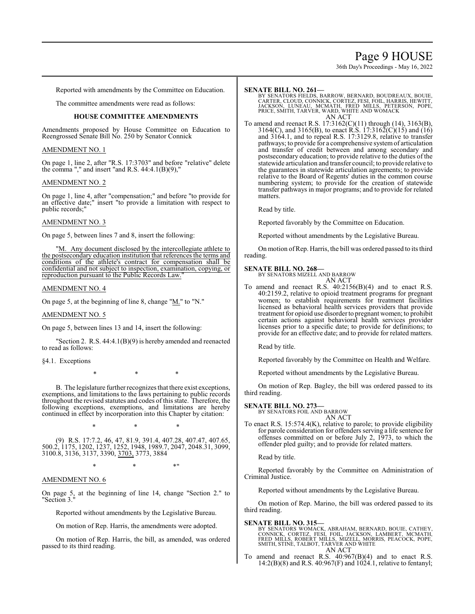# Page 9 HOUSE

36th Day's Proceedings - May 16, 2022

Reported with amendments by the Committee on Education.

The committee amendments were read as follows:

#### **HOUSE COMMITTEE AMENDMENTS**

Amendments proposed by House Committee on Education to Reengrossed Senate Bill No. 250 by Senator Connick

#### AMENDMENT NO. 1

On page 1, line 2, after "R.S. 17:3703" and before "relative" delete the comma "," and insert "and R.S.  $44:4.1(B)(9)$ ,"

#### AMENDMENT NO. 2

On page 1, line 4, after "compensation;" and before "to provide for an effective date;" insert "to provide a limitation with respect to public records;"

#### AMENDMENT NO. 3

On page 5, between lines 7 and 8, insert the following:

"M. Any document disclosed by the intercollegiate athlete to the postsecondary education institution that references the terms and conditions of the athlete's contract for compensation shall be confidential and not subject to inspection, examination, copying, or reproduction pursuant to the Public Records Law.

#### AMENDMENT NO. 4

On page 5, at the beginning of line 8, change "M." to "N."

#### AMENDMENT NO. 5

On page 5, between lines 13 and 14, insert the following:

"Section 2. R.S. 44:4.1(B)(9) is hereby amended and reenacted to read as follows:

§4.1. Exceptions

\* \* \*

B. The legislature further recognizes that there exist exceptions, exemptions, and limitations to the laws pertaining to public records throughout the revised statutes and codes of this state. Therefore, the following exceptions, exemptions, and limitations are hereby continued in effect by incorporation into this Chapter by citation:

\* \* \*

(9) R.S. 17:7.2, 46, 47, 81.9, 391.4, 407.28, 407.47, 407.65, 500.2, 1175, 1202, 1237, 1252, 1948, 1989.7, 2047, 2048.31, 3099, 3100.8, 3136, 3137, 3390, 3703, 3773, 3884

 $*$  \*  $*$  \*

#### AMENDMENT NO. 6

On page 5, at the beginning of line 14, change "Section 2." to "Section 3."

Reported without amendments by the Legislative Bureau.

On motion of Rep. Harris, the amendments were adopted.

On motion of Rep. Harris, the bill, as amended, was ordered passed to its third reading.

#### **SENATE BILL NO. 261—**

BY SENATORS FIELDS, BARROW, BERNARD, BOUDREAUX, BOUIE,<br>CARTER, CLOUD, CONNICK, CORTEZ, FESI, FOIL, HARRIS, HEWITT,<br>JACKSON, LUNEAU, MCMATH, FRED MILLS, PETERSON, POPE,<br>PRICE, SMITH, TARVER, WARD, WHITE AND WOMACK<br>AN ACT

To amend and reenact R.S. 17:3162(C)(11) through (14), 3163(B), 3164(C), and 3165(B), to enact R.S. 17:3162(C)(15) and (16) and 3164.1, and to repeal R.S. 17:3129.8, relative to transfer pathways; to provide for a comprehensive systemof articulation and transfer of credit between and among secondary and postsecondary education; to provide relative to the duties of the statewide articulation and transfer council; to provide relative to the guarantees in statewide articulation agreements; to provide relative to the Board of Regents' duties in the common course numbering system; to provide for the creation of statewide transfer pathways in major programs; and to provide for related matters.

Read by title.

Reported favorably by the Committee on Education.

Reported without amendments by the Legislative Bureau.

On motion ofRep. Harris, the bill was ordered passed to its third reading.

#### **SENATE BILL NO. 268—**

BY SENATORS MIZELL AND BARROW AN ACT

To amend and reenact R.S. 40:2156(B)(4) and to enact R.S. 40:2159.2, relative to opioid treatment programs for pregnant women; to establish requirements for treatment facilities licensed as behavioral health services providers that provide treatment for opioid use disorder to pregnant women; to prohibit certain actions against behavioral health services provider licenses prior to a specific date; to provide for definitions; to provide for an effective date; and to provide for related matters.

Read by title.

Reported favorably by the Committee on Health and Welfare.

Reported without amendments by the Legislative Bureau.

On motion of Rep. Bagley, the bill was ordered passed to its third reading.

# **SENATE BILL NO. 273—** BY SENATORS FOIL AND BARROW

AN ACT

To enact R.S. 15:574.4(K), relative to parole; to provide eligibility for parole consideration for offenders serving a life sentence for offenses committed on or before July 2, 1973, to which the offender pled guilty; and to provide for related matters.

Read by title.

Reported favorably by the Committee on Administration of Criminal Justice.

Reported without amendments by the Legislative Bureau.

On motion of Rep. Marino, the bill was ordered passed to its third reading.

#### **SENATE BILL NO. 315—**

BY SENATORS WOMACK, ABRAHAM, BERNARD, BOUIE, CATHEY,<br>CONNICK, CORTEZ, FESI, FOIL, JACKSON, LAMBERT, MCMATH,<br>FRED MILLS, ROBERT MILLS, MIZELL, MORRIS, PEACOCK, POPE, SMITH, STINE, TALBOT, TARVER AND WHITE AN ACT

To amend and reenact R.S. 40:967(B)(4) and to enact R.S. 14:2(B)(8) and R.S.  $40:967(F)$  and 1024.1, relative to fentanyl;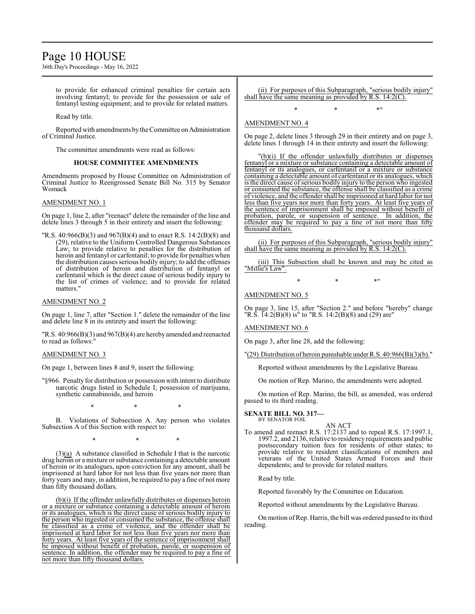# Page 10 HOUSE

36th Day's Proceedings - May 16, 2022

to provide for enhanced criminal penalties for certain acts involving fentanyl; to provide for the possession or sale of fentanyl testing equipment; and to provide for related matters.

Read by title.

Reported with amendments by the Committee on Administration of Criminal Justice.

The committee amendments were read as follows:

#### **HOUSE COMMITTEE AMENDMENTS**

Amendments proposed by House Committee on Administration of Criminal Justice to Reengrossed Senate Bill No. 315 by Senator Womack

#### AMENDMENT NO. 1

On page 1, line 2, after "reenact" delete the remainder of the line and delete lines 3 through 5 in their entirety and insert the following:

"R.S. 40:966(B)(3) and 967(B)(4) and to enact R.S. 14:2(B)(8) and (29), relative to the Uniform Controlled Dangerous Substances Law; to provide relative to penalties for the distribution of heroin and fentanyl or carfentanil; to provide for penalties when the distribution causes serious bodily injury; to add the offenses of distribution of heroin and distribution of fentanyl or carfentanil which is the direct cause of serious bodily injury to the list of crimes of violence; and to provide for related matters."

#### AMENDMENT NO. 2

On page 1, line 7, after "Section 1." delete the remainder of the line and delete line 8 in its entirety and insert the following:

"R.S. 40:966(B)(3) and 967(B)(4) are hereby amended and reenacted to read as follows:"

#### AMENDMENT NO. 3

On page 1, between lines 8 and 9, insert the following:

"§966. Penalty for distribution or possession with intent to distribute narcotic drugs listed in Schedule I; possession of marijuana, synthetic cannabinoids, and heroin

\* \* \*

B. Violations of Subsection A. Any person who violates Subsection A of this Section with respect to:

\* \* \*

(3)(a) A substance classified in Schedule I that is the narcotic drug heroin or a mixture or substance containing a detectable amount of heroin or its analogues, upon conviction for any amount, shall be imprisoned at hard labor for not less than five years nor more than forty years and may, in addition, be required to pay a fine of not more than fifty thousand dollars.

(b)(i) If the offender unlawfully distributes or dispenses heroin or a mixture or substance containing a detectable amount of heroin or its analogues, which is the direct cause of serious bodily injury to the person who ingested or consumed the substance, the offense shall be classified as a crime of violence, and the offender shall be imprisoned at hard labor for not less than five years nor more than forty years. At least five years of the sentence of imprisonment shall be imposed without benefit of probation, parole, or suspension of sentence. In addition, the offender may be required to pay a fine of not more than fifty thousand dollars.

(ii) For purposes of this Subparagraph, "serious bodily injury" shall have the same meaning as provided by R.S. 14:2(C).

 $*$  \*  $*$  \*

## AMENDMENT NO. 4

On page 2, delete lines 3 through 29 in their entirety and on page 3, delete lines 1 through 14 in their entirety and insert the following:

"(b)(i) If the offender unlawfully distributes or dispenses fentanyl or a mixture or substance containing a detectable amount of fentanyl or its analogues, or carfentanil or a mixture or substance containing a detectable amount of carfentanil or its analogues, which is the direct cause of serious bodily injury to the person who ingested or consumed the substance, the offense shall be classified as a crime of violence, and the offender shall be imprisoned at hard labor for not less than five years nor more than forty years. At least five years of the sentence of imprisonment shall be imposed without benefit of probation, parole, or suspension of sentence. In addition, the probation, parole, or suspension of sentence. offender may be required to pay a fine of not more than fifty thousand dollars.

(ii) For purposes of this Subparagraph, "serious bodily injury" shall have the same meaning as provided by R.S. 14:2(C).

(iii) This Subsection shall be known and may be cited as "Millie's Law".

 $*$  \*  $*$  \*

#### AMENDMENT NO. 5

On page 3, line 15, after "Section 2." and before "hereby" change "R.S.  $\text{I}4:2(\text{B})(8)$  is" to "R.S. 14:2(B)(8) and (29) are"

#### AMENDMENT NO. 6

On page 3, after line 28, add the following:

"(29) Distribution of heroin punishable underR.S. 40:966(B)(3)(b)."

Reported without amendments by the Legislative Bureau.

On motion of Rep. Marino, the amendments were adopted.

On motion of Rep. Marino, the bill, as amended, was ordered passed to its third reading.

# **SENATE BILL NO. 317—** BY SENATOR FOIL

- AN ACT
- To amend and reenact R.S. 17:2137 and to repeal R.S. 17:1997.1, 1997.2, and 2136, relative to residency requirements and public postsecondary tuition fees for residents of other states; to provide relative to resident classifications of members and veterans of the United States Armed Forces and their dependents; and to provide for related matters.

Read by title.

Reported favorably by the Committee on Education.

Reported without amendments by the Legislative Bureau.

On motion of Rep. Harris, the bill was ordered passed to its third reading.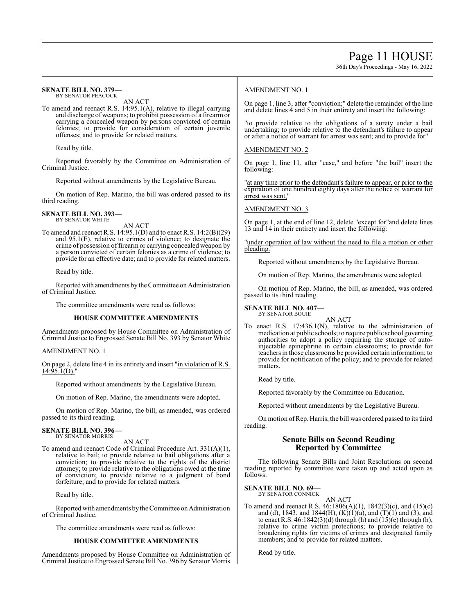## 36th Day's Proceedings - May 16, 2022

#### **SENATE BILL NO. 379—** BY SENATOR PEACOCK

AN ACT

To amend and reenact R.S. 14:95.1(A), relative to illegal carrying and discharge of weapons; to prohibit possession of a firearm or carrying a concealed weapon by persons convicted of certain felonies; to provide for consideration of certain juvenile offenses; and to provide for related matters.

Read by title.

Reported favorably by the Committee on Administration of Criminal Justice.

Reported without amendments by the Legislative Bureau.

On motion of Rep. Marino, the bill was ordered passed to its third reading.

#### **SENATE BILL NO. 393—** BY SENATOR WHITE

AN ACT

To amend and reenact R.S. 14:95.1(D) and to enact R.S. 14:2(B)(29) and 95.1(E), relative to crimes of violence; to designate the crime of possession of firearm or carrying concealed weapon by a person convicted of certain felonies as a crime of violence; to provide for an effective date; and to provide for related matters.

Read by title.

Reported with amendments by the Committee on Administration of Criminal Justice.

The committee amendments were read as follows:

#### **HOUSE COMMITTEE AMENDMENTS**

Amendments proposed by House Committee on Administration of Criminal Justice to Engrossed Senate Bill No. 393 by Senator White

#### AMENDMENT NO. 1

On page 2, delete line 4 in its entirety and insert "in violation of R.S.  $14:95.1(D)$ ."

Reported without amendments by the Legislative Bureau.

On motion of Rep. Marino, the amendments were adopted.

On motion of Rep. Marino, the bill, as amended, was ordered passed to its third reading.

# **SENATE BILL NO. 396—** BY SENATOR MORRIS

AN ACT

To amend and reenact Code of Criminal Procedure Art. 331(A)(1), relative to bail; to provide relative to bail obligations after a conviction; to provide relative to the rights of the district attorney; to provide relative to the obligations owed at the time of conviction; to provide relative to a judgment of bond forfeiture; and to provide for related matters.

Read by title.

Reported with amendments by the Committee on Administration of Criminal Justice.

The committee amendments were read as follows:

#### **HOUSE COMMITTEE AMENDMENTS**

Amendments proposed by House Committee on Administration of Criminal Justice to Engrossed Senate Bill No. 396 by Senator Morris

## AMENDMENT NO. 1

On page 1, line 3, after "conviction;" delete the remainder of the line and delete lines 4 and 5 in their entirety and insert the following:

"to provide relative to the obligations of a surety under a bail undertaking; to provide relative to the defendant's failure to appear or after a notice of warrant for arrest was sent; and to provide for"

#### AMENDMENT NO. 2

On page 1, line 11, after "case," and before "the bail" insert the following:

"at any time prior to the defendant's failure to appear, or prior to the expiration of one hundred eighty days after the notice of warrant for arrest was sent,"

#### AMENDMENT NO. 3

On page 1, at the end of line 12, delete "except for"and delete lines 13 and 14 in their entirety and insert the following:

"under operation of law without the need to file a motion or other pleading."

Reported without amendments by the Legislative Bureau.

On motion of Rep. Marino, the amendments were adopted.

On motion of Rep. Marino, the bill, as amended, was ordered passed to its third reading.

**SENATE BILL NO. 407—** BY SENATOR BOUIE

AN ACT

To enact R.S. 17:436.1(N), relative to the administration of medication at public schools; to require public school governing authorities to adopt a policy requiring the storage of autoinjectable epinephrine in certain classrooms; to provide for teachers in those classrooms be provided certain information; to provide for notification of the policy; and to provide for related matters.

Read by title.

Reported favorably by the Committee on Education.

Reported without amendments by the Legislative Bureau.

On motion ofRep. Harris, the bill was ordered passed to its third reading.

## **Senate Bills on Second Reading Reported by Committee**

The following Senate Bills and Joint Resolutions on second reading reported by committee were taken up and acted upon as follows:

#### **SENATE BILL NO. 69—** BY SENATOR CONNICK

AN ACT

To amend and reenact R.S. 46:1806(A)(1), 1842(3)(c), and (15)(c) and (d), 1843, and 1844(H),  $(K)(1)(a)$ , and  $(T)(1)$  and (3), and to enact R.S. 46:1842(3)(d) through (h) and (15)(e) through (h), relative to crime victim protections; to provide relative to broadening rights for victims of crimes and designated family members; and to provide for related matters.

Read by title.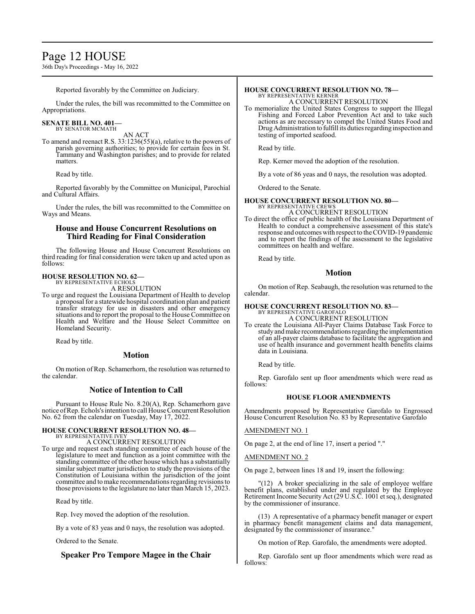# Page 12 HOUSE

36th Day's Proceedings - May 16, 2022

Reported favorably by the Committee on Judiciary.

Under the rules, the bill was recommitted to the Committee on Appropriations.

# **SENATE BILL NO. 401—** BY SENATOR MCMATH

AN ACT

To amend and reenact R.S. 33:1236(55)(a), relative to the powers of parish governing authorities; to provide for certain fees in St. Tammany and Washington parishes; and to provide for related matters.

Read by title.

Reported favorably by the Committee on Municipal, Parochial and Cultural Affairs.

Under the rules, the bill was recommitted to the Committee on Ways and Means.

## **House and House Concurrent Resolutions on Third Reading for Final Consideration**

The following House and House Concurrent Resolutions on third reading for final consideration were taken up and acted upon as follows:

#### **HOUSE RESOLUTION NO. 62—** BY REPRESENTATIVE ECHOLS

A RESOLUTION

To urge and request the Louisiana Department of Health to develop a proposal for a statewide hospital coordination plan and patient transfer strategy for use in disasters and other emergency situations and to report the proposal to the House Committee on Health and Welfare and the House Select Committee on Homeland Security.

Read by title.

## **Motion**

On motion of Rep. Schamerhorn, the resolution was returned to the calendar.

# **Notice of Intention to Call**

Pursuant to House Rule No. 8.20(A), Rep. Schamerhorn gave notice ofRep. Echols's intention to call House Concurrent Resolution No. 62 from the calendar on Tuesday, May 17, 2022.

# **HOUSE CONCURRENT RESOLUTION NO. 48—** BY REPRESENTATIVE IVEY

A CONCURRENT RESOLUTION

To urge and request each standing committee of each house of the legislature to meet and function as a joint committee with the standing committee of the other house which has a substantially similar subject matter jurisdiction to study the provisions of the Constitution of Louisiana within the jurisdiction of the joint committee and to make recommendations regarding revisions to those provisions to the legislature no later than March 15, 2023.

Read by title.

Rep. Ivey moved the adoption of the resolution.

By a vote of 83 yeas and 0 nays, the resolution was adopted.

Ordered to the Senate.

# **Speaker Pro Tempore Magee in the Chair**

#### **HOUSE CONCURRENT RESOLUTION NO. 78—** BY REPRESENTATIVE KERNER

A CONCURRENT RESOLUTION

To memorialize the United States Congress to support the Illegal Fishing and Forced Labor Prevention Act and to take such actions as are necessary to compel the United States Food and DrugAdministration to fulfill its duties regarding inspection and testing of imported seafood.

Read by title.

Rep. Kerner moved the adoption of the resolution.

By a vote of 86 yeas and 0 nays, the resolution was adopted.

Ordered to the Senate.

#### **HOUSE CONCURRENT RESOLUTION NO. 80—** BY REPRESENTATIVE CREWS

A CONCURRENT RESOLUTION

To direct the office of public health of the Louisiana Department of Health to conduct a comprehensive assessment of this state's response and outcomes with respect to the COVID-19 pandemic and to report the findings of the assessment to the legislative committees on health and welfare.

Read by title.

## **Motion**

On motion of Rep. Seabaugh, the resolution was returned to the calendar.

#### **HOUSE CONCURRENT RESOLUTION NO. 83—** BY REPRESENTATIVE GAROFALO

A CONCURRENT RESOLUTION

To create the Louisiana All-Payer Claims Database Task Force to study andmake recommendations regarding the implementation of an all-payer claims database to facilitate the aggregation and use of health insurance and government health benefits claims data in Louisiana.

Read by title.

Rep. Garofalo sent up floor amendments which were read as follows:

#### **HOUSE FLOOR AMENDMENTS**

Amendments proposed by Representative Garofalo to Engrossed House Concurrent Resolution No. 83 by Representative Garofalo

AMENDMENT NO. 1

On page 2, at the end of line 17, insert a period "."

AMENDMENT NO. 2

On page 2, between lines 18 and 19, insert the following:

"(12) A broker specializing in the sale of employee welfare benefit plans, established under and regulated by the Employee Retirement Income Security Act (29 U.S.C. 1001 et seq.), designated by the commissioner of insurance.

(13) A representative of a pharmacy benefit manager or expert in pharmacy benefit management claims and data management, designated by the commissioner of insurance."

On motion of Rep. Garofalo, the amendments were adopted.

Rep. Garofalo sent up floor amendments which were read as follows: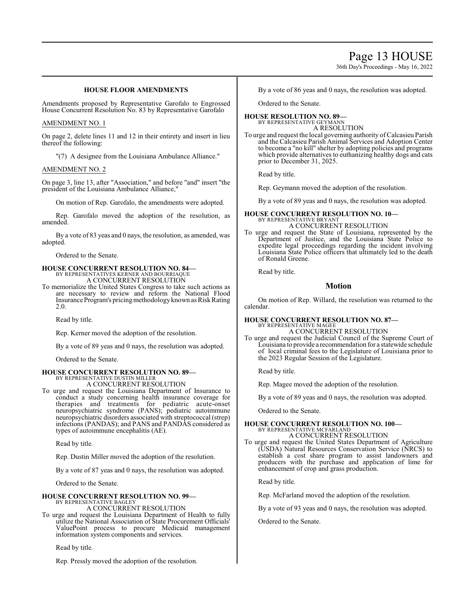# Page 13 HOUSE

36th Day's Proceedings - May 16, 2022

## **HOUSE FLOOR AMENDMENTS**

Amendments proposed by Representative Garofalo to Engrossed House Concurrent Resolution No. 83 by Representative Garofalo

#### AMENDMENT NO. 1

On page 2, delete lines 11 and 12 in their entirety and insert in lieu thereof the following:

"(7) A designee from the Louisiana Ambulance Alliance."

#### AMENDMENT NO. 2

On page 3, line 13, after "Association," and before "and" insert "the president of the Louisiana Ambulance Alliance,"

On motion of Rep. Garofalo, the amendments were adopted.

Rep. Garofalo moved the adoption of the resolution, as amended.

By a vote of 83 yeas and 0 nays, the resolution, as amended, was adopted.

Ordered to the Senate.

# **HOUSE CONCURRENT RESOLUTION NO. 84—** BY REPRESENTATIVES KERNER AND BOURRIAQUE

A CONCURRENT RESOLUTION

To memorialize the United States Congress to take such actions as are necessary to review and reform the National Flood Insurance Program's pricing methodology known as Risk Rating 2.0.

Read by title.

Rep. Kerner moved the adoption of the resolution.

By a vote of 89 yeas and 0 nays, the resolution was adopted.

Ordered to the Senate.

#### **HOUSE CONCURRENT RESOLUTION NO. 89—** BY REPRESENTATIVE DUSTIN MILLER

A CONCURRENT RESOLUTION

To urge and request the Louisiana Department of Insurance to conduct a study concerning health insurance coverage for therapies and treatments for pediatric acute-onset neuropsychiatric syndrome (PANS); pediatric autoimmune neuropsychiatric disorders associated with streptococcal (strep) infections (PANDAS); and PANS and PANDAS considered as types of autoimmune encephalitis (AE).

Read by title.

Rep. Dustin Miller moved the adoption of the resolution.

By a vote of 87 yeas and 0 nays, the resolution was adopted.

Ordered to the Senate.

#### **HOUSE CONCURRENT RESOLUTION NO. 99—** BY REPRESENTATIVE BAGLEY

A CONCURRENT RESOLUTION

To urge and request the Louisiana Department of Health to fully utilize the National Association of State Procurement Officials' ValuePoint process to procure Medicaid management information system components and services.

Read by title.

Rep. Pressly moved the adoption of the resolution.

By a vote of 86 yeas and 0 nays, the resolution was adopted.

Ordered to the Senate.

#### **HOUSE RESOLUTION NO. 89—** BY REPRESENTATIVE GEYMANN

A RESOLUTION

To urge and request the local governing authority ofCalcasieu Parish and the Calcasieu Parish Animal Services and Adoption Center to become a "no kill" shelter by adopting policies and programs which provide alternatives to euthanizing healthy dogs and cats prior to December 31, 2025.

Read by title.

Rep. Geymann moved the adoption of the resolution.

By a vote of 89 yeas and 0 nays, the resolution was adopted.

# **HOUSE CONCURRENT RESOLUTION NO. 10—** BY REPRESENTATIVE BRYANT A CONCURRENT RESOLUTION

To urge and request the State of Louisiana, represented by the Department of Justice, and the Louisiana State Police to expedite legal proceedings regarding the incident involving Louisiana State Police officers that ultimately led to the death of Ronald Greene.

Read by title.

## **Motion**

On motion of Rep. Willard, the resolution was returned to the calendar.

# **HOUSE CONCURRENT RESOLUTION NO. 87—** BY REPRESENTATIVE MAGEE

A CONCURRENT RESOLUTION

To urge and request the Judicial Council of the Supreme Court of Louisiana to provide a recommendation for a statewide schedule of local criminal fees to the Legislature of Louisiana prior to the 2023 Regular Session of the Legislature.

Read by title.

Rep. Magee moved the adoption of the resolution.

By a vote of 89 yeas and 0 nays, the resolution was adopted.

Ordered to the Senate.

#### **HOUSE CONCURRENT RESOLUTION NO. 100—** BY REPRESENTATIVE MCFARLAND

## A CONCURRENT RESOLUTION

To urge and request the United States Department of Agriculture (USDA) Natural Resources Conservation Service (NRCS) to establish a cost share program to assist landowners and producers with the purchase and application of lime for enhancement of crop and grass production.

Read by title.

Rep. McFarland moved the adoption of the resolution.

By a vote of 93 yeas and 0 nays, the resolution was adopted.

Ordered to the Senate.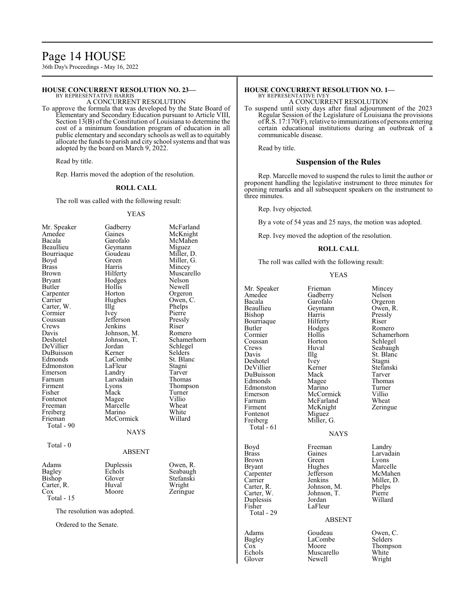# Page 14 HOUSE

36th Day's Proceedings - May 16, 2022

#### **HOUSE CONCURRENT RESOLUTION NO. 23—**

BY REPRESENTATIVE HARRIS A CONCURRENT RESOLUTION

To approve the formula that was developed by the State Board of Elementary and Secondary Education pursuant to Article VIII, Section 13(B) of the Constitution of Louisiana to determine the cost of a minimum foundation program of education in all public elementary and secondary schools as well as to equitably allocate the funds to parish and city school systems and that was adopted by the board on March 9, 2022.

Read by title.

Rep. Harris moved the adoption of the resolution.

#### **ROLL CALL**

The roll was called with the following result:

#### YEAS

| Mr. Speaker                 | Gadberry      | McFarland   |
|-----------------------------|---------------|-------------|
| Amedee                      | Gaines        | McKnight    |
| Bacala                      | Garofalo      | McMahen     |
| Beaullieu                   | Geymann       | Miguez      |
| Bourriaque                  | Goudeau       | Miller, D.  |
| Boyd                        | Green         | Miller, G.  |
| <b>Brass</b>                | Harris        | Mincey      |
| <b>Brown</b>                | Hilferty      | Muscarello  |
| <b>Bryant</b>               | Hodges        | Nelson      |
| Butler                      | Hollis        | Newell      |
| Carpenter                   | Horton        | Orgeron     |
| Carrier                     | Hughes        | Owen, C.    |
| Carter, W.                  | Illg          | Phelps      |
| Cormier                     | Ivey          | Pierre      |
| Coussan                     | Jefferson     | Pressly     |
| Crews                       | Jenkins       | Riser       |
| Davis                       | Johnson, M.   | Romero      |
| Deshotel                    | Johnson, T.   | Schamerhorn |
| DeVillier                   | Jordan        | Schlegel    |
| DuBuisson                   | Kerner        | Selders     |
| Edmonds                     | LaCombe       | St. Blanc   |
| Edmonston                   | LaFleur       | Stagni      |
| Emerson                     | Landry        | Tarver      |
| Farnum                      | Larvadain     | Thomas      |
| Firment                     | Lyons         | Thompson    |
| Fisher                      | Mack          | Turner      |
| Fontenot                    | Magee         | Villio      |
| Freeman                     | Marcelle      | Wheat       |
| Freiberg                    | Marino        | White       |
| Frieman                     | McCormick     | Willard     |
| Total - 90                  |               |             |
|                             | NAYS          |             |
| Total - $0$                 |               |             |
|                             | <b>ABSENT</b> |             |
|                             |               |             |
| Adams                       | Duplessis     | Owen, R.    |
| Bagley                      | Echols        | Seabaugh    |
| Bishop                      | Glover        | Stefanski   |
| Carter, R.                  | Huval         | Wright      |
| Cox                         | Moore         | Zeringue    |
| Total - 15                  |               |             |
| The resolution was adopted. |               |             |
| Ordered to the Senate.      |               |             |
|                             |               |             |
|                             |               |             |

#### **HOUSE CONCURRENT RESOLUTION NO. 1—** BY REPRESENTATIVE IVEY

A CONCURRENT RESOLUTION

To suspend until sixty days after final adjournment of the 2023 Regular Session of the Legislature of Louisiana the provisions ofR.S. 17:170(F), relative to immunizations of persons entering certain educational institutions during an outbreak of a communicable disease.

Read by title.

#### **Suspension of the Rules**

Rep. Marcelle moved to suspend the rules to limit the author or proponent handling the legislative instrument to three minutes for opening remarks and all subsequent speakers on the instrument to three minutes.

Rep. Ivey objected.

By a vote of 54 yeas and 25 nays, the motion was adopted.

Rep. Ivey moved the adoption of the resolution.

#### **ROLL CALL**

The roll was called with the following result:

#### YEAS

| Mr. Speaker  | Frieman       | Mincey      |
|--------------|---------------|-------------|
| Amedee       | Gadberry      | Nelson      |
| Bacala       | Garofalo      | Orgeron     |
| Beaullieu    | Geymann       | Owen, R.    |
| Bishop       | Harris        | Pressly     |
| Bourriaque   | Hilferty      | Riser       |
| Butler       | Hodges        | Romero      |
| Cormier      | Hollis        | Schamerhorn |
| Coussan      | Horton        | Schlegel    |
| Crews        | Huval         | Seabaugh    |
| Davis        | Illg          | St. Blanc   |
| Deshotel     | Ivey          | Stagni      |
| DeVillier    | Kerner        | Stefanski   |
| DuBuisson    | Mack          | Tarver      |
| Edmonds      | Magee         | Thomas      |
| Edmonston    | Marino        | Turner      |
| Emerson      | McCormick     | Villio      |
| Farnum       | McFarland     | Wheat       |
| Firment      | McKnight      | Zeringue    |
| Fontenot     | Miguez        |             |
| Freiberg     | Miller, G.    |             |
| Total - 61   |               |             |
|              | <b>NAYS</b>   |             |
| Boyd         | Freeman       | Landry      |
| <b>Brass</b> | Gaines        | Larvadain   |
| Brown        | Green         | Lyons       |
| Bryant       | Hughes        | Marcelle    |
| Carpenter    | Jefferson     | McMahen     |
| Carrier      | Jenkins       | Miller, D.  |
| Carter, R.   | Johnson, M.   | Phelps      |
| Carter, W.   | Johnson, T.   | Pierre      |
| Duplessis    | Jordan        | Willard     |
| Fisher       | LaFleur       |             |
| Total - 29   |               |             |
|              | <b>ABSENT</b> |             |
| Adams        | Goudeau       | Owen, C.    |
| Bagley       | LaCombe       | Selders     |
| $\cos$       | Moore         | Thompson    |
| Echols       | Muscarello    | White       |

Echols Muscarello White<br>Glover Newell Wright Newell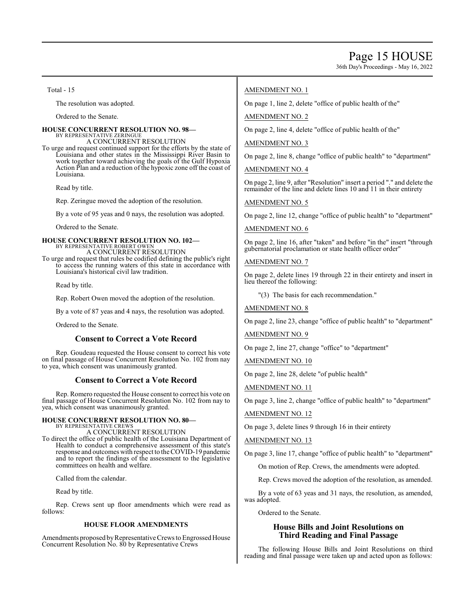36th Day's Proceedings - May 16, 2022

Total - 15

The resolution was adopted.

Ordered to the Senate.

#### **HOUSE CONCURRENT RESOLUTION NO. 98—** BY REPRESENTATIVE ZERINGUE

A CONCURRENT RESOLUTION

To urge and request continued support for the efforts by the state of Louisiana and other states in the Mississippi River Basin to work together toward achieving the goals of the Gulf Hypoxia Action Plan and a reduction of the hypoxic zone off the coast of Louisiana.

Read by title.

Rep. Zeringue moved the adoption of the resolution.

By a vote of 95 yeas and 0 nays, the resolution was adopted.

Ordered to the Senate.

#### **HOUSE CONCURRENT RESOLUTION NO. 102—** BY REPRESENTATIVE ROBERT OWEN A CONCURRENT RESOLUTION

To urge and request that rules be codified defining the public's right to access the running waters of this state in accordance with Louisiana's historical civil law tradition.

Read by title.

Rep. Robert Owen moved the adoption of the resolution.

By a vote of 87 yeas and 4 nays, the resolution was adopted.

Ordered to the Senate.

## **Consent to Correct a Vote Record**

Rep. Goudeau requested the House consent to correct his vote on final passage of House Concurrent Resolution No. 102 from nay to yea, which consent was unanimously granted.

## **Consent to Correct a Vote Record**

Rep. Romero requested the House consent to correct his vote on final passage of House Concurrent Resolution No. 102 from nay to yea, which consent was unanimously granted.

# **HOUSE CONCURRENT RESOLUTION NO. 80—** BY REPRESENTATIVE CREWS

A CONCURRENT RESOLUTION

To direct the office of public health of the Louisiana Department of Health to conduct a comprehensive assessment of this state's response and outcomes with respect to the COVID-19 pandemic and to report the findings of the assessment to the legislative committees on health and welfare.

Called from the calendar.

Read by title.

Rep. Crews sent up floor amendments which were read as follows:

#### **HOUSE FLOOR AMENDMENTS**

Amendments proposed by Representative Crews to Engrossed House Concurrent Resolution No. 80 by Representative Crews

#### AMENDMENT NO. 1

On page 1, line 2, delete "office of public health of the"

AMENDMENT NO. 2

On page 2, line 4, delete "office of public health of the"

#### AMENDMENT NO. 3

On page 2, line 8, change "office of public health" to "department"

AMENDMENT NO. 4

On page 2, line 9, after "Resolution" insert a period "." and delete the remainder of the line and delete lines 10 and 11 in their entirety

AMENDMENT NO. 5

On page 2, line 12, change "office of public health" to "department"

#### AMENDMENT NO. 6

On page 2, line 16, after "taken" and before "in the" insert "through gubernatorial proclamation or state health officer order"

#### AMENDMENT NO. 7

On page 2, delete lines 19 through 22 in their entirety and insert in lieu thereof the following:

"(3) The basis for each recommendation."

AMENDMENT NO. 8

On page 2, line 23, change "office of public health" to "department"

AMENDMENT NO. 9

On page 2, line 27, change "office" to "department"

AMENDMENT NO. 10

On page 2, line 28, delete "of public health"

AMENDMENT NO. 11

On page 3, line 2, change "office of public health" to "department"

#### AMENDMENT NO. 12

On page 3, delete lines 9 through 16 in their entirety

## AMENDMENT NO. 13

On page 3, line 17, change "office of public health" to "department"

On motion of Rep. Crews, the amendments were adopted.

Rep. Crews moved the adoption of the resolution, as amended.

By a vote of 63 yeas and 31 nays, the resolution, as amended, was adopted.

Ordered to the Senate.

# **House Bills and Joint Resolutions on Third Reading and Final Passage**

The following House Bills and Joint Resolutions on third reading and final passage were taken up and acted upon as follows: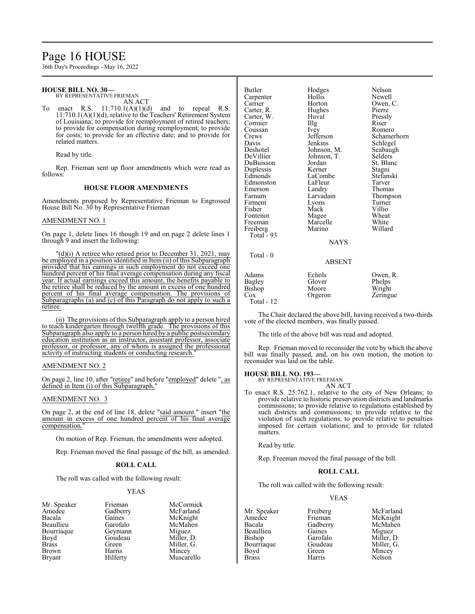# Page 16 HOUSE

36th Day's Proceedings - May 16, 2022

# **HOUSE BILL NO. 30—**

BY REPRESENTATIVE FRIEMAN AN ACT

To enact R.S.  $11:710.1(A)(1)(d)$  and to repeal R.S. 11:710.1(A)(1)(d), relative to the Teachers' Retirement System of Louisiana; to provide for reemployment of retired teachers; to provide for compensation during reemployment; to provide for costs; to provide for an effective date; and to provide for related matters.

Read by title.

Rep. Frieman sent up floor amendments which were read as follows:

#### **HOUSE FLOOR AMENDMENTS**

Amendments proposed by Representative Frieman to Engrossed House Bill No. 30 by Representative Frieman

#### AMENDMENT NO. 1

On page 1, delete lines 16 though 19 and on page 2 delete lines 1 through 9 and insert the following:

 $d(d)(i)$  A retiree who retired prior to December 31, 2021, may be employed in a position identified in Item (ii) of this Subparagraph provided that his earnings in such employment do not exceed one hundred percent of his final average compensation during any fiscal year. If actual earnings exceed this amount, the benefits payable to the retiree shall be reduced by the amount in excess of one hundred percent of his final average compensation. The provisions of Subparagraphs (a) and (c) of this Paragraph do not apply to such a retiree.

(ii) The provisions of this Subparagraph apply to a person hired to teach kindergarten through twelfth grade. The provisions of this Subparagraph also apply to a person hired by a public postsecondary education institution as an instructor, assistant professor, associate professor, or professor, any of whom is assigned the professional activity of instructing students or conducting research.

#### AMENDMENT NO. 2

On page 2, line 10, after "retiree" and before "employed" delete ", as defined in Item (i) of this Subparagraph,"

#### AMENDMENT NO. 3

On page 2, at the end of line 18, delete "said amount." insert "the amount in excess of one hundred percent of his final average compensation."

On motion of Rep. Frieman, the amendments were adopted.

Rep. Frieman moved the final passage of the bill, as amended.

#### **ROLL CALL**

The roll was called with the following result:

#### YEAS

- Bourriaque Geymann<br>Boyd Goudeau Brown Harris Mincey<br>Bryant Hilferty Muscar
- Mr. Speaker Frieman McCormick<br>Amedee Gadberry McFarland Amedee Gadberry McFarland Gaines McKnight<br>Garofalo McMahen Beaullieu Garofalo McMah<br>Bourriaque Geymann Miguez Boyd Goudeau Miller, D.<br>Brass Green Miller, G. Brass Green Miller, G.<br>Brown Harris Mincey Muscarello

| <b>Butler</b><br>Carpenter<br>Carrier<br>Carter, R.<br>Carter, W.<br>Cormier<br>Coussan<br>Crews<br>Davis<br>Deshotel<br>DeVillier<br>DuBuisson<br>Duplessis<br>Edmonds<br>Edmonston<br>Emerson<br>Farnum<br>Firment<br>Fisher<br>Fontenot<br>Freeman<br>Freiberg<br>Total - 93<br>$Total - 0$ | Hodges<br>Hollis<br>Horton<br>Hughes<br>Huval<br>Illg<br>Ivey<br>Jefferson<br>Jenkins<br>Johnson, M.<br>Johnson, T.<br>Jordan<br>Kerner<br>LaCombe<br>LaFleur<br>Landry<br>Larvadain<br>Lyons<br>Mack<br>Magee<br>Marcelle<br>Marino<br><b>NAYS</b><br><b>ABSENT</b> | Nelson<br>Newell<br>Owen, C.<br>Pierre<br>Pressly<br>Riser<br>Romero<br>Schamerhorn<br>Schlegel<br>Seabaugh<br>Selders<br>St. Blanc<br>Stagni<br>Stefanski<br>Tarver<br>Thomas<br>Thompson<br>Turner<br>Villio<br>Wheat<br>White<br>Willard |
|------------------------------------------------------------------------------------------------------------------------------------------------------------------------------------------------------------------------------------------------------------------------------------------------|----------------------------------------------------------------------------------------------------------------------------------------------------------------------------------------------------------------------------------------------------------------------|---------------------------------------------------------------------------------------------------------------------------------------------------------------------------------------------------------------------------------------------|
| Adams<br>Bagley<br>Bishop<br>Cox<br>Total - 12                                                                                                                                                                                                                                                 | Echols<br>Glover<br>Moore<br>Orgeron                                                                                                                                                                                                                                 | Owen, R.<br>Phelps<br>Wright<br>Zeringue                                                                                                                                                                                                    |

The Chair declared the above bill, having received a two-thirds vote of the elected members, was finally passed.

The title of the above bill was read and adopted.

Rep. Frieman moved to reconsider the vote by which the above bill was finally passed, and, on his own motion, the motion to reconsider was laid on the table.

**HOUSE BILL NO. 193—** BY REPRESENTATIVE FREEMAN

# AN ACT

To enact R.S. 25:762.1, relative to the city of New Orleans; to provide relative to historic preservation districts and landmarks commissions; to provide relative to regulations established by such districts and commissions; to provide relative to the violation of such regulations; to provide relative to penalties imposed for certain violations; and to provide for related matters.

Read by title.

Rep. Freeman moved the final passage of the bill.

#### **ROLL CALL**

The roll was called with the following result:

#### YEAS

Mr. Speaker Freiberg McFarland<br>Amedee Frieman McKnight Beaullieu Gaines<br>Bishop Garofalo Bourriaque Goude<br>Boyd Green Boyd Green Mincey<br>Brass Harris Nelson

Amedee Frieman McKnight Gadberry McMah<br>Gaines Miguez Garofalo Miller, D.<br>Goudeau Miller, G. Nelson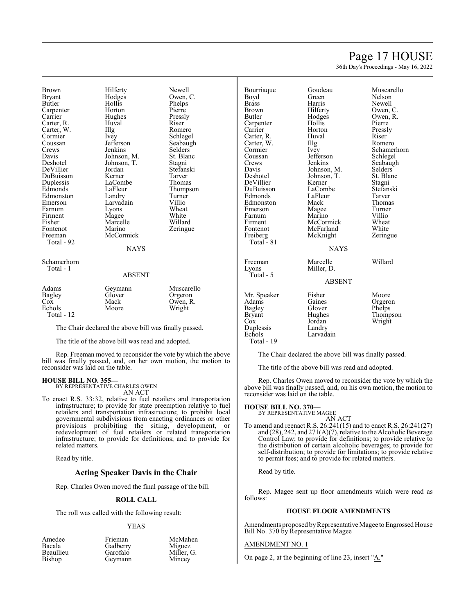# Page 17 HOUSE

36th Day's Proceedings - May 16, 2022

Brown Hilferty Newell<br>Bryant Hodges Owen, Bryant Hodges Owen, C.<br>Butler Hollis Phelps Carpenter Horton Pierre<br>Carrier Hughes Pressly Carter, R. Carter, W. Illg Romero<br>Cormier Ivey Schlege Cormier Ivey Schlegel<br>Coussan Jefferson Seabaugh Coussan Jefferson Seabaugh<br>Crews Jenkins Selders Crews Jenkins Selders<br>Davis Johnson M. St. Blanc Davis Johnson, M. St. Blanch<br>Deshotel Johnson, T. Stagni DeVillier Jordan Stefans<br>DuBuisson Kerner Tarver DuBuisson Kerner Tarver Edmonds LaFleur Thompson<br>Edmonston Landry Turner Edmonston Landry Turner<br>
Emerson Larvadain Villio Farnum Lyons Wheat<br>Firment Magee White Firment Magee White<br>
Fisher Marcelle Willard Fisher Marcelle<br>Fontenot Marino Fontenot Marino Zeringue<br>Freeman McCormick Zeringue Total - 92

Hollis Phelps<br>Horton Pierre Hughes Pressl<br>Huyal Riser LaCombe Larvadain Villio<br>Lyons Wheat McCormick

Johnson, T. Stagni<br>Jordan Stefanski

#### Schamerhorn Total - 1

#### ABSENT

NAYS

| Adams<br>Bagley | Geymann<br>Glover | Muscarello<br>Orgeron |
|-----------------|-------------------|-----------------------|
| Cox             | Mack              | Owen, R.              |
| Echols          | Moore             | Wright                |
| Total $-12$     |                   |                       |

The Chair declared the above bill was finally passed.

The title of the above bill was read and adopted.

Rep. Freeman moved to reconsider the vote by which the above bill was finally passed, and, on her own motion, the motion to reconsider was laid on the table.

#### **HOUSE BILL NO. 355—** BY REPRESENTATIVE CHARLES OWEN

AN ACT

To enact R.S. 33:32, relative to fuel retailers and transportation infrastructure; to provide for state preemption relative to fuel retailers and transportation infrastructure; to prohibit local governmental subdivisions from enacting ordinances or other provisions prohibiting the siting, development, or redevelopment of fuel retailers or related transportation infrastructure; to provide for definitions; and to provide for related matters.

Read by title.

## **Acting Speaker Davis in the Chair**

Rep. Charles Owen moved the final passage of the bill.

#### **ROLL CALL**

The roll was called with the following result:

#### YEAS

| Frieman  | McMahen    |
|----------|------------|
| Gadberry | Miguez     |
| Garofalo | Miller, G. |
| Geymann  | Mincey     |

| Bourriaque<br>Boyd<br><b>Brass</b><br>Brown<br>Butler<br>Carpenter<br>Carrier<br>Carter, R.<br>Carter, W.<br>Cormier<br>Coussan<br>Crews<br>Davis<br>Deshotel<br>DeVillier<br>DuBuisson<br>Edmonds<br>Edmonston<br>Emerson<br>Farnum<br>Firment<br>Fontenot<br>Freiberg<br>Total $-81$ |
|----------------------------------------------------------------------------------------------------------------------------------------------------------------------------------------------------------------------------------------------------------------------------------------|
|                                                                                                                                                                                                                                                                                        |

Total - 5

Boyd Green Nelson s Harris Newell<br>Anne Hilferty Dwen, wn Hilferty Owen, C.<br>er Hodges Owen, R Butler Hodges Owen, R. Carpenter Hollis Pierre Carrier Horton Pressly Carter, R. Huval Riser Carter, W. Illg Romero nier 1992 - Ivey 1994 Schamerhorn<br>San - Jefferson - Schlegel Crews Jenkins Seabaugh is Johnson, M. Selders<br>
1991 - Johnson, T. St. Blanc notel Johnson, T. St. Blanch<br>Fillier Kerner Stagni DeVillier Kerner Stagni version in the Stefanski LaCombe<br>
Dua LaFleur – Stefanski Internet<br>
Dua LaFleur – Stefanski Internet nonds LaFleur<br>
Mack Mack nonston Mack Thomas<br>Example: Magee Turner rson Magee Turner<br>
Marino Villio Farnum Marino Villio ent McCormick Wheat<br>Firment McFarland White McKnight Freeman Marcelle Willard<br>Lyons Miller, D. Miller, D.

# riaque Goudeau Muscarello<br>di Green Nelson Jefferson Schlegel<br>Jenkins Seabaugl McFarland White<br>
McKnight Zeringue

NAYS

## ABSENT

| Mr. Speaker<br>Adams<br>Bagley<br><b>Bryant</b><br>Cox<br>Duplessis<br>Echols | Fisher<br>Gaines<br>Glover<br>Hughes<br>Jordan<br>Landry<br>Larvadain | Moore<br>Orgeron<br>Phelps<br>Thompson<br>Wright |
|-------------------------------------------------------------------------------|-----------------------------------------------------------------------|--------------------------------------------------|
| Total - 19                                                                    |                                                                       |                                                  |

The Chair declared the above bill was finally passed.

The title of the above bill was read and adopted.

Rep. Charles Owen moved to reconsider the vote by which the above bill was finally passed, and, on his own motion, the motion to reconsider was laid on the table.

#### **HOUSE BILL NO. 370—**

BY REPRESENTATIVE MAGEE AN ACT

To amend and reenact R.S. 26:241(15) and to enact R.S. 26:241(27) and (28), 242, and 271(A)(7), relative to the Alcoholic Beverage Control Law; to provide for definitions; to provide relative to the distribution of certain alcoholic beverages; to provide for self-distribution; to provide for limitations; to provide relative to permit fees; and to provide for related matters.

Read by title.

Rep. Magee sent up floor amendments which were read as follows:

#### **HOUSE FLOOR AMENDMENTS**

Amendments proposed by Representative Magee to Engrossed House Bill No. 370 by Representative Magee

#### AMENDMENT NO. 1

On page 2, at the beginning of line 23, insert "A."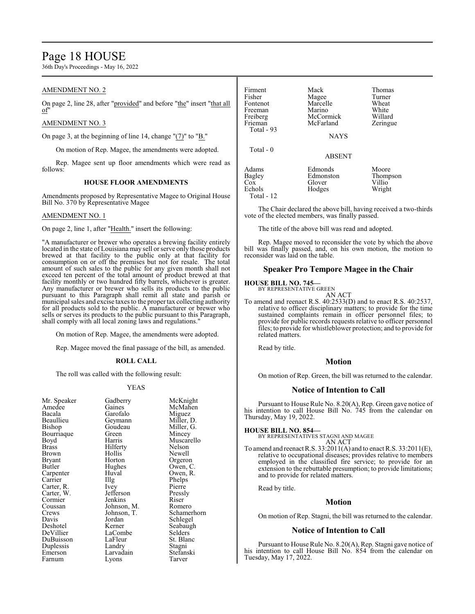# Page 18 HOUSE

36th Day's Proceedings - May 16, 2022

## AMENDMENT NO. 2

On page 2, line 28, after "provided" and before "the" insert "that all of"

#### AMENDMENT NO. 3

On page 3, at the beginning of line 14, change " $(7)$ " to " $B$ ."

On motion of Rep. Magee, the amendments were adopted.

Rep. Magee sent up floor amendments which were read as follows:

#### **HOUSE FLOOR AMENDMENTS**

Amendments proposed by Representative Magee to Original House Bill No. 370 by Representative Magee

#### AMENDMENT NO. 1

On page 2, line 1, after "Health." insert the following:

"A manufacturer or brewer who operates a brewing facility entirely located in the state of Louisiana may sell or serve only those products brewed at that facility to the public only at that facility for consumption on or off the premises but not for resale. The total amount of such sales to the public for any given month shall not exceed ten percent of the total amount of product brewed at that facility monthly or two hundred fifty barrels, whichever is greater. Any manufacturer or brewer who sells its products to the public pursuant to this Paragraph shall remit all state and parish or municipal sales and excise taxes to the proper tax collecting authority for all products sold to the public. A manufacturer or brewer who sells or serves its products to the public pursuant to this Paragraph, shall comply with all local zoning laws and regulations."

On motion of Rep. Magee, the amendments were adopted.

Rep. Magee moved the final passage of the bill, as amended.

#### **ROLL CALL**

The roll was called with the following result:

#### YEAS

| Mr. Speaker<br>Amedee | Gadberry<br>Gaines<br>Garofalo | McKnight<br>McMahen  |
|-----------------------|--------------------------------|----------------------|
| Bacala<br>Beaullieu   |                                | Miguez<br>Miller, D. |
|                       | Geymann<br>Goudeau             |                      |
| Bishop                |                                | Miller, G.           |
| Bourriaque            | Green                          | Mincey               |
| Boyd                  | Harris                         | Muscarello           |
| Brass                 | Hilferty                       | Nelson               |
| Brown                 | Hollis                         | Newell               |
| Bryant                | Horton                         | Orgeron              |
| Butler                | Hughes                         | Owen, C.             |
| Carpenter             | Huval                          | Owen, R.             |
| Carrier               | $\prod$ $g$                    | Phelps               |
| Carter, R.            | Ivey                           | Pierre               |
| Carter, W.            | Jefferson                      | Pressly              |
| Cormier               | Jenkins                        | Riser                |
| Coussan               | Johnson, M.                    | Romero               |
| Crews                 | Johnson, T.                    | Schamerhorn          |
| Davis                 | Jordan                         | Schlegel             |
| Deshotel              | Kerner                         | Seabaugh             |
| DeVillier             | LaCombe                        | Selders              |
| DuBuisson             | LaFleur                        | St. Blanc            |
| Duplessis             | Landry                         | Stagni               |
| Emerson               | Larvadain                      | Stefanski            |
| Farnum                | Lyons                          | Tarver               |

Firment Mack Thomas<br>
Fisher Magee Turner Fisher Magee Turner<br>Fontenot Marcelle Wheat Marcelle Wheat<br>
Marino White Freeman Marino White<br>
Freiberg McCormick Willard Freiberg McCormick Willard<br>
Frieman McFarland Zeringue McFarland Total - 93 NAYS Total - 0 ABSENT Adams Edmonds Moore<br>
Bagley Edmonston Thompson Edmonston Thompson<br>Glover Villio Cox Glover Villio Echols Hodges Wright Total - 12

The Chair declared the above bill, having received a two-thirds vote of the elected members, was finally passed.

The title of the above bill was read and adopted.

Rep. Magee moved to reconsider the vote by which the above bill was finally passed, and, on his own motion, the motion to reconsider was laid on the table.

#### **Speaker Pro Tempore Magee in the Chair**

**HOUSE BILL NO. 745—** BY REPRESENTATIVE GREEN

AN ACT

To amend and reenact R.S. 40:2533(D) and to enact R.S. 40:2537, relative to officer disciplinary matters; to provide for the time sustained complaints remain in officer personnel files; to provide for public records requests relative to officer personnel files; to provide for whistleblower protection; and to provide for related matters.

Read by title.

#### **Motion**

On motion of Rep. Green, the bill was returned to the calendar.

## **Notice of Intention to Call**

Pursuant to House Rule No. 8.20(A), Rep. Green gave notice of his intention to call House Bill No. 745 from the calendar on Thursday, May 19, 2022.

**HOUSE BILL NO. 854—** BY REPRESENTATIVES STAGNI AND MAGEE AN ACT

To amend and reenact R.S. 33:2011(A) and to enact R.S. 33:2011(E), relative to occupational diseases; provides relative to members employed in the classified fire service; to provide for an extension to the rebuttable presumption; to provide limitations; and to provide for related matters.

Read by title.

#### **Motion**

On motion of Rep. Stagni, the bill was returned to the calendar.

# **Notice of Intention to Call**

Pursuant to House Rule No. 8.20(A), Rep. Stagni gave notice of his intention to call House Bill No. 854 from the calendar on Tuesday, May 17, 2022.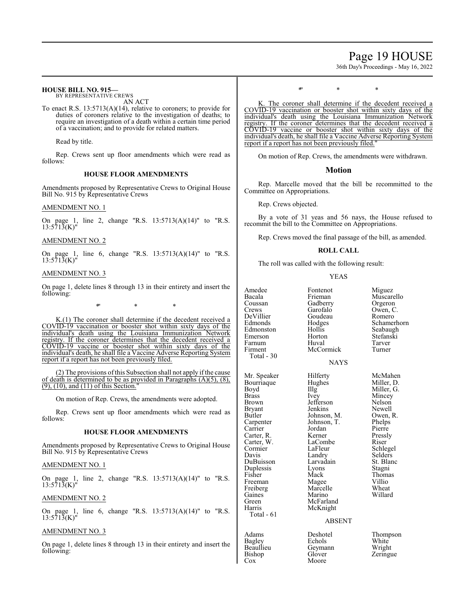# Page 19 HOUSE

36th Day's Proceedings - May 16, 2022

## **HOUSE BILL NO. 915—**

BY REPRESENTATIVE CREWS AN ACT

To enact R.S. 13:5713(A)(14), relative to coroners; to provide for duties of coroners relative to the investigation of deaths; to require an investigation of a death within a certain time period of a vaccination; and to provide for related matters.

Read by title.

Rep. Crews sent up floor amendments which were read as follows:

## **HOUSE FLOOR AMENDMENTS**

Amendments proposed by Representative Crews to Original House Bill No. 915 by Representative Crews

#### AMENDMENT NO. 1

On page 1, line 2, change "R.S. 13:5713(A)(14)" to "R.S. 13:5713(K)"

#### AMENDMENT NO. 2

On page 1, line 6, change "R.S. 13:5713(A)(14)" to "R.S.  $13:571\overline{3}$ (K)"

#### AMENDMENT NO. 3

On page 1, delete lines 8 through 13 in their entirety and insert the following:

\*" \* \*

K.(1) The coroner shall determine if the decedent received a COVID-19 vaccination or booster shot within sixty days of the individual's death using the Louisiana Immunization Network registry. If the coroner determines that the decedent received a COVID-19 vaccine or booster shot within sixty days of the individual's death, he shall file a Vaccine Adverse Reporting System report if a report has not been previously filed.

(2) The provisions ofthis Subsection shall not apply ifthe cause of death is determined to be as provided in Paragraphs  $(A)(5)$ ,  $(8)$ , (9), (10), and (11) of this Section."

On motion of Rep. Crews, the amendments were adopted.

Rep. Crews sent up floor amendments which were read as follows:

#### **HOUSE FLOOR AMENDMENTS**

Amendments proposed by Representative Crews to Original House Bill No. 915 by Representative Crews

#### AMENDMENT NO. 1

On page 1, line 2, change "R.S. 13:5713(A)(14)" to "R.S. 13:5713(K)"

#### AMENDMENT NO. 2

On page 1, line 6, change "R.S. 13:5713(A)(14)" to "R.S.  $13:571\overline{3}$ (K)"

#### AMENDMENT NO. 3

On page 1, delete lines 8 through 13 in their entirety and insert the following:

 $*$  \* \*

K. The coroner shall determine if the decedent received a COVID-19 vaccination or booster shot within sixty days of the individual's death using the Louisiana Immunization Network registry. If the coroner determines that the decedent received a COVID-19 vaccine or booster shot within sixty days of the individual's death, he shall file a Vaccine Adverse Reporting System report if a report has not been previously filed."

On motion of Rep. Crews, the amendments were withdrawn.

## **Motion**

Rep. Marcelle moved that the bill be recommitted to the Committee on Appropriations.

Rep. Crews objected.

By a vote of 31 yeas and 56 nays, the House refused to recommit the bill to the Committee on Appropriations.

Rep. Crews moved the final passage of the bill, as amended.

#### **ROLL CALL**

The roll was called with the following result:

#### YEAS

| Amedee<br>Bacala<br>Coussan<br>Crews<br>DeVillier<br>Edmonds<br>Edmonston<br>Emerson<br>Farnum<br>Firment                                                                                                                                                    | Fontenot<br>Frieman<br>Gadberry<br>Garofalo<br>Goudeau<br>Hodges<br>Hollis<br>Horton<br>Huval<br>McCormick                                                                                                                                          | Miguez<br>Muscarello<br>Orgeron<br>Owen, C.<br>Romero<br>Schamerhorn<br>Seabaugh<br>Stefanski<br>Tarver<br>Turner                                                                                           |
|--------------------------------------------------------------------------------------------------------------------------------------------------------------------------------------------------------------------------------------------------------------|-----------------------------------------------------------------------------------------------------------------------------------------------------------------------------------------------------------------------------------------------------|-------------------------------------------------------------------------------------------------------------------------------------------------------------------------------------------------------------|
| Total - 30                                                                                                                                                                                                                                                   | <b>NAYS</b>                                                                                                                                                                                                                                         |                                                                                                                                                                                                             |
| Mr. Speaker<br>Bourriaque<br>Boyd<br><b>Brass</b><br>Brown<br>Bryant<br>Butler<br>Carpenter<br>Carrier<br>Carter, R.<br>Carter, W.<br>Cormier<br>Davis<br>DuBuisson<br>Duplessis<br>Fisher<br>Freeman<br>Freiberg<br>Gaines<br>Green<br>Harris<br>Total - 61 | Hilferty<br>Hughes<br>Illg<br>Ivey<br>Jefferson<br>Jenkins<br>Johnson, M.<br>Johnson, T.<br>Jordan<br>Kerner<br>LaCombe<br>LaFleur<br>Landry<br>Larvadain<br>Lyons<br>Mack<br>Magee<br>Marcelle<br>Marino<br>McFarland<br>McKnight<br><b>ABSENT</b> | McMahen<br>Miller, D.<br>Miller, G.<br>Mincey<br>Nelson<br>Newell<br>Owen, R.<br>Phelps<br>Pierre<br>Pressly<br>Riser<br>Schlegel<br>Selders<br>St. Blanc<br>Stagni<br>Thomas<br>Villio<br>Wheat<br>Willard |
| Adams                                                                                                                                                                                                                                                        | Deshotel                                                                                                                                                                                                                                            | Thompson                                                                                                                                                                                                    |

Bagley Echols White<br>Beaullieu Geymann Wright Beaullieu Geymann<br>Bishop Glover Bishop Glover Zeringue<br>
Cox Moore Zeringue Moore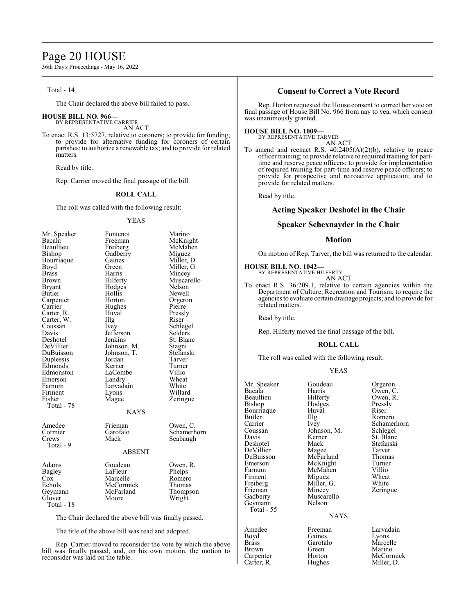# Page 20 HOUSE

36th Day's Proceedings - May 16, 2022

## Total - 14

The Chair declared the above bill failed to pass.

#### **HOUSE BILL NO. 966—**

BY REPRESENTATIVE CARRIER AN ACT

To enact R.S. 13:5727, relative to coroners; to provide for funding; to provide for alternative funding for coroners of certain parishes; to authorize a renewable tax; and to provide for related matters.

Read by title.

Rep. Carrier moved the final passage of the bill.

#### **ROLL CALL**

The roll was called with the following result:

#### YEAS

| Mr. Speaker                                           | Fontenot    | Marino      |  |
|-------------------------------------------------------|-------------|-------------|--|
| Bacala                                                | Freeman     | McKnight    |  |
| Beaullieu                                             | Freiberg    | McMahen     |  |
| Bishop                                                | Gadberry    | Miguez      |  |
| Bourriaque                                            | Gaines      | Miller, D.  |  |
| Boyd                                                  | Green       | Miller, G.  |  |
| Brass                                                 | Harris      | Mincey      |  |
| <b>Brown</b>                                          | Hilferty    | Muscarello  |  |
| <b>Bryant</b>                                         | Hodges      | Nelson      |  |
| Butler                                                | Hollis      | Newell      |  |
| Carpenter                                             | Horton      | Orgeron     |  |
| Carrier                                               | Hughes      | Pierre      |  |
| Carter, R.                                            | Huval       | Pressly     |  |
| Carter, W.                                            | Illg        | Riser       |  |
| Coussan                                               | Ivey        | Schlegel    |  |
| Davis                                                 | Jefferson   | Selders     |  |
| Deshotel                                              | Jenkins     | St. Blanc   |  |
| DeVillier                                             | Johnson, M. | Stagni      |  |
| DuBuisson                                             | Johnson, T. | Stefanski   |  |
| Duplessis                                             | Jordan      | Tarver      |  |
| Edmonds                                               | Kerner      | Turner      |  |
| Edmonston                                             | LaCombe     | Villio      |  |
| Emerson                                               | Landry      | Wheat       |  |
| Farnum                                                | Larvadain   | White       |  |
| Firment                                               | Lyons       | Willard     |  |
| Fisher                                                | Magee       | Zeringue    |  |
| Total - 78                                            |             |             |  |
| <b>NAYS</b>                                           |             |             |  |
| Amedee                                                | Frieman     | Owen, C.    |  |
| Cormier                                               | Garofalo    | Schamerhorn |  |
| Crews                                                 | Mack        | Seabaugh    |  |
| Total - 9                                             |             |             |  |
| <b>ABSENT</b>                                         |             |             |  |
| Adams                                                 | Goudeau     | Owen, R.    |  |
| Bagley                                                | LaFleur     | Phelps      |  |
| $\cos$                                                | Marcelle    | Romero      |  |
| Echols                                                | McCormick   | Thomas      |  |
| Geymann                                               | McFarland   | Thompson    |  |
| Glover                                                | Moore       | Wright      |  |
| Total - 18                                            |             |             |  |
| The Chair declared the above bill was finally passed. |             |             |  |
|                                                       |             |             |  |

The title of the above bill was read and adopted.

Rep. Carrier moved to reconsider the vote by which the above bill was finally passed, and, on his own motion, the motion to reconsider was laid on the table.

## **Consent to Correct a Vote Record**

Rep. Horton requested the House consent to correct her vote on final passage of House Bill No. 966 from nay to yea, which consent was unanimously granted.

## **HOUSE BILL NO. 1009—**

BY REPRESENTATIVE TARVER AN ACT

To amend and reenact R.S. 40:2405(A)(2)(b), relative to peace officer training; to provide relative to required training for parttime and reserve peace officers; to provide for implementation of required training for part-time and reserve peace officers; to provide for prospective and retroactive application; and to provide for related matters.

Read by title.

#### **Acting Speaker Deshotel in the Chair**

#### **Speaker Schexnayder in the Chair**

#### **Motion**

On motion of Rep. Tarver, the bill was returned to the calendar.

# **HOUSE BILL NO. 1042—** BY REPRESENTATIVE HILFERTY

AN ACT

To enact R.S. 36:209.1, relative to certain agencies within the Department of Culture, Recreation and Tourism; to require the agencies to evaluate certain drainage projects; and to provide for related matters.

Read by title.

Rep. Hilferty moved the final passage of the bill.

#### **ROLL CALL**

The roll was called with the following result:

#### YEAS

| Mr. Speaker  | Goudeau     | Orgeron     |
|--------------|-------------|-------------|
| Bacala       | Harris      | Owen, C.    |
| Beaullieu    | Hilferty    | Owen, R.    |
| Bishop       | Hodges      | Pressly     |
| Bourriaque   | Huval       | Riser       |
| Butler       | Illg        | Romero      |
| Carrier      | Ivey        | Schamerhorn |
| Coussan      | Johnson, M. | Schlegel    |
| Davis        | Kerner      | St. Blanc   |
| Deshotel     | Mack        | Stefanski   |
| DeVillier    | Magee       | Tarver      |
| DuBuisson    | McFarland   | Thomas      |
| Emerson      | McKnight    | Turner      |
| Farnum       | McMahen     | Villio      |
| Firment      | Miguez      | Wheat       |
| Freiberg     | Miller, G.  | White       |
| Frieman      | Mincey      | Zeringue    |
| Gadberry     | Muscarello  |             |
| Geymann      | Nelson      |             |
| Total - 55   |             |             |
|              | <b>NAYS</b> |             |
| Amedee       | Freeman     | Larvadain   |
| Boyd         | Gaines      | Lyons       |
| <b>Brass</b> | Garofalo    | Marcelle    |

## NAYS

Brass Garofalo Marcelle<br>Brown Green Marino Brown Green Marino<br>
Carpenter Horton McCorr

Carpenter Horton McCormick<br>Carter, R. Hughes Miller, D. Miller, D.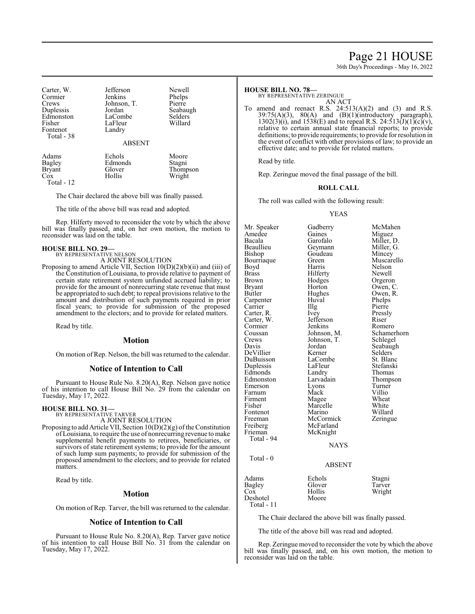# Page 21 HOUSE

36th Day's Proceedings - May 16, 2022

| Carter, W.<br>Cormier<br>Crews<br>Duplessis<br>Edmonston<br>Fisher<br>Fontenot<br>Total - 38 | Jefferson<br>Jenkins<br>Johnson, T.<br>Jordan<br>LaCombe<br>LaFleur<br>Landry<br><b>ABSENT</b> | Newell<br>Phelps<br>Pierre<br>Seabaugh<br>Selders<br>Willard |
|----------------------------------------------------------------------------------------------|------------------------------------------------------------------------------------------------|--------------------------------------------------------------|
| Adams                                                                                        | Echols                                                                                         | Moore                                                        |
| Bagley                                                                                       | Edmonds                                                                                        | Stagni                                                       |

The Chair declared the above bill was finally passed.

Bryant Glover Thompson<br>
Cox Hollis Wright

The title of the above bill was read and adopted.

Rep. Hilferty moved to reconsider the vote by which the above bill was finally passed, and, on her own motion, the motion to reconsider was laid on the table.

Wright

# **HOUSE BILL NO. 29—** BY REPRESENTATIVE NELSON

Total - 12

A JOINT RESOLUTION

Proposing to amend Article VII, Section 10(D)(2)(b)(ii) and (iii) of the Constitution of Louisiana, to provide relative to payment of certain state retirement system unfunded accrued liability; to provide for the amount of nonrecurring state revenue that must be appropriated to such debt; to repeal provisions relative to the amount and distribution of such payments required in prior fiscal years; to provide for submission of the proposed amendment to the electors; and to provide for related matters.

Read by title.

#### **Motion**

On motion of Rep. Nelson, the bill was returned to the calendar.

#### **Notice of Intention to Call**

Pursuant to House Rule No. 8.20(A), Rep. Nelson gave notice of his intention to call House Bill No. 29 from the calendar on Tuesday, May 17, 2022.

#### **HOUSE BILL NO. 31—** BY REPRESENTATIVE TARVER

A JOINT RESOLUTION

Proposing to add Article VII, Section  $10(D)(2)(g)$  of the Constitution of Louisiana, to require the use of nonrecurring revenue to make supplemental benefit payments to retirees, beneficiaries, or survivors of state retirement systems; to provide for the amount of such lump sum payments; to provide for submission of the proposed amendment to the electors; and to provide for related matters.

Read by title.

## **Motion**

On motion of Rep. Tarver, the bill was returned to the calendar.

#### **Notice of Intention to Call**

Pursuant to House Rule No. 8.20(A), Rep. Tarver gave notice of his intention to call House Bill No. 31 from the calendar on Tuesday, May 17, 2022.

#### **HOUSE BILL NO. 78—**

BY REPRESENTATIVE ZERINGUE

AN ACT

To amend and reenact R.S.  $24:513(A)(2)$  and (3) and R.S.  $39:75(A)(3)$ ,  $80(A)$  and (B)(1)(introductory paragraph),  $39:75(A)(3)$ ,  $80(A)$  and  $(B)(1)(introductory)$  paragraph),  $1302(3)(i)$ , and  $1538(E)$  and to repeal R.S.  $24:513(J)(1)(c)(v)$ , relative to certain annual state financial reports; to provide definitions; to provide requirements; to provide for resolution in the event of conflict with other provisions of law; to provide an effective date; and to provide for related matters.

Read by title.

Rep. Zeringue moved the final passage of the bill.

#### **ROLL CALL**

The roll was called with the following result:

#### YEAS

Mr. Speaker Gadberry McMahen<br>Amedee Gaines Miguez Amedee Gaines<br>Bacala Garofalo Bacala Garofalo Miller, D. Beaullieu Geymann Miller, G. Goudeau Mincey<br>Green Muscarello Bourriaque Green Muscarello<br>Royd Harris Nelson Boyd Harris Nelson<br>Brass Hilferty Newell Brass Hilferty<br>Brown Hodges Brown Hodges Orgeron<br>Bryant Horton Owen, C Bryant Horton Owen, C.<br>Butler Hughes Owen, R. Hughes Owen,<br>Huval Phelps Carpenter Huval Phelps<br>Carrier IIIg Pierre Carrier IIIg Pierre<br>Carter, R. Ivey Pressly Carter, R. Ivey Press<br>Carter, W. Jefferson Riser Carter, W. Jefferson Riser<br>
Cormier Lenkins Romero Cormier Jenkins Romero<br>Coussan Johnson, M. Schamerhorn Coussan Johnson, M. Schamer<br>Crews Johnson, T. Schlegel Crews Johnson, T.<br>Davis Jordan Jordan Seabaugh<br>Kerner Selders DeVillier Kerner Selders<br>
DuBuisson LaCombe St. Blanc DuBuisson LaCombe St. Blanc<br>
Duplessis LaFleur Stefanski Duplessis LaFleur Stefansk<br>Edmonds Landry Thomas Edmonds Landry<br>Edmonston Larvadain Edmonston Larvadain Thompson<br>
Emerson Lyons Turner Lyons Turner<br>
Mack Villio Farnum Mack Villio<br>Firment Magee Wheat Firment Magee Wheat<br>
Fisher Marcelle White Marcelle White<br>
Marino Willard Fontenot Marino Willard<br>
Freeman McCormick Zeringue Freeman McCormick<br>Freiberg McFarland Freiberg McFarland<br>Frieman McKnight McKnight Total - 94 NAYS Total - 0 ABSENT Adams Echols Stagni<br>
Bagley Glover Tarver Bagley Glover<br>Cox Hollis Cox Hollis Wright<br>Deshotel Moore Wright Deshotel

The Chair declared the above bill was finally passed.

The title of the above bill was read and adopted.

Rep. Zeringue moved to reconsider the vote by which the above bill was finally passed, and, on his own motion, the motion to reconsider was laid on the table.

Total - 11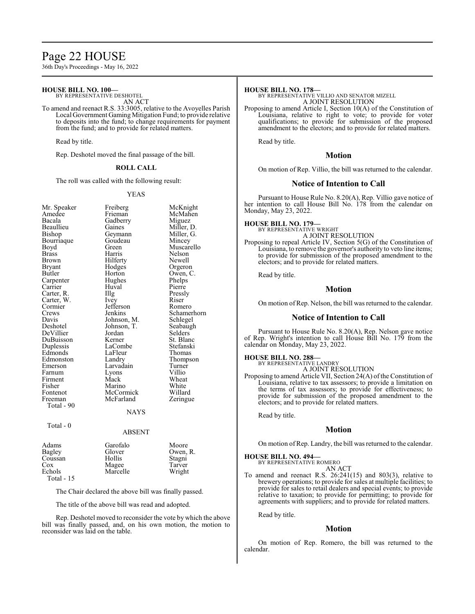# Page 22 HOUSE

36th Day's Proceedings - May 16, 2022

#### **HOUSE BILL NO. 100—**

BY REPRESENTATIVE DESHOTEL AN ACT

To amend and reenact R.S. 33:3005, relative to the Avoyelles Parish Local Government Gaming Mitigation Fund; to provide relative to deposits into the fund; to change requirements for payment from the fund; and to provide for related matters.

Read by title.

Rep. Deshotel moved the final passage of the bill.

#### **ROLL CALL**

The roll was called with the following result:

#### YEAS

| Mr. Speaker   | Freiberg    | McKnight    |
|---------------|-------------|-------------|
| Amedee        | Frieman     | McMahen     |
| Bacala        | Gadberry    | Miguez      |
| Beaullieu     | Gaines      | Miller, D.  |
| Bishop        | Geymann     | Miller, G.  |
| Bourriaque    | Goudeau     | Mincey      |
| Boyd          | Green       | Muscarello  |
| <b>Brass</b>  | Harris      | Nelson      |
| Brown         | Hilferty    | Newell      |
| Bryant        | Hodges      | Orgeron     |
| Butler        | Horton      | Owen, C.    |
| Carpenter     | Hughes      | Phelps      |
| Carrier       | Huval       | Pierre      |
| Carter, R.    | Illg        | Pressly     |
| Carter, W.    | Ivey        | Riser       |
| Cormier       | Jefferson   | Romero      |
| Crews         | Jenkins     | Schamerhorn |
| Davis         | Johnson, M. | Schlegel    |
| Deshotel      | Johnson, T. | Seabaugh    |
| DeVillier     | Jordan      | Selders     |
| DuBuisson     | Kerner      | St. Blanc   |
| Duplessis     | LaCombe     | Stefanski   |
| Edmonds       | LaFleur     | Thomas      |
| Edmonston     | Landry      | Thompson    |
| Emerson       | Larvadain   | Turner      |
| Farnum        | Lyons       | Villio      |
| Firment       | Mack        | Wheat       |
| Fisher        | Marino      | White       |
| Fontenot      | McCormick   | Willard     |
| Freeman       | McFarland   | Zeringue    |
| Total - 90    |             |             |
|               | NAYS        |             |
| Total - 0     |             |             |
|               | ABSENT      |             |
| Adams         | Garofalo    | Moore       |
| <b>Bagley</b> | Glover      | Owen, R.    |
| Coussan       | Hollis      | Stagni      |

| Coussan    |  |
|------------|--|
| Cox        |  |
| Echols     |  |
| Total - 15 |  |

The Chair declared the above bill was finally passed.

Magee Tarver<br>
Marcelle Wright

The title of the above bill was read and adopted.

Marcelle

Rep. Deshotel moved to reconsider the vote by which the above bill was finally passed, and, on his own motion, the motion to reconsider was laid on the table.

#### **HOUSE BILL NO. 178—**

BY REPRESENTATIVE VILLIO AND SENATOR MIZELL A JOINT RESOLUTION

Proposing to amend Article I, Section 10(A) of the Constitution of Louisiana, relative to right to vote; to provide for voter qualifications; to provide for submission of the proposed amendment to the electors; and to provide for related matters.

Read by title.

#### **Motion**

On motion of Rep. Villio, the bill was returned to the calendar.

#### **Notice of Intention to Call**

Pursuant to House Rule No. 8.20(A), Rep. Villio gave notice of her intention to call House Bill No. 178 from the calendar on Monday, May 23, 2022.

# **HOUSE BILL NO. 179—** BY REPRESENTATIVE WRIGHT

A JOINT RESOLUTION

Proposing to repeal Article IV, Section 5(G) of the Constitution of Louisiana, to remove the governor's authority to veto line items; to provide for submission of the proposed amendment to the electors; and to provide for related matters.

Read by title.

#### **Motion**

On motion of Rep. Nelson, the bill was returned to the calendar.

#### **Notice of Intention to Call**

Pursuant to House Rule No. 8.20(A), Rep. Nelson gave notice of Rep. Wright's intention to call House Bill No. 179 from the calendar on Monday, May 23, 2022.

#### **HOUSE BILL NO. 288—**

BY REPRESENTATIVE LANDRY A JOINT RESOLUTION

electors; and to provide for related matters.

Proposing to amend Article VII, Section 24(A) of the Constitution of Louisiana, relative to tax assessors; to provide a limitation on the terms of tax assessors; to provide for effectiveness; to

provide for submission of the proposed amendment to the

Read by title.

## **Motion**

On motion of Rep. Landry, the bill was returned to the calendar.

#### **HOUSE BILL NO. 494—**

BY REPRESENTATIVE ROMERO AN ACT

To amend and reenact R.S. 26:241(15) and 803(3), relative to brewery operations; to provide for sales at multiple facilities; to provide for sales to retail dealers and special events; to provide relative to taxation; to provide for permitting; to provide for agreements with suppliers; and to provide for related matters.

Read by title.

# **Motion**

On motion of Rep. Romero, the bill was returned to the calendar.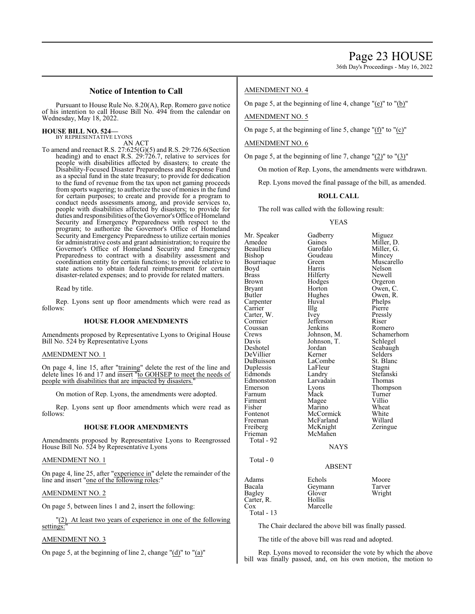## **Notice of Intention to Call**

Pursuant to House Rule No. 8.20(A), Rep. Romero gave notice of his intention to call House Bill No. 494 from the calendar on Wednesday, May 18, 2022.

#### **HOUSE BILL NO. 524—** BY REPRESENTATIVE LYONS

AN ACT

To amend and reenact R.S. 27:625(G)(5) and R.S. 29:726.6(Section heading) and to enact R.S. 29:726.7, relative to services for people with disabilities affected by disasters; to create the Disability-Focused Disaster Preparedness and Response Fund as a special fund in the state treasury; to provide for dedication to the fund of revenue from the tax upon net gaming proceeds from sports wagering; to authorize the use of monies in the fund for certain purposes; to create and provide for a program to conduct needs assessments among, and provide services to, people with disabilities affected by disasters; to provide for duties and responsibilities of the Governor's Office of Homeland Security and Emergency Preparedness with respect to the program; to authorize the Governor's Office of Homeland Security and Emergency Preparedness to utilize certain monies for administrative costs and grant administration; to require the Governor's Office of Homeland Security and Emergency Preparedness to contract with a disability assessment and coordination entity for certain functions; to provide relative to state actions to obtain federal reimbursement for certain disaster-related expenses; and to provide for related matters.

Read by title.

Rep. Lyons sent up floor amendments which were read as follows:

#### **HOUSE FLOOR AMENDMENTS**

Amendments proposed by Representative Lyons to Original House Bill No. 524 by Representative Lyons

#### AMENDMENT NO. 1

On page 4, line 15, after "training" delete the rest of the line and delete lines 16 and 17 and insert "to GOHSEP to meet the needs of people with disabilities that are impacted by disasters.

On motion of Rep. Lyons, the amendments were adopted.

Rep. Lyons sent up floor amendments which were read as follows:

#### **HOUSE FLOOR AMENDMENTS**

Amendments proposed by Representative Lyons to Reengrossed House Bill No. 524 by Representative Lyons

AMENDMENT NO. 1

On page 4, line 25, after "experience in" delete the remainder of the line and insert "one of the following roles:

#### AMENDMENT NO. 2

On page 5, between lines 1 and 2, insert the following:

(2) At least two years of experience in one of the following settings:

#### AMENDMENT NO. 3

On page 5, at the beginning of line 2, change "(d)" to "(a)"

#### AMENDMENT NO. 4

On page 5, at the beginning of line 4, change "(e)" to "(b)"

AMENDMENT NO. 5

On page 5, at the beginning of line 5, change "(f)" to "(c)"

#### AMENDMENT NO. 6

On page 5, at the beginning of line 7, change  $"(\underline{2})"$  to  $"(\underline{3})"$ 

On motion of Rep. Lyons, the amendments were withdrawn.

Rep. Lyons moved the final passage of the bill, as amended.

#### **ROLL CALL**

The roll was called with the following result:

#### YEAS

Mr. Speaker Gadberry Miguez<br>Amedee Gaines Miller I Amedee Gaines Miller, D.<br>Beaullieu Garofalo Miller, G. Beaullieu Garofalo Miller, G. Goudeau Mincey<br>Green Muscarello Bourriaque Green Muscar<br>Boyd Harris Nelson Boyd Harris Nelson Brass Hilferty<br>Brown Hodges Brown Hodges Orgeron<br>Bryant Horton Owen, C Bryant Horton Owen, C.<br>Butler Hughes Owen, R. Hughes Owen,<br>Huval Phelps Carpenter Huval Phelps<br>Carrier Illg Pierre Carrier IIIg Pierre<br>Carter, W. Ivey Pressly Carter, W. Vey Pressl<br>Cormier Jefferson Riser Jefferson Riser<br>Jenkins Romero Coussan Jenkins<br>Crews Johnson, M. Crews Johnson, M. Schamerhorn<br>Davis Johnson, T. Schlegel Davis Johnson, T.<br>Deshotel Jordan Jordan Seabaugh<br>Kerner Selders DeVillier Kerner Selders<br>
DuBuisson LaCombe St. Blanc LaCombe St. Bla<br>LaFleur Stagni Duplessis LaFleur Stagni<br>Edmonds Landry Stefanski Edmonds Landry Stefansl<br>Edmonston Larvadain Thomas Edmonston Larvadain<br>Emerson Lyons Eyons Thompson<br>
Mack Turner Farnum Mack Turner<br>Firment Magee Villio Firment Magee Villio<br>Fisher Marino Wheat Fisher Marino Wheat<br>Fontenot McCormick White Fontenot McCormick White<br>
Freeman McFarland Willard Freeman McFarland Willard<br>
Freiberg McKnight Zeringue Freiberg McKnight<br>Frieman McMahen McMahen Total - 92 Total - 0 Adams Echols Moore Bacala Geymann Tarver Glover<br>Hollis Carter, R.<br>Cox Marcelle

Total - 13

The Chair declared the above bill was finally passed.

**NAYS** 

ABSENT

The title of the above bill was read and adopted.

Rep. Lyons moved to reconsider the vote by which the above bill was finally passed, and, on his own motion, the motion to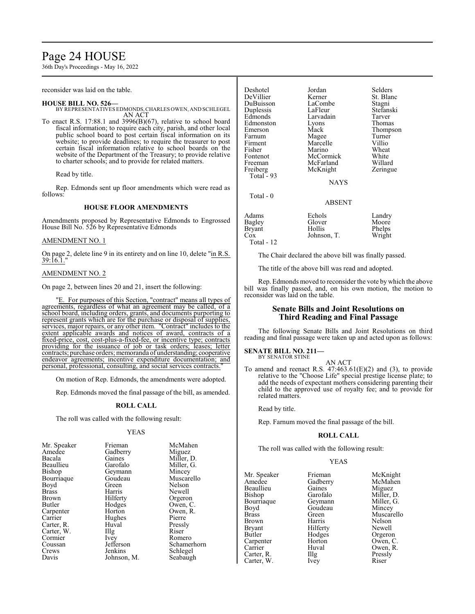# Page 24 HOUSE

36th Day's Proceedings - May 16, 2022

reconsider was laid on the table.

#### **HOUSE BILL NO. 526—**

BY REPRESENTATIVES EDMONDS, CHARLES OWEN, AND SCHLEGEL AN ACT

To enact R.S. 17:88.1 and 3996(B)(67), relative to school board fiscal information; to require each city, parish, and other local public school board to post certain fiscal information on its website; to provide deadlines; to require the treasurer to post certain fiscal information relative to school boards on the website of the Department of the Treasury; to provide relative to charter schools; and to provide for related matters.

Read by title.

Rep. Edmonds sent up floor amendments which were read as follows:

#### **HOUSE FLOOR AMENDMENTS**

Amendments proposed by Representative Edmonds to Engrossed House Bill No. 526 by Representative Edmonds

#### AMENDMENT NO. 1

On page 2, delete line 9 in its entirety and on line 10, delete "in R.S. <u>39:16.1.</u>"

#### AMENDMENT NO. 2

On page 2, between lines 20 and 21, insert the following:

"E. For purposes of this Section, "contract" means all types of agreements, regardless of what an agreement may be called, of a school board, including orders, grants, and documents purporting to represent grants which are for the purchase or disposal of supplies, services, major repairs, or any other item. "Contract" includes to the extent applicable awards and notices of award, contracts of a fixed-price, cost, cost-plus-a-fixed-fee, or incentive type; contracts providing for the issuance of job or task orders; leases; letter contracts; purchase orders; memoranda of understanding; cooperative endeavor agreements; incentive expenditure documentation; and personal, professional, consulting, and social services contracts."

On motion of Rep. Edmonds, the amendments were adopted.

Rep. Edmonds moved the final passage of the bill, as amended.

#### **ROLL CALL**

The roll was called with the following result:

#### YEAS

| Mr. Speaker  | Frieman     | McMahen     |
|--------------|-------------|-------------|
| Amedee       | Gadberry    | Miguez      |
| Bacala       | Gaines      | Miller, D.  |
| Beaullieu    | Garofalo    | Miller, G.  |
| Bishop       | Geymann     | Mincey      |
| Bourriaque   | Goudeau     | Muscarello  |
| Boyd         | Green       | Nelson      |
| <b>Brass</b> | Harris      | Newell      |
| Brown        | Hilferty    | Orgeron     |
| Butler       | Hodges      | Owen, C.    |
| Carpenter    | Horton      | Owen, R.    |
| Carrier      | Hughes      | Pierre      |
| Carter, R.   | Huval       | Pressly     |
| Carter, W.   | Illg        | Riser       |
| Cormier      | Ivey        | Romero      |
| Coussan      | Jefferson   | Schamerhorn |
| Crews        | Jenkins     | Schlegel    |
| Davis        | Johnson, M. | Seabaugh    |

| Deshotel<br>DeVillier<br>DuBuisson<br>Duplessis<br>Edmonds<br>Edmonston<br>Emerson<br>Farnum<br>Firment<br>Fisher<br>Fontenot<br>Freeman<br>Freiberg<br>Total $-93$<br>Total - 0 | Jordan<br>Kerner<br>LaCombe<br>LaFleur<br>Larvadain<br>Lyons<br>Mack<br>Magee<br>Marcelle<br>Marino<br>McCormick<br>McFarland<br>McKnight<br><b>NAYS</b> | Selders<br>St. Blanc<br>Stagni<br>Stefanski<br>Tarver<br>Thomas<br>Thompson<br>Turner<br>Villio<br>Wheat<br>White<br>Willard<br>Zeringue |
|----------------------------------------------------------------------------------------------------------------------------------------------------------------------------------|----------------------------------------------------------------------------------------------------------------------------------------------------------|------------------------------------------------------------------------------------------------------------------------------------------|
|                                                                                                                                                                                  | ABSENT                                                                                                                                                   |                                                                                                                                          |
| Adams<br>Bagley<br>Bryant<br>Cox                                                                                                                                                 | Echols<br>Glover<br>Hollis<br>Johnson, T.                                                                                                                | Landry<br>Moore<br>Phelps<br>Wright                                                                                                      |

Total - 12

The Chair declared the above bill was finally passed.

The title of the above bill was read and adopted.

Rep. Edmonds moved to reconsider the vote by which the above bill was finally passed, and, on his own motion, the motion to reconsider was laid on the table.

## **Senate Bills and Joint Resolutions on Third Reading and Final Passage**

The following Senate Bills and Joint Resolutions on third reading and final passage were taken up and acted upon as follows:

#### **SENATE BILL NO. 211—** BY SENATOR STINE

AN ACT

To amend and reenact R.S.  $47:463.61(E)(2)$  and (3), to provide relative to the "Choose Life" special prestige license plate; to add the needs of expectant mothers considering parenting their child to the approved use of royalty fee; and to provide for related matters.

Read by title.

Rep. Farnum moved the final passage of the bill.

#### **ROLL CALL**

The roll was called with the following result:

#### YEAS

Mr. Speaker Frieman McKnight<br>Amedee Gadberry McMahen Beaullieu Gaines<br>Bishop Garofalo Bourriaque Geymann<br>Boyd Goudeau Boyd Goudeau Mincey<br>Brass Green Muscare Brown Harris Nelson<br>Bryant Hilferty Newell Bryant Hilferty Newell<br>Butler Hodges Orgeron Carpenter Horton<br>Carrier Huval Carter, R. Illg Pressl<br>Carter, W. Ivev Riser Carter, W.

Gadberry McMah<br>Gaines Miguez Garofalo Miller, D.<br>Geymann Miller, G. Brass Green Muscarello<br>Brown Harris Nelson Hodges Orgeron<br>
Horton Owen, C. Huval Owen, R.<br>Illg Pressly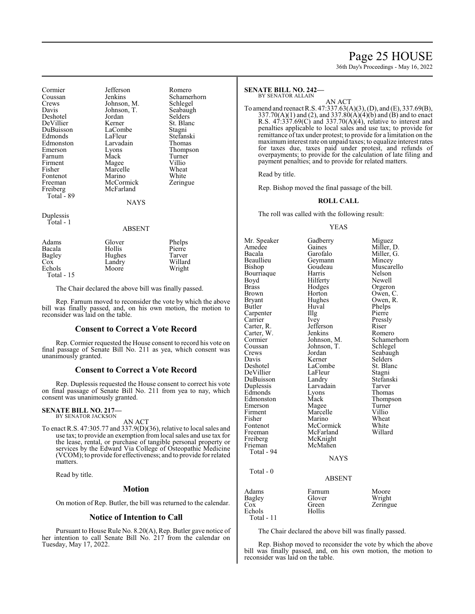# Page 25 HOUSE

36th Day's Proceedings - May 16, 2022

Cormier Jefferson Romero<br>Coussan Jenkins Schamer Coussan Jenkins Schamerhorn<br>Crews Johnson, M. Schlegel Crews Johnson, M. Schlegel<br>Davis Johnson, T. Seabaugh Deshotel Jordan Selders<br>
DeVillier Kerner St. Blanc DeVillier DuBuisson LaCombe Stagni Edmonds LaFleur Stefansk<br>Edmonston Larvadain Thomas Edmonston Larvadain<br>Emerson Lyons Emerson Lyons Thompson<br>
Farnum Mack Turner Farnum Mack Turner<br>Firment Magee Villio Firment Magee Villio<br>Fisher Marcelle Wheat Fontenot Marino White<br>
Freeman McCormick Zeringue Freiberg McFarland Total - 89

Johnson, T.<br>Jordan Selders Marcelle Wheat<br>
Marino White **McCormick** 

**NAYS** 

Duplessis Total - 1

#### ABSENT

| Adams       | Glover | Phelps  |
|-------------|--------|---------|
| Bacala      | Hollis | Pierre  |
| Bagley      | Hughes | Tarver  |
| Cox         | Landry | Willard |
| Echols      | Moore  | Wright  |
| Total $-15$ |        |         |

The Chair declared the above bill was finally passed.

Rep. Farnum moved to reconsider the vote by which the above bill was finally passed, and, on his own motion, the motion to reconsider was laid on the table.

#### **Consent to Correct a Vote Record**

Rep. Cormier requested the House consent to record his vote on final passage of Senate Bill No. 211 as yea, which consent was unanimously granted.

#### **Consent to Correct a Vote Record**

Rep. Duplessis requested the House consent to correct his vote on final passage of Senate Bill No. 211 from yea to nay, which consent was unanimously granted.

#### **SENATE BILL NO. 217—** BY SENATOR JACKSON

AN ACT

To enact R.S. 47:305.77 and 337.9(D)(36), relative to local sales and use tax; to provide an exemption from local sales and use tax for the lease, rental, or purchase of tangible personal property or services by the Edward Via College of Osteopathic Medicine (VCOM); to provide for effectiveness; and to provide for related matters.

Read by title.

#### **Motion**

On motion of Rep. Butler, the bill was returned to the calendar.

#### **Notice of Intention to Call**

Pursuant to House Rule No. 8.20(A), Rep. Butler gave notice of her intention to call Senate Bill No. 217 from the calendar on Tuesday, May 17, 2022.

## **SENATE BILL NO. 242—**

BY SENATOR ALLAIN

AN ACT To amend and reenact R.S. 47:337.63(A)(3), (D), and (E), 337.69(B), 337.70(A)(1) and (2), and 337.80(A)(4)(b) and (B) and to enact R.S.  $47:337.69(C)$  and  $337.70(A)(4)$ , relative to interest and penalties applicable to local sales and use tax; to provide for remittance of tax under protest; to provide for a limitation on the maximuminterest rate on unpaid taxes; to equalize interest rates for taxes due, taxes paid under protest, and refunds of overpayments; to provide for the calculation of late filing and payment penalties; and to provide for related matters.

Read by title.

Rep. Bishop moved the final passage of the bill.

#### **ROLL CALL**

The roll was called with the following result:

#### YEAS

Mr. Speaker Gadberry Miguez<br>Amedee Gaines Miller, 1 Amedee Gaines Miller, D.<br>Bacala Garofalo Miller. G. Bacala Garofalo Miller, G. Beaullieu Geymann<br>Bishop Goudeau Goudeau Muscarello<br>Harris Nelson Bourriaque Harris Nelson<br>Boyd Hilferty Newell Boyd Hilferty<br>Brass Hodges Brass Hodges Orgeron<br>Brown Horton Owen Brown Horton Owen, C.<br>Bryant Hughes Owen, R. Bryant Hughes Owen, R.<br>Butler Huval Phelps Huval Phelps<br>Illg Pierre Carpenter Carrier Ivey Pressly<br>Carter, R. Jefferson Riser Jefferson Riser<br>Jenkins Romero Carter, W. Jenkins<br>Cormier Johnson, M. Cormier Johnson, M. Schamerhorn<br>Coussan Johnson, T. Schlegel Coussan Johnson, T.<br>Crews Jordan Crews Jordan Seabaugh<br>
Davis Kerner Selders Davis Kerner Selders<br>Deshotel LaCombe St. Blanc LaCombe<br>
LaFleur Stagni DeVillier LaFleu<br>DuBuisson Landry DuBuisson Landry Stefanski<br>Duplessis Larvadain Tarver Larvadain Tarver<br>Lyons Thomas Edmonds Lyons Thomas<br>Edmonston Mack Thompson Edmonston Mack Thomp<br>Emerson Magee Turner Emerson Magee Turner<br>Firment Marcelle Villio Firment Marcelle Villio<br>Fisher Marino Wheat Fisher Marino Wheat<br>Fontenot McCormick White Fontenot McCormick White<br>Freeman McFarland Willard McFarland<br>McKnight Freiberg<br>Frieman McMahen Total - 94 NAYS Total - 0 ABSENT Adams Farnum Moore<br>Bagley Glover Wright Bagley Glover Wright<br>
Cox Green Zeringu Green Zeringue<br>Hollis Echols Total - 11

The Chair declared the above bill was finally passed.

Rep. Bishop moved to reconsider the vote by which the above bill was finally passed, and, on his own motion, the motion to reconsider was laid on the table.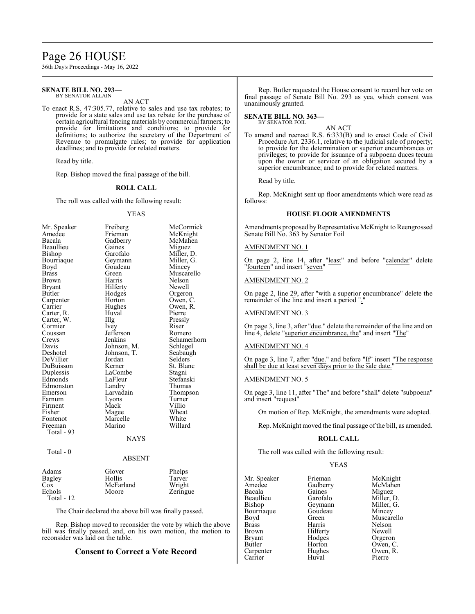# Page 26 HOUSE

36th Day's Proceedings - May 16, 2022

#### **SENATE BILL NO. 293—** BY SENATOR ALLAIN

AN ACT

To enact R.S. 47:305.77, relative to sales and use tax rebates; to provide for a state sales and use tax rebate for the purchase of certain agricultural fencing materials by commercial farmers; to provide for limitations and conditions; to provide for definitions; to authorize the secretary of the Department of Revenue to promulgate rules; to provide for application deadlines; and to provide for related matters.

Read by title.

Rep. Bishop moved the final passage of the bill.

#### **ROLL CALL**

The roll was called with the following result:

#### YEAS

| Mr. Speaker  | Freiberg    | McCormick   |
|--------------|-------------|-------------|
| Amedee       | Frieman     | McKnight    |
| Bacala       | Gadberry    | McMahen     |
| Beaullieu    | Gaines      | Miguez      |
| Bishop       | Garofalo    | Miller, D.  |
| Bourriaque   | Geymann     | Miller, G.  |
| Boyd         | Goudeau     | Mincey      |
| <b>Brass</b> | Green       | Muscarello  |
| Brown        | Harris      | Nelson      |
| Bryant       | Hilferty    | Newell      |
| Butler       | Hodges      | Orgeron     |
| Carpenter    | Horton      | Owen, C.    |
| Carrier      | Hughes      | Owen, R.    |
| Carter, R.   | Huval       | Pierre      |
| Carter, W.   | Illg        | Pressly     |
| Cormier      | <i>lvey</i> | Riser       |
| Coussan      | Jefferson   | Romero      |
| Crews        | Jenkins     | Schamerhorn |
| Davis        | Johnson, M. | Schlegel    |
| Deshotel     | Johnson, T. | Seabaugh    |
| DeVillier    | Jordan      | Selders     |
| DuBuisson    | Kerner      | St. Blanc   |
| Duplessis    | LaCombe     | Stagni      |
| Edmonds      | LaFleur     | Stefanski   |
| Edmonston    | Landry      | Thomas      |
| Emerson      | Larvadain   | Thompson    |
| Farnum       | Lyons       | Turner      |
| Firment      | Mack        | Villio      |
| Fisher       | Magee       | Wheat       |
| Fontenot     | Marcelle    | White       |
| Freeman      | Marino      | Willard     |
| Total - 93   |             |             |
|              | NAYS        |             |
| Total - 0    |             |             |
|              | ABSENT      |             |

#### Adams Glover Phelps<br>
Bagley Hollis Tarver Bagley Hollis Tarver<br>
Cox McFarland Wright Cox McFarland<br>Echols Moore Zeringue Total - 12

The Chair declared the above bill was finally passed.

Rep. Bishop moved to reconsider the vote by which the above bill was finally passed, and, on his own motion, the motion to reconsider was laid on the table.

#### **Consent to Correct a Vote Record**

Rep. Butler requested the House consent to record her vote on final passage of Senate Bill No. 293 as yea, which consent was unanimously granted.

#### **SENATE BILL NO. 363—** BY SENATOR FOIL

AN ACT

To amend and reenact R.S. 6:333(B) and to enact Code of Civil Procedure Art. 2336.1, relative to the judicial sale of property; to provide for the determination or superior encumbrances or privileges; to provide for issuance of a subpoena duces tecum upon the owner or servicer of an obligation secured by a superior encumbrance; and to provide for related matters.

Read by title.

Rep. McKnight sent up floor amendments which were read as follows:

#### **HOUSE FLOOR AMENDMENTS**

Amendments proposed by Representative McKnight to Reengrossed Senate Bill No. 363 by Senator Foil

#### AMENDMENT NO. 1

On page 2, line 14, after "least" and before "calendar" delete "fourteen" and insert "seven"

#### AMENDMENT NO. 2

On page 2, line 29, after "with a superior encumbrance" delete the remainder of the line and insert a period ".

#### AMENDMENT NO. 3

On page 3, line 3, after "due." delete the remainder of the line and on line 4, delete "superior encumbrance, the" and insert "The"

#### AMENDMENT NO. 4

On page 3, line 7, after "due." and before "If" insert "The response shall be due at least seven days prior to the sale date."

#### AMENDMENT NO. 5

On page 3, line 11, after "The" and before "shall" delete "subpoena" and insert "request"

On motion of Rep. McKnight, the amendments were adopted.

Rep. McKnight moved the final passage of the bill, as amended.

#### **ROLL CALL**

The roll was called with the following result:

Goudeau<br>Green

Hilferty<br>Hodges

#### YEAS

| Mr. Speaker   | Friema  |
|---------------|---------|
| Amedee        | Gadbe   |
| Bacala        | Gaines  |
| Beaullieu     | Garofa  |
| Bishop        | Geyma   |
| Bourriaque    | Goude   |
| Boyd          | Green   |
| <b>Brass</b>  | Harris  |
| <b>Brown</b>  | Hilfert |
| <b>Bryant</b> | Hodge   |
| Butler        | Hortor  |
| Carpenter     | Hughe   |
| Carrier       | Huval   |

Frieman McKnight<br>Gadberry McMahen Gadberry McMahen<br>Gaines Miguez Gaines Miguez<br>Garofalo Miller, I Miller, D.<br>Miller, G. Geymann Miller,<br>Goudeau Mincey Muscarello<br>Nelson Harris Nelson<br>Hilferty Newell Hodges Orgeron<br>Horton Owen, C Horton Owen, C.<br>Hughes Owen, R. Owen, R.<br>Pierre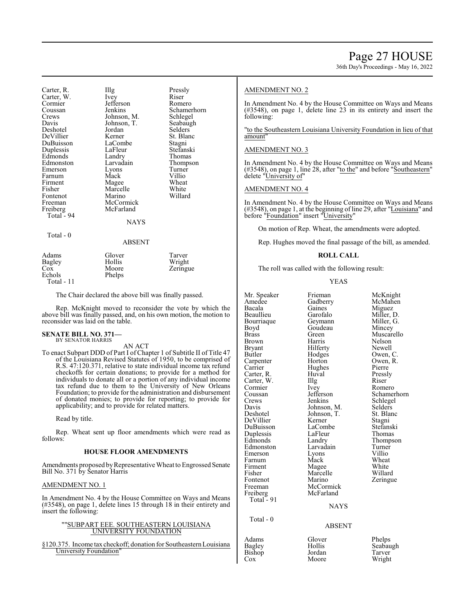36th Day's Proceedings - May 16, 2022

|             | Pressly                                              |
|-------------|------------------------------------------------------|
| Ivey        | Riser                                                |
| Jefferson   | Romero                                               |
| Jenkins     | Schamerhorn                                          |
|             | Schlegel                                             |
|             | Seabaugh                                             |
| Jordan      | Selders                                              |
| Kerner      | St. Blanc                                            |
| LaCombe     | Stagni                                               |
| LaFleur     | Stefanski                                            |
| Landry      | Thomas                                               |
| Larvadain   | Thompson                                             |
| Lyons       | Turner                                               |
| Mack        | Villio                                               |
|             | Wheat                                                |
| Marcelle    | White                                                |
| Marino      | Willard                                              |
| McCormick   |                                                      |
| McFarland   |                                                      |
|             |                                                      |
| <b>NAYS</b> |                                                      |
|             |                                                      |
| ABSENT      |                                                      |
| Glover      | Tarver                                               |
| Hollis      | Wright                                               |
|             | Zeringue                                             |
| Phelps      |                                                      |
|             | Illg<br>Johnson, M.<br>Johnson, T.<br>Magee<br>Moore |

# Total - 11

The Chair declared the above bill was finally passed.

Rep. McKnight moved to reconsider the vote by which the above bill was finally passed, and, on his own motion, the motion to reconsider was laid on the table.

#### **SENATE BILL NO. 371** BY SENATOR HARRIS

AN ACT

To enact Subpart DDD of Part I of Chapter 1 of Subtitle II of Title 47 of the Louisiana Revised Statutes of 1950, to be comprised of R.S. 47:120.371, relative to state individual income tax refund checkoffs for certain donations; to provide for a method for individuals to donate all or a portion of any individual income tax refund due to them to the University of New Orleans Foundation; to provide for the administration and disbursement of donated monies; to provide for reporting; to provide for applicability; and to provide for related matters.

Read by title.

Rep. Wheat sent up floor amendments which were read as follows:

#### **HOUSE FLOOR AMENDMENTS**

Amendments proposed by Representative Wheat to Engrossed Senate Bill No. 371 by Senator Harris

#### AMENDMENT NO. 1

In Amendment No. 4 by the House Committee on Ways and Means (#3548), on page 1, delete lines 15 through 18 in their entirety and insert the following:

#### ""SUBPART EEE. SOUTHEASTERN LOUISIANA UNIVERSITY FOUNDATION

§120.375. Income tax checkoff; donation for SoutheasternLouisiana **University Foundation** 

#### AMENDMENT NO. 2

In Amendment No. 4 by the House Committee on Ways and Means (#3548), on page 1, delete line 23 in its entirety and insert the following:

"to the Southeastern Louisiana University Foundation in lieu of that amount"

#### AMENDMENT NO. 3

In Amendment No. 4 by the House Committee on Ways and Means (#3548), on page 1, line 28, after "to the" and before "Southeastern" delete "University of"

#### AMENDMENT NO. 4

In Amendment No. 4 by the House Committee on Ways and Means (#3548), on page 1, at the beginning of line 29, after "Louisiana" and before "Foundation" insert "University"

On motion of Rep. Wheat, the amendments were adopted.

Rep. Hughes moved the final passage of the bill, as amended.

#### **ROLL CALL**

The roll was called with the following result:

YEAS

| Mr. Speaker          | Frieman           | McKnight           |
|----------------------|-------------------|--------------------|
| Amedee               | Gadberry          | McMahen            |
| Bacala               | Gaines            | Miguez             |
| Beaullieu            | Garofalo          | Miller, D.         |
| Bourriaque           | Geymann           | Miller, G.         |
| Boyd                 | Goudeau           | Mincey             |
| <b>Brass</b>         | Green             | Muscarello         |
| Brown                | Harris            | Nelson             |
| Bryant               | Hilferty          | Newell             |
| <b>Butler</b>        | Hodges            | Owen, C.           |
| Carpenter            | Horton            | Owen, R.           |
| Carrier              | Hughes            | Pierre             |
| Carter, R.           | Huval             | Pressly            |
| Carter, W.           | $\prod_{i=1}^{n}$ | Riser              |
| Cormier              | Ivey              | Romero             |
| Coussan              | Jefferson         | Schamerhorn        |
| Crews                | Jenkins           | Schlegel           |
| Davis                | Johnson, M.       | <b>Selders</b>     |
| Deshotel             | Johnson, T.       | St. Blanc          |
| DeVillier            | Kerner            | Stagni             |
| DuBuisson            | LaCombe           | Stefanski          |
|                      | LaFleur           | Thomas             |
| Duplessis<br>Edmonds | Landry            |                    |
| Edmonston            | Larvadain         | Thompson<br>Turner |
|                      |                   | Villio             |
| Emerson<br>Farnum    | Lyons<br>Mack     | Wheat              |
| Firment              |                   | White              |
| Fisher               | Magee<br>Marcelle | Willard            |
|                      |                   |                    |
| Fontenot             | Marino            | Zeringue           |
| Freeman              | McCormick         |                    |
| Freiberg             | McFarland         |                    |
| Total $-91$          |                   |                    |
|                      | <b>NAYS</b>       |                    |
| Total - 0            |                   |                    |
|                      | ABSENT            |                    |
|                      |                   |                    |

Adams Glover Phelps<br>
Bagley Hollis Seabau Cox Moore

Bagley Hollis Seabaugh<br>Bishop Jordan Tarver Jordan Tarver<br>Moore Wright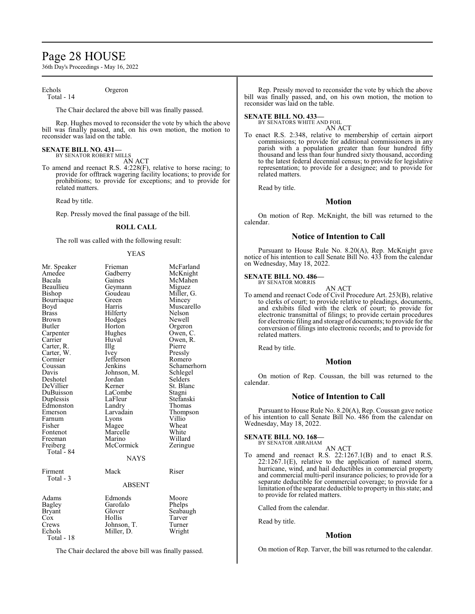# Page 28 HOUSE

36th Day's Proceedings - May 16, 2022

Echols Orgeron Total - 14

The Chair declared the above bill was finally passed.

Rep. Hughes moved to reconsider the vote by which the above bill was finally passed, and, on his own motion, the motion to reconsider was laid on the table.

#### **SENATE BILL NO. 431—** BY SENATOR ROBERT MILLS

AN ACT

To amend and reenact R.S. 4:228(F), relative to horse racing; to provide for offtrack wagering facility locations; to provide for prohibitions; to provide for exceptions; and to provide for related matters.

Read by title.

Rep. Pressly moved the final passage of the bill.

#### **ROLL CALL**

The roll was called with the following result:

#### YEAS

| Mr. Speaker<br>Amedee<br>Bacala<br>Beaullieu<br>Bishop<br>Bourriaque<br>Boyd<br>Brass<br><b>Brown</b><br>Butler<br>Carpenter<br>Carrier<br>Carter, R.<br>Carter, W.<br>Cormier<br>Coussan<br>Davis<br>Deshotel<br>DeVillier<br>DuBuisson<br>Duplessis<br>Edmonston<br>Emerson<br>Farnum<br>Fisher<br>Fontenot<br>Freeman<br>Freiberg<br>Total - 84<br>Firment | Frieman<br>Gadberry<br>Gaines<br>Geymann<br>Goudeau<br>Green<br>Harris<br>Hilferty<br>Hodges<br>Horton<br>Hughes<br>Huval<br>Illg<br>Ivey<br>Jefferson<br>Jenkins<br>Johnson, M.<br>Jordan<br>Kerner<br>LaCombe<br>LaFleur<br>Landry<br>Larvadain<br>Lyons<br>Magee<br>Marcelle<br>Marino<br>McCormick<br><b>NAYS</b><br>Mack | McFarland<br>McKnight<br>McMahen<br>Miguez<br>Miller, G.<br>Mincey<br>Muscarello<br>Nelson<br>Newell<br>Orgeron<br>Owen, C.<br>Owen, R.<br>Pierre<br>Pressly<br>Romero<br>Schamerhorn<br>Schlegel<br>Selders<br>St. Blanc<br>Stagni<br>Stefanski<br>Thomas<br>Thompson<br>Villio<br>Wheat<br>White<br>Willard<br>Zeringue<br>Riser |
|---------------------------------------------------------------------------------------------------------------------------------------------------------------------------------------------------------------------------------------------------------------------------------------------------------------------------------------------------------------|-------------------------------------------------------------------------------------------------------------------------------------------------------------------------------------------------------------------------------------------------------------------------------------------------------------------------------|------------------------------------------------------------------------------------------------------------------------------------------------------------------------------------------------------------------------------------------------------------------------------------------------------------------------------------|
| Total - 3                                                                                                                                                                                                                                                                                                                                                     | <b>ABSENT</b>                                                                                                                                                                                                                                                                                                                 |                                                                                                                                                                                                                                                                                                                                    |
| Adams<br>Bagley<br>Bryant<br>Cox<br>Crews<br>Echols<br>Total - 18                                                                                                                                                                                                                                                                                             | Edmonds<br>Garofalo<br>Glover<br>Hollis<br>Johnson, T.<br>Miller, D.                                                                                                                                                                                                                                                          | Moore<br>Phelps<br>Seabaugh<br>Tarver<br>Turner<br>Wright                                                                                                                                                                                                                                                                          |

The Chair declared the above bill was finally passed.

Rep. Pressly moved to reconsider the vote by which the above bill was finally passed, and, on his own motion, the motion to reconsider was laid on the table.

#### **SENATE BILL NO. 433—**

BY SENATORS WHITE AND FOIL AN ACT

To enact R.S. 2:348, relative to membership of certain airport commissions; to provide for additional commissioners in any parish with a population greater than four hundred fifty thousand and less than four hundred sixty thousand, according to the latest federal decennial census; to provide for legislative representation; to provide for a designee; and to provide for related matters.

Read by title.

## **Motion**

On motion of Rep. McKnight, the bill was returned to the calendar.

## **Notice of Intention to Call**

Pursuant to House Rule No. 8.20(A), Rep. McKnight gave notice of his intention to call Senate Bill No. 433 from the calendar on Wednesday, May 18, 2022.

#### **SENATE BILL NO. 486-**BY SENATOR MORRIS

AN ACT To amend and reenact Code of Civil Procedure Art. 253(B), relative to clerks of court; to provide relative to pleadings, documents, and exhibits filed with the clerk of court; to provide for electronic transmittal of filings; to provide certain procedures for electronic filing and storage of documents; to provide for the conversion of filings into electronic records; and to provide for related matters.

Read by title.

#### **Motion**

On motion of Rep. Coussan, the bill was returned to the calendar.

#### **Notice of Intention to Call**

Pursuant to House Rule No. 8.20(A), Rep. Coussan gave notice of his intention to call Senate Bill No. 486 from the calendar on Wednesday, May 18, 2022.

## **SENATE BILL NO. 168—**

BY SENATOR ABRAHAM

AN ACT To amend and reenact R.S. 22:1267.1(B) and to enact R.S. 22:1267.1(E), relative to the application of named storm, hurricane, wind, and hail deductibles in commercial property and commercial multi-peril insurance policies; to provide for a separate deductible for commercial coverage; to provide for a limitation of the separate deductible to property in this state; and to provide for related matters.

Called from the calendar.

Read by title.

#### **Motion**

On motion of Rep. Tarver, the bill was returned to the calendar.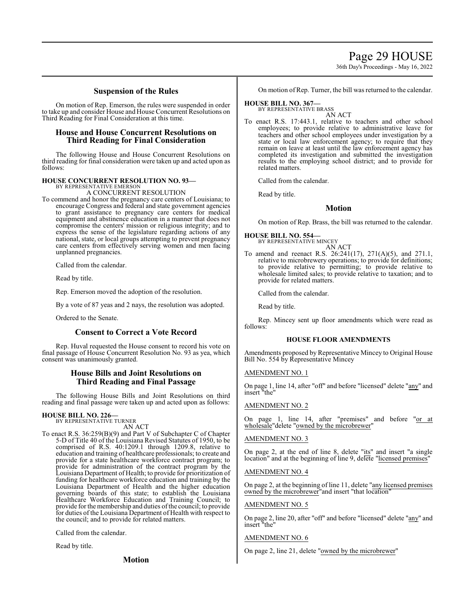# Page 29 HOUSE

36th Day's Proceedings - May 16, 2022

## **Suspension of the Rules**

On motion of Rep. Emerson, the rules were suspended in order to take up and consider House and House Concurrent Resolutions on Third Reading for Final Consideration at this time.

## **House and House Concurrent Resolutions on Third Reading for Final Consideration**

The following House and House Concurrent Resolutions on third reading for final consideration were taken up and acted upon as follows:

# **HOUSE CONCURRENT RESOLUTION NO. 93—** BY REPRESENTATIVE EMERSON

A CONCURRENT RESOLUTION

To commend and honor the pregnancy care centers of Louisiana; to encourage Congress and federal and state government agencies to grant assistance to pregnancy care centers for medical equipment and abstinence education in a manner that does not compromise the centers' mission or religious integrity; and to express the sense of the legislature regarding actions of any national, state, or local groups attempting to prevent pregnancy care centers from effectively serving women and men facing unplanned pregnancies.

Called from the calendar.

Read by title.

Rep. Emerson moved the adoption of the resolution.

By a vote of 87 yeas and 2 nays, the resolution was adopted.

Ordered to the Senate.

## **Consent to Correct a Vote Record**

Rep. Huval requested the House consent to record his vote on final passage of House Concurrent Resolution No. 93 as yea, which consent was unanimously granted.

## **House Bills and Joint Resolutions on Third Reading and Final Passage**

The following House Bills and Joint Resolutions on third reading and final passage were taken up and acted upon as follows:

#### **HOUSE BILL NO. 226—**

BY REPRESENTATIVE TURNER AN ACT

To enact R.S. 36:259(B)(9) and Part V of Subchapter C of Chapter 5-D of Title 40 of the Louisiana Revised Statutes of 1950, to be comprised of R.S. 40:1209.1 through 1209.8, relative to education and training of healthcare professionals; to create and provide for a state healthcare workforce contract program; to provide for administration of the contract program by the Louisiana Department of Health; to provide for prioritization of funding for healthcare workforce education and training by the Louisiana Department of Health and the higher education governing boards of this state; to establish the Louisiana Healthcare Workforce Education and Training Council; to provide for the membership and duties of the council; to provide for duties of the Louisiana Department of Health with respect to the council; and to provide for related matters.

Called from the calendar.

Read by title.

**Motion**

On motion of Rep. Turner, the bill was returned to the calendar.

## **HOUSE BILL NO. 367—**

BY REPRESENTATIVE BRASS

AN ACT To enact R.S. 17:443.1, relative to teachers and other school employees; to provide relative to administrative leave for teachers and other school employees under investigation by a state or local law enforcement agency; to require that they remain on leave at least until the law enforcement agency has completed its investigation and submitted the investigation results to the employing school district; and to provide for related matters.

Called from the calendar.

Read by title.

## **Motion**

On motion of Rep. Brass, the bill was returned to the calendar.

**HOUSE BILL NO. 554—**

BY REPRESENTATIVE MINCEY AN ACT

To amend and reenact R.S. 26:241(17), 271(A)(5), and 271.1, relative to microbrewery operations; to provide for definitions; to provide relative to permitting; to provide relative to wholesale limited sales; to provide relative to taxation; and to provide for related matters.

Called from the calendar.

Read by title.

Rep. Mincey sent up floor amendments which were read as follows:

#### **HOUSE FLOOR AMENDMENTS**

Amendments proposed by Representative Mincey to Original House Bill No. 554 by Representative Mincey

#### AMENDMENT NO. 1

On page 1, line 14, after "off" and before "licensed" delete "any" and insert "the"

## AMENDMENT NO. 2

On page 1, line 14, after "premises" and before "or at wholesale"delete "owned by the microbrewer"

## AMENDMENT NO. 3

On page 2, at the end of line 8, delete "its" and insert "a single location" and at the beginning of line 9, delete "licensed premises"

#### AMENDMENT NO. 4

On page 2, at the beginning of line 11, delete "any licensed premises owned by the microbrewer<sup>"</sup> and insert "that location"

#### AMENDMENT NO. 5

On page 2, line 20, after "off" and before "licensed" delete "any" and insert "the"

#### AMENDMENT NO. 6

On page 2, line 21, delete "owned by the microbrewer"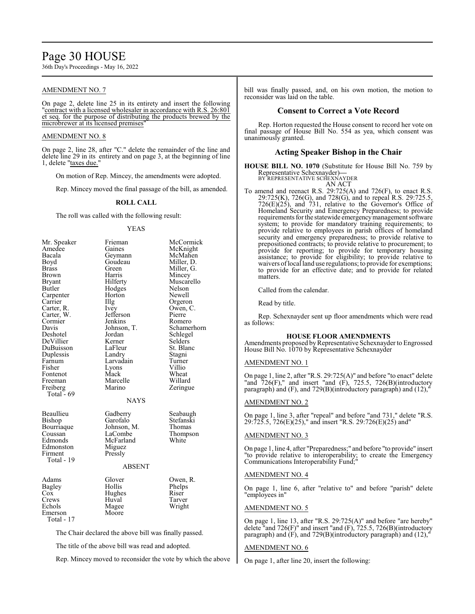# Page 30 HOUSE

36th Day's Proceedings - May 16, 2022

#### AMENDMENT NO. 7

On page 2, delete line 25 in its entirety and insert the following "contract with a licensed wholesaler in accordance with R.S. 26:801 et seq. for the purpose of distributing the products brewed by the microbrewer at its licensed premises

#### AMENDMENT NO. 8

On page 2, line 28, after "C." delete the remainder of the line and delete line 29 in its entirety and on page 3, at the beginning of line 1, delete "taxes due."

On motion of Rep. Mincey, the amendments were adopted.

Rep. Mincey moved the final passage of the bill, as amended.

#### **ROLL CALL**

The roll was called with the following result:

#### YEAS

| Mr. Speaker<br>Amedee<br>Bacala<br>Boyd<br>Brass<br>Brown<br><b>Bryant</b><br>Butler<br>Carpenter<br>Carrier<br>Carter, R.<br>Carter, W.<br>Cormier<br>Davis<br>Deshotel<br>DeVillier<br>DuBuisson<br>Duplessis<br>Farnum<br>Fisher<br>Fontenot<br>Freeman<br>Freiberg<br>Total - 69 | Frieman<br>Gaines<br>Geymann<br>Goudeau<br>Green<br>Harris<br>Hilferty<br>Hodges<br>Horton<br>Illg<br>Ivey<br>Jefferson<br>Jenkins<br>Johnson, T.<br>Jordan<br>Kerner<br>LaFleur<br>Landry<br>Larvadain<br>Lyons<br>Mack<br>Marcelle<br>Marino<br>NAYS | McCormick<br>McKnight<br>McMahen<br>Miller, D.<br>Miller, G.<br>Mincey<br>Muscarello<br>Nelson<br>Newell<br>Orgeron<br>Owen, C.<br>Pierre<br>Romero<br>Schamerhorn<br>Schlegel<br>Selders<br>St. Blanc<br>Stagni<br>Turner<br>Villio<br>Wheat<br>Willard<br>Zeringue |
|--------------------------------------------------------------------------------------------------------------------------------------------------------------------------------------------------------------------------------------------------------------------------------------|--------------------------------------------------------------------------------------------------------------------------------------------------------------------------------------------------------------------------------------------------------|----------------------------------------------------------------------------------------------------------------------------------------------------------------------------------------------------------------------------------------------------------------------|
| Beaullieu<br>Bishop<br>Bourriaque<br>Coussan<br>Edmonds<br>Edmonston<br>Firment<br>Total - 19                                                                                                                                                                                        | Gadberry<br>Garofalo<br>Johnson, M.<br>LaCombe<br>McFarland<br>Miguez<br>Pressly<br><b>ABSENT</b>                                                                                                                                                      | Seabaugh<br>Stefanski<br>Thomas<br>Thompson<br>White                                                                                                                                                                                                                 |
| Adams<br>Bagley<br>Cox<br>Crews<br>Echols<br>Emerson<br>Total - 17                                                                                                                                                                                                                   | Glover<br>Hollis<br>Hughes<br>Huval<br>Magee<br>Moore                                                                                                                                                                                                  | Owen, R.<br>Phelps<br>Riser<br>Tarver<br>Wright                                                                                                                                                                                                                      |

The Chair declared the above bill was finally passed.

The title of the above bill was read and adopted.

Rep. Mincey moved to reconsider the vote by which the above

bill was finally passed, and, on his own motion, the motion to reconsider was laid on the table.

#### **Consent to Correct a Vote Record**

Rep. Horton requested the House consent to record her vote on final passage of House Bill No. 554 as yea, which consent was unanimously granted.

## **Acting Speaker Bishop in the Chair**

**HOUSE BILL NO. 1070** (Substitute for House Bill No. 759 by Representative Schexnayder)**—** BY REPRESENTATIVE SCHEXNAYDER

AN ACT

To amend and reenact R.S. 29:725(A) and 726(F), to enact R.S. 29:725(K), 726(G), and 728(G), and to repeal R.S. 29:725.5, 726(E)(25), and 731, relative to the Governor's Office of Homeland Security and Emergency Preparedness; to provide requirements for the statewide emergencymanagement software system; to provide for mandatory training requirements; to provide relative to employees in parish offices of homeland security and emergency preparedness; to provide relative to prepositioned contracts; to provide relative to procurement; to provide for reporting; to provide for temporary housing assistance; to provide for eligibility; to provide relative to waivers oflocal land use regulations; to provide for exemptions; to provide for an effective date; and to provide for related matters.

Called from the calendar.

Read by title.

Rep. Schexnayder sent up floor amendments which were read as follows:

#### **HOUSE FLOOR AMENDMENTS**

Amendments proposed by Representative Schexnayder to Engrossed House Bill No. 1070 by Representative Schexnayder

#### AMENDMENT NO. 1

On page 1, line 2, after "R.S. 29:725(A)" and before "to enact" delete "and  $726(F)$ ," and insert "and  $(F)$ , 725.5, 726(B)(introductory paragraph) and (F), and 729(B)(introductory paragraph) and (12),

#### AMENDMENT NO. 2

On page 1, line 3, after "repeal" and before "and 731," delete "R.S. 29:725.5, 726(E)(25)," and insert "R.S. 29:726(E)(25) and"

#### AMENDMENT NO. 3

On page 1, line 4, after "Preparedness;" and before "to provide" insert "to provide relative to interoperability; to create the Emergency Communications Interoperability Fund;"

#### AMENDMENT NO. 4

On page 1, line 6, after "relative to" and before "parish" delete "employees in"

#### AMENDMENT NO. 5

On page 1, line 13, after "R.S. 29:725(A)" and before "are hereby" delete "and 726(F)" and insert "and (F), 725.5, 726(B)(introductory paragraph) and (F), and 729(B)(introductory paragraph) and (12),"

#### AMENDMENT NO. 6

On page 1, after line 20, insert the following: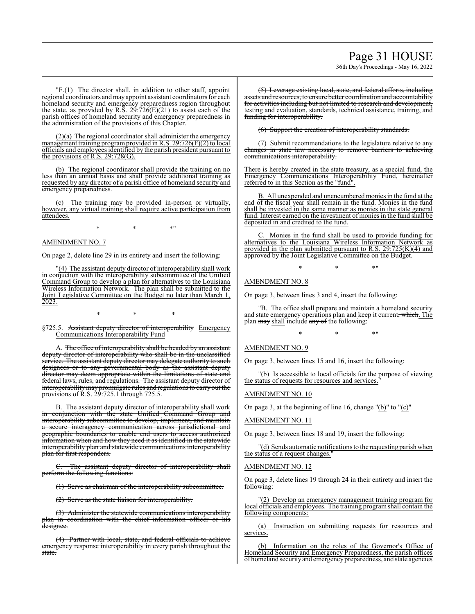# Page 31 HOUSE 36th Day's Proceedings - May 16, 2022

"F.(1) The director shall, in addition to other staff, appoint regional coordinators and may appoint assistant coordinators for each homeland security and emergency preparedness region throughout the state, as provided by R.S.  $29:726(E)(21)$  to assist each of the parish offices of homeland security and emergency preparedness in the administration of the provisions of this Chapter.

(2)(a) The regional coordinator shall administer the emergency management training programprovided in R.S. 29:726(F)(2) to local officials and employees identified by the parish president pursuant to the provisions of R.S.  $29:728(G)$ .

(b) The regional coordinator shall provide the training on no less than an annual basis and shall provide additional training as requested by any director of a parish office of homeland security and emergency preparedness.

(c) The training may be provided in-person or virtually, however, any virtual training shall require active participation from attendees.

 $*$  \*  $*$  \*

## AMENDMENT NO. 7

On page 2, delete line 29 in its entirety and insert the following:

"(4) The assistant deputy director of interoperability shall work in conjuction with the interoperability subcommittee of the Unified Command Group to develop a plan for alternatives to the Louisiana Wireless Information Network. The plan shall be submitted to the Joint Legislative Committee on the Budget no later than March 1, 2023.

\* \* \*

§725.5. Assistant deputy director of interoperability Emergency Communications Interoperability Fund

A. The office of interoperability shall be headed by an assistant deputy director of interoperability who shall be in the unclassified service. The assistant deputy director may delegate authority to such designees or to any governmental body as the assistant deputy director may deem appropriate within the limitations of state and federal laws, rules, and regulations. The assistant deputy director of interoperabilitymay promulgate rules and regulations to carry out the provisions of R.S. 29:725.1 through 725.5.

B. The assistant deputy director of interoperability shall work in conjunction with the state Unified Command Group and interoperability subcommittee to develop, implement, and maintain secure interagency communication across jurisdictional and geographic boundaries to enable end users to access authorized information when and how they need it as identified in the statewide interoperability plan and statewide communications interoperability plan for first responders.

C. The assistant deputy director of interoperability shall perform the following functions:

(1) Serve as chairman of the interoperability subcommittee.

(2) Serve as the state liaison for interoperability.

(3) Administer the statewide communications interoperability plan in coordination with the chief information officer or his designee.

(4) Partner with local, state, and federal officials to achieve emergency response interoperability in every parish throughout the state.

(5) Leverage existing local, state, and federal efforts, including assets and resources, to ensure better coordination and accountability for activities including but not limited to research and development, testing and evaluation, standards, technical assistance, training, and funding for interoperability.

(6) Support the creation of interoperability standards.

(7) Submit recommendations to the legislature relative to any changes in state law necessary to remove barriers to achieving communications interoperability.

There is hereby created in the state treasury, as a special fund, the Emergency Communications Interoperability Fund, hereinafter referred to in this Section as the "fund".

B. All unexpended and unencumbered monies in the fund at the end of the fiscal year shall remain in the fund. Monies in the fund shall be invested in the same manner as monies in the state general fund. Interest earned on the investment of monies in the fund shall be deposited in and credited to the fund.

Monies in the fund shall be used to provide funding for alternatives to the Louisiana Wireless Information Network as provided in the plan submitted pursuant to R.S. 29:725(K)(4) and approved by the Joint Legislative Committee on the Budget.

 $*$  \*  $*$  \*

AMENDMENT NO. 8

On page 3, between lines 3 and 4, insert the following:

"B. The office shall prepare and maintain a homeland security and state emergency operations plan and keep it current, which. The plan may shall include any of the following:

 $*$  \*  $*$  \*

#### AMENDMENT NO. 9

On page 3, between lines 15 and 16, insert the following:

(b) Is accessible to local officials for the purpose of viewing the status of requests for resources and services.

AMENDMENT NO. 10

On page 3, at the beginning of line 16, change "(b)" to "(c)"

#### AMENDMENT NO. 11

On page 3, between lines 18 and 19, insert the following:

"(d) Sends automatic notifications to the requesting parish when the status of a request changes."

#### AMENDMENT NO. 12

On page 3, delete lines 19 through 24 in their entirety and insert the following:

(2) Develop an emergency management training program for local officials and employees. The training programshall contain the following components:

(a) Instruction on submitting requests for resources and services.

(b) Information on the roles of the Governor's Office of Homeland Security and Emergency Preparedness, the parish offices of homeland securityand emergencypreparedness, and state agencies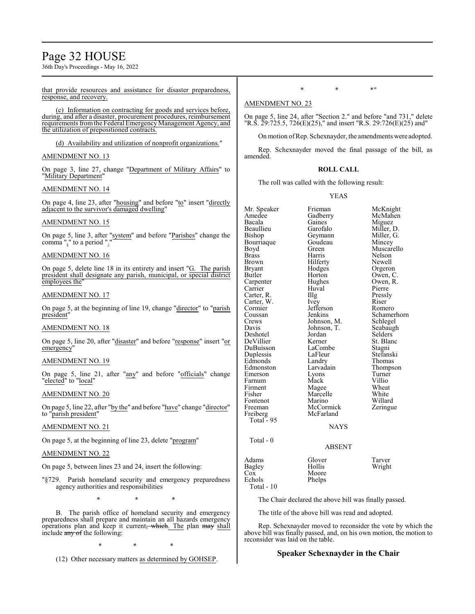# Page 32 HOUSE

36th Day's Proceedings - May 16, 2022

#### that provide resources and assistance for disaster preparedness, response, and recovery.

(c) Information on contracting for goods and services before, during, and after a disaster, procurement procedures, reimbursement requirements fromthe Federal Emergency Management Agency, and the utilization of prepositioned contracts.

(d) Availability and utilization of nonprofit organizations."

#### AMENDMENT NO. 13

On page 3, line 27, change "Department of Military Affairs" to "Military Department"

#### AMENDMENT NO. 14

On page 4, line 23, after "housing" and before "to" insert "directly adjacent to the survivor's damaged dwelling"

#### AMENDMENT NO. 15

On page 5, line 3, after "system" and before "Parishes" change the comma "," to a period ".'

#### AMENDMENT NO. 16

On page 5, delete line 18 in its entirety and insert "G. The parish president shall designate any parish, municipal, or special district employees the

#### AMENDMENT NO. 17

On page 5, at the beginning of line 19, change "director" to "parish president"

#### AMENDMENT NO. 18

On page 5, line 20, after "disaster" and before "response" insert "or emergency"

#### AMENDMENT NO. 19

On page 5, line 21, after "any" and before "officials" change "elected" to "local"

#### AMENDMENT NO. 20

On page 5, line 22, after "by the" and before "have" change "director" to "parish president"

#### AMENDMENT NO. 21

On page 5, at the beginning of line 23, delete "program"

#### AMENDMENT NO. 22

On page 5, between lines 23 and 24, insert the following:

"§729. Parish homeland security and emergency preparedness agency authorities and responsibilities

\* \* \*

B. The parish office of homeland security and emergency preparedness shall prepare and maintain an all hazards emergency operations plan and keep it current, which. The plan may shall include  $\frac{any}{ }$  of the following:

\* \* \*

(12) Other necessary matters as determined by GOHSEP.

 $*$  \*  $*$  \*

#### AMENDMENT NO. 23

On page 5, line 24, after "Section 2." and before "and 731," delete "R.S. 29:725.5, 726(E)(25)," and insert "R.S. 29:726(E)(25) and"

On motion ofRep. Schexnayder, the amendments were adopted.

Rep. Schexnayder moved the final passage of the bill, as amended.

#### **ROLL CALL**

The roll was called with the following result:

#### YEAS

Mr. Speaker Frieman McKnight<br>Amedee Gadberry McMahen Amedee Gadberry<br>Bacala Gaines Bacala Gaines Miguez Beaullieu Garofalo Miller, D. Geymann Miller,<br>Goudeau Mincev Bourriaque Goude<br>Boyd Green Boyd Green Muscarello Brass Harris Nelson Brown Hilferty<br>Brvant Hodges Bryant Hodges Orgeron<br>Butler Horton Owen, C Horton Owen, C.<br>Hughes Owen, R. Carpenter Hughes Owen,<br>
Carrier Huval Pierre Carrier Huval Pierre<br>Carter, R. Illg Pressly Carter, R. Illg Pressl<br>Carter, W. Ivev Riser Carter, W. Ivey Riser Cormier Jefferson<br>Coussan Jenkins Coussan Jenkins Schamerhorn<br>Crews Johnson, M. Schlegel Crews Johnson, M. Schlegel<br>Davis Johnson, T. Seabaugh Johnson, T.<br>Jordan Deshotel Jordan Selders DeVillier Kerner St. Blanch<br>DuBuisson LaCombe Stagni DuBuisson LaCombe Stagni<br>
Duplessis LaFleur Stefanski Duplessis LaFleur<br>Edmonds Landry Landry Thomas<br>
Larvadain Thompson Edmonston Larvadain Thomp<br>Emerson Lyons Turner Emerson Lyons Turner<br>
Farnum Mack Villio Farnum Mack Villio<br>Firment Magee Wheat Firment Magee Wheat<br>
Fisher Marcelle White Fisher Marcelle White<br>Fontenot Marino Willard Fontenot Marino Willard<br>
Freeman McCormick Zeringue McCormick<br>McFarland Freiberg McFarland Total - 95 NAYS Total - 0 ABSENT Adams Glover Tarver<br>
Bagley Hollis Wright Cox Moore<br>Echols Phelps Echols

Total - 10

The Chair declared the above bill was finally passed.

Wright

The title of the above bill was read and adopted.

Rep. Schexnayder moved to reconsider the vote by which the above bill was finally passed, and, on his own motion, the motion to reconsider was laid on the table.

#### **Speaker Schexnayder in the Chair**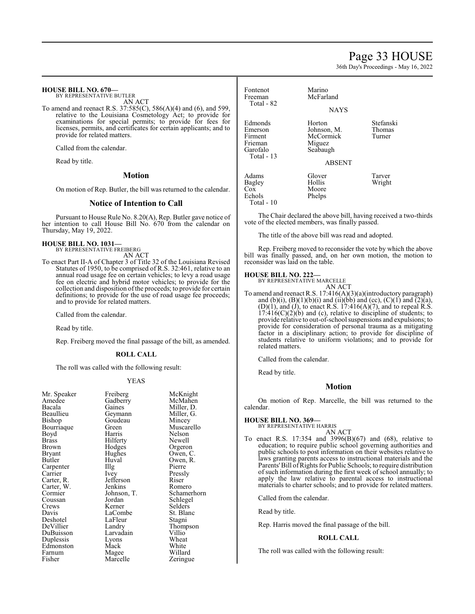# Page 33 HOUSE

36th Day's Proceedings - May 16, 2022

#### **HOUSE BILL NO. 670—**

BY REPRESENTATIVE BUTLER AN ACT

To amend and reenact R.S. 37:585(C), 586(A)(4) and (6), and 599, relative to the Louisiana Cosmetology Act; to provide for examinations for special permits; to provide for fees for licenses, permits, and certificates for certain applicants; and to provide for related matters.

Called from the calendar.

Read by title.

## **Motion**

On motion of Rep. Butler, the bill was returned to the calendar.

#### **Notice of Intention to Call**

Pursuant to House Rule No. 8.20(A), Rep. Butler gave notice of her intention to call House Bill No. 670 from the calendar on Thursday, May 19, 2022.

#### **HOUSE BILL NO. 1031—**

BY REPRESENTATIVE FREIBERG

- AN ACT
- To enact Part II-A of Chapter 3 of Title 32 of the Louisiana Revised Statutes of 1950, to be comprised of R.S. 32:461, relative to an annual road usage fee on certain vehicles; to levy a road usage fee on electric and hybrid motor vehicles; to provide for the collection and disposition of the proceeds; to provide for certain definitions; to provide for the use of road usage fee proceeds; and to provide for related matters.

Called from the calendar.

Read by title.

Rep. Freiberg moved the final passage of the bill, as amended.

#### **ROLL CALL**

The roll was called with the following result:

#### YEAS

| Mr. Speaker  | Freiberg    | McKr   |
|--------------|-------------|--------|
| Amedee       | Gadberry    | McMa   |
| Bacala       | Gaines      | Miller |
| Beaullieu    | Geymann     | Miller |
| Bishop       | Goudeau     | Mince  |
| Bourriaque   | Green       | Musca  |
| Boyd         | Harris      | Nelso  |
| <b>Brass</b> | Hilferty    | Newe   |
| Brown        | Hodges      | Orger  |
| Bryant       | Hughes      | Owen   |
| Butler       | Huval       | Owen   |
| Carpenter    | Illg        | Pierre |
| Carrier      | Ivey        | Pressl |
| Carter, R.   | Jefferson   | Riser  |
| Carter, W.   | Jenkins     | Rome   |
| Cormier      | Johnson, T. | Schan  |
| Coussan      | Jordan      | Schleg |
| Crews        | Kerner      | Seldei |
| Davis        | LaCombe     | St. Bl |
| Deshotel     | LaFleur     | Stagn: |
| DeVillier    | Landry      | Thom   |
| DuBuisson    | Larvadain   | Villio |
| Duplessis    | Lyons       | Whea   |
| Edmonston    | Mack        | White  |
| Farnum       | Magee       | Willar |
| Fisher       | Marcelle    | Zering |
|              |             |        |

McKnight McMahen Miller, D. Miller, G. Mincey Muscarello Nelson Newell Orgeron Owen, C. Owen, R.<br>Pierre Pressly<br>Riser Romero Schamerhorn Schlegel Selders St. Blanc Stagni Thompson<br>Villio Wheat White Willard Zeringue

| Fontenot<br>Freeman<br>Total - 82                                   | Marino<br>McFarland                                                       |                               |
|---------------------------------------------------------------------|---------------------------------------------------------------------------|-------------------------------|
|                                                                     | <b>NAYS</b>                                                               |                               |
| Edmonds<br>Emerson<br>Firment<br>Frieman<br>Garofalo<br>Total $-13$ | Horton<br>Johnson, M.<br>McCormick<br>Miguez<br>Seabaugh<br><b>ABSENT</b> | Stefanski<br>Thomas<br>Turner |
| Adams<br>Bagley<br>$\cos$<br>Echols<br>Total - 10                   | Glover<br>Hollis<br>Moore<br>Phelps                                       | Tarver<br>Wright              |

The Chair declared the above bill, having received a two-thirds vote of the elected members, was finally passed.

The title of the above bill was read and adopted.

Rep. Freiberg moved to reconsider the vote by which the above bill was finally passed, and, on her own motion, the motion to reconsider was laid on the table.

# **HOUSE BILL NO. 222—** BY REPRESENTATIVE MARCELLE

AN ACT

To amend and reenact R.S. 17:416(A)(3)(a)(introductory paragraph) and (b)(i),  $(B)(1)(b)(i)$  and (ii)(bb) and (cc),  $(C)(1)$  and  $(2)(a)$ ,  $(D)(1)$ , and  $(J)$ , to enact R.S. 17:416 $(A)(7)$ , and to repeal R.S.  $17:416(C)(2)(b)$  and (c), relative to discipline of students; to provide relative to out-of-school suspensions and expulsions; to provide for consideration of personal trauma as a mitigating factor in a disciplinary action; to provide for discipline of students relative to uniform violations; and to provide for related matters.

Called from the calendar.

Read by title.

#### **Motion**

On motion of Rep. Marcelle, the bill was returned to the calendar.

# **HOUSE BILL NO. 369—** BY REPRESENTATIVE HARRIS

AN ACT

To enact R.S. 17:354 and 3996(B)(67) and (68), relative to education; to require public school governing authorities and public schools to post information on their websites relative to laws granting parents access to instructional materials and the Parents'Bill ofRights for Public Schools; to require distribution of such information during the first week of school annually; to apply the law relative to parental access to instructional materials to charter schools; and to provide for related matters.

Called from the calendar.

Read by title.

Rep. Harris moved the final passage of the bill.

#### **ROLL CALL**

The roll was called with the following result: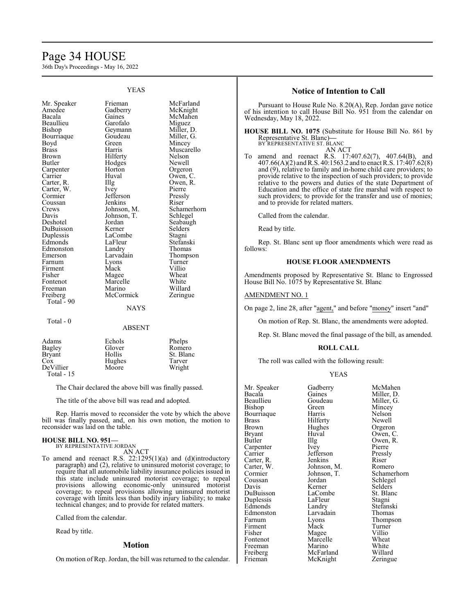# Page 34 HOUSE

36th Day's Proceedings - May 16, 2022

|                                                                                                                                                                                                                                                                                                                                                                                            | I LAS                                                                                                                                                                                                                                                                                                                                                    |                                                                                                                                                                                                                                                                                                                                                 |
|--------------------------------------------------------------------------------------------------------------------------------------------------------------------------------------------------------------------------------------------------------------------------------------------------------------------------------------------------------------------------------------------|----------------------------------------------------------------------------------------------------------------------------------------------------------------------------------------------------------------------------------------------------------------------------------------------------------------------------------------------------------|-------------------------------------------------------------------------------------------------------------------------------------------------------------------------------------------------------------------------------------------------------------------------------------------------------------------------------------------------|
| Mr. Speaker<br>Amedee<br>Bacala<br>Beaullieu<br>Bishop<br>Bourriaque<br>Boyd<br><b>Brass</b><br><b>Brown</b><br>Butler<br>Carpenter<br>Carrier<br>Carter, R.<br>Carter, W.<br>Cormier<br>Coussan<br>Crews<br>Davis<br>Deshotel<br>DuBuisson<br>Duplessis<br>Edmonds<br>Edmonston<br>Emerson<br>Farnum<br>Firment<br>Fisher<br>Fontenot<br>Freeman<br>Freiberg<br>Total - 90<br>$Total - 0$ | Frieman<br>Gadberry<br>Gaines<br>Garofalo<br>Geymann<br>Goudeau<br>Green<br>Harris<br>Hilferty<br>Hodges<br>Horton<br>Huval<br>Illg<br>Ivey<br>Jefferson<br>Jenkins<br>Johnson, M.<br>Johnson, T.<br>Jordan<br>Kerner<br>LaCombe<br>LaFleur<br>Landry<br>Larvadain<br>Lyons<br>Mack<br>Magee<br>Marcelle<br>Marino<br>McCormick<br><b>NAYS</b><br>ABSENT | McFarland<br>McKnight<br>McMahen<br>Miguez<br>Miller, D.<br>Miller, G.<br>Mincey<br>Muscarello<br>Nelson<br>Newell<br>Orgeron<br>Owen, C.<br>Owen, R.<br>Pierre<br>Pressly<br>Riser<br>Schamerhorn<br>Schlegel<br>Seabaugh<br>Selders<br>Stagni<br>Stefanski<br>Thomas<br>Thompson<br>Turner<br>Villio<br>Wheat<br>White<br>Willard<br>Zeringue |
| Adams                                                                                                                                                                                                                                                                                                                                                                                      | Echols                                                                                                                                                                                                                                                                                                                                                   | Phelps                                                                                                                                                                                                                                                                                                                                          |

YEAS

| Bagley      | Glover | Romero    |
|-------------|--------|-----------|
| Bryant      | Hollis | St. Blanc |
| Cox         | Hughes | Tarver    |
| DeVillier   | Moore  | Wright    |
| Total $-15$ |        |           |

The Chair declared the above bill was finally passed.

The title of the above bill was read and adopted.

Rep. Harris moved to reconsider the vote by which the above bill was finally passed, and, on his own motion, the motion to reconsider was laid on the table.

#### **HOUSE BILL NO. 951—** BY REPRESENTATIVE JORDAN

AN ACT

To amend and reenact R.S. 22:1295(1)(a) and (d)(introductory paragraph) and (2), relative to uninsured motorist coverage; to require that all automobile liability insurance policies issued in this state include uninsured motorist coverage; to repeal provisions allowing economic-only uninsured motorist coverage; to repeal provisions allowing uninsured motorist coverage with limits less than bodily injury liability; to make technical changes; and to provide for related matters.

Called from the calendar.

Read by title.

#### **Motion**

On motion of Rep. Jordan, the bill was returned to the calendar.

#### **Notice of Intention to Call**

Pursuant to House Rule No. 8.20(A), Rep. Jordan gave notice of his intention to call House Bill No. 951 from the calendar on Wednesday, May 18, 2022.

**HOUSE BILL NO. 1075** (Substitute for House Bill No. 861 by Representative St. Blanc)**—** BY REPRESENTATIVE ST. BLANC AN ACT

To amend and reenact R.S. 17:407.62(7), 407.64(B), and 407.66(A)(2) andR.S. 40:1563.2 and to enact R.S. 17:407.62(8) and (9), relative to family and in-home child care providers; to provide relative to the inspection of such providers; to provide relative to the powers and duties of the state Department of Education and the office of state fire marshal with respect to such providers; to provide for the transfer and use of monies; and to provide for related matters.

Called from the calendar.

Read by title.

Rep. St. Blanc sent up floor amendments which were read as follows:

#### **HOUSE FLOOR AMENDMENTS**

Amendments proposed by Representative St. Blanc to Engrossed House Bill No. 1075 by Representative St. Blanc

#### AMENDMENT NO. 1

On page 2, line 28, after "agent," and before "money" insert "and"

On motion of Rep. St. Blanc, the amendments were adopted.

Rep. St. Blanc moved the final passage of the bill, as amended.

#### **ROLL CALL**

The roll was called with the following result:

## YEAS

| Mr. Speaker | Gadberry    | McMahen     |
|-------------|-------------|-------------|
| Bacala      | Gaines      | Miller, D.  |
| Beaullieu   | Goudeau     | Miller, G.  |
| Bishop      | Green)      | Mincey      |
| Bourriaque  | Harris      | Nelson      |
| Brass       | Hilferty    | Newell      |
| Brown       | Hughes      | Orgeron     |
| Bryant      | Huval       | Owen, C.    |
| Butler      | Illg        | Owen, R.    |
| Carpenter   | Ivey        | Pierre      |
| Carrier     | Jefferson   | Pressly     |
| Carter, R.  | Jenkins     | Riser       |
| Carter, W.  | Johnson, M. | Romero      |
| Cormier     | Johnson, T. | Schamerhorn |
| Coussan     | Jordan      | Schlegel    |
| Davis       | Kerner      | Selders     |
| DuBuisson   | LaCombe     | St. Blanc   |
| Duplessis   | LaFleur     | Stagni      |
| Edmonds     | Landry      | Stefanski   |
| Edmonston   | Larvadain   | Thomas      |
| Farnum      | Lyons       | Thompson    |
| Firment     | Mack        | Turner      |
| Fisher      | Magee       | Villio      |
| Fontenot    | Marcelle    | Wheat       |
| Freeman     | Marino      | White       |
| Freiberg    | McFarland   | Willard     |

Frieman McKnight Zeringue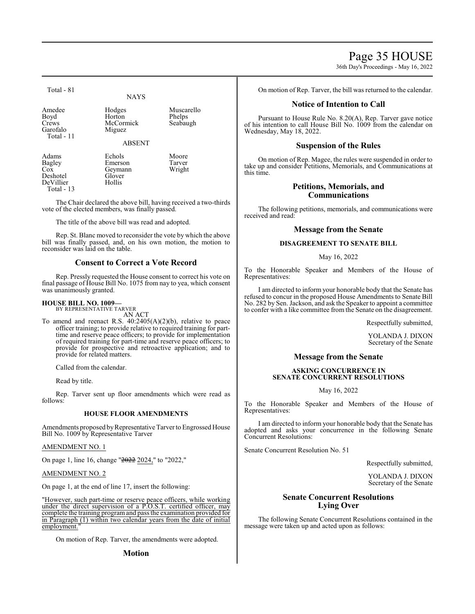Page 35 HOUSE

36th Day's Proceedings - May 16, 2022

Total - 81

# **NAYS**

McCormick

Amedee Hodges Muscarello<br>
Boyd Horton Phelps Boyd Horton Phelps<br>Crews McCormick Seabaugh Garofalo Miguez Total - 11

ABSENT

Adams Echols Moore Bagley Emerson Tarver<br>
Cox Geymann Wright Geymann<br>Glover Deshotel Glove<br>
DeVillier Hollis DeVillier Total - 13

The Chair declared the above bill, having received a two-thirds vote of the elected members, was finally passed.

The title of the above bill was read and adopted.

Rep. St. Blanc moved to reconsider the vote by which the above bill was finally passed, and, on his own motion, the motion to reconsider was laid on the table.

# **Consent to Correct a Vote Record**

Rep. Pressly requested the House consent to correct his vote on final passage of House Bill No. 1075 from nay to yea, which consent was unanimously granted.

## **HOUSE BILL NO. 1009—**

BY REPRESENTATIVE TARVER AN ACT

To amend and reenact R.S. 40:2405(A)(2)(b), relative to peace officer training; to provide relative to required training for parttime and reserve peace officers; to provide for implementation of required training for part-time and reserve peace officers; to provide for prospective and retroactive application; and to provide for related matters.

Called from the calendar.

Read by title.

Rep. Tarver sent up floor amendments which were read as follows:

## **HOUSE FLOOR AMENDMENTS**

Amendments proposed by Representative Tarver to Engrossed House Bill No. 1009 by Representative Tarver

AMENDMENT NO. 1

On page 1, line 16, change "2022 2024," to "2022,"

AMENDMENT NO. 2

On page 1, at the end of line 17, insert the following:

"However, such part-time or reserve peace officers, while working under the direct supervision of a P.O.S.T. certified officer, may complete the training programand pass the examination provided for in Paragraph (1) within two calendar years from the date of initial employment.

On motion of Rep. Tarver, the amendments were adopted.

**Motion**

On motion of Rep. Tarver, the bill was returned to the calendar.

## **Notice of Intention to Call**

Pursuant to House Rule No. 8.20(A), Rep. Tarver gave notice of his intention to call House Bill No. 1009 from the calendar on Wednesday, May 18, 2022.

# **Suspension of the Rules**

On motion of Rep. Magee, the rules were suspended in order to take up and consider Petitions, Memorials, and Communications at this time.

## **Petitions, Memorials, and Communications**

The following petitions, memorials, and communications were received and read:

## **Message from the Senate**

## **DISAGREEMENT TO SENATE BILL**

May 16, 2022

To the Honorable Speaker and Members of the House of Representatives:

I am directed to inform your honorable body that the Senate has refused to concur in the proposed House Amendments to Senate Bill No. 282 by Sen. Jackson, and ask the Speaker to appoint a committee to confer with a like committee from the Senate on the disagreement.

Respectfully submitted,

YOLANDA J. DIXON Secretary of the Senate

# **Message from the Senate**

#### **ASKING CONCURRENCE IN SENATE CONCURRENT RESOLUTIONS**

May 16, 2022

To the Honorable Speaker and Members of the House of Representatives:

I am directed to inform your honorable body that the Senate has adopted and asks your concurrence in the following Senate Concurrent Resolutions:

Senate Concurrent Resolution No. 51

Respectfully submitted,

YOLANDA J. DIXON Secretary of the Senate

# **Senate Concurrent Resolutions Lying Over**

The following Senate Concurrent Resolutions contained in the message were taken up and acted upon as follows: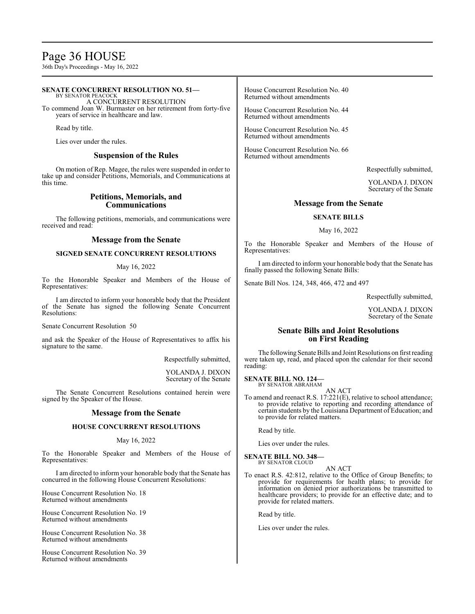# Page 36 HOUSE

36th Day's Proceedings - May 16, 2022

#### **SENATE CONCURRENT RESOLUTION NO. 51—** BY SENATOR PEACOCK A CONCURRENT RESOLUTION To commend Joan W. Burmaster on her retirement from forty-five years of service in healthcare and law. Read by title. Lies over under the rules. **Suspension of the Rules** On motion of Rep. Magee, the rules were suspended in order to take up and consider Petitions, Memorials, and Communications at this time. **Petitions, Memorials, and Communications** The following petitions, memorials, and communications were received and read: **Message from the Senate** House Concurrent Resolution No. 40 Returned without amendments House Concurrent Resolution No. 44 Returned without amendments House Concurrent Resolution No. 45 Returned without amendments House Concurrent Resolution No. 66 Returned without amendments **Message from the Senate SENATE BILLS** May 16, 2022

**SIGNED SENATE CONCURRENT RESOLUTIONS**

#### May 16, 2022

To the Honorable Speaker and Members of the House of Representatives:

I am directed to inform your honorable body that the President of the Senate has signed the following Senate Concurrent Resolutions:

Senate Concurrent Resolution 50

and ask the Speaker of the House of Representatives to affix his signature to the same.

Respectfully submitted,

YOLANDA J. DIXON Secretary of the Senate

The Senate Concurrent Resolutions contained herein were signed by the Speaker of the House.

# **Message from the Senate**

## **HOUSE CONCURRENT RESOLUTIONS**

## May 16, 2022

To the Honorable Speaker and Members of the House of Representatives:

I am directed to inform your honorable body that the Senate has concurred in the following House Concurrent Resolutions:

House Concurrent Resolution No. 18 Returned without amendments

House Concurrent Resolution No. 19 Returned without amendments

House Concurrent Resolution No. 38 Returned without amendments

House Concurrent Resolution No. 39 Returned without amendments

Respectfully submitted,

YOLANDA J. DIXON Secretary of the Senate

To the Honorable Speaker and Members of the House of Representatives:

I am directed to inform your honorable body that the Senate has finally passed the following Senate Bills:

Senate Bill Nos. 124, 348, 466, 472 and 497

Respectfully submitted,

YOLANDA J. DIXON Secretary of the Senate

# **Senate Bills and Joint Resolutions on First Reading**

The following Senate Bills and Joint Resolutions on first reading were taken up, read, and placed upon the calendar for their second reading:

#### **SENATE BILL NO. 124—** BY SENATOR ABRAHAM

AN ACT

To amend and reenact R.S. 17:221(E), relative to school attendance; to provide relative to reporting and recording attendance of certain students by the Louisiana Department of Education; and to provide for related matters.

Read by title.

Lies over under the rules.

#### **SENATE BILL NO. 348—** BY SENATOR CLOUD

AN ACT

To enact R.S. 42:812, relative to the Office of Group Benefits; to provide for requirements for health plans; to provide for information on denied prior authorizations be transmitted to healthcare providers; to provide for an effective date; and to provide for related matters.

Read by title.

Lies over under the rules.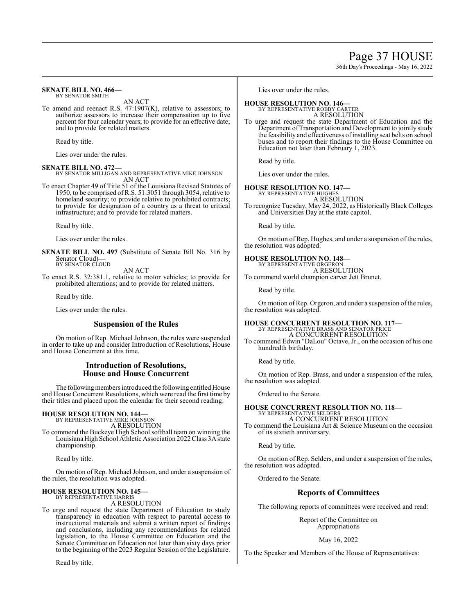# Page 37 HOUSE

36th Day's Proceedings - May 16, 2022

#### **SENATE BILL NO. 466—** BY SENATOR SMITH

AN ACT

To amend and reenact R.S. 47:1907(K), relative to assessors; to authorize assessors to increase their compensation up to five percent for four calendar years; to provide for an effective date; and to provide for related matters.

Read by title.

Lies over under the rules.

#### **SENATE BILL NO. 472—**

BY SENATOR MILLIGAN AND REPRESENTATIVE MIKE JOHNSON AN ACT

To enact Chapter 49 of Title 51 of the Louisiana Revised Statutes of 1950, to be comprised of R.S. 51:3051 through 3054, relative to homeland security; to provide relative to prohibited contracts; to provide for designation of a country as a threat to critical infrastructure; and to provide for related matters.

Read by title.

Lies over under the rules.

**SENATE BILL NO. 497** (Substitute of Senate Bill No. 316 by Senator Cloud)**—** BY SENATOR CLOUD

AN ACT

To enact R.S. 32:381.1, relative to motor vehicles; to provide for prohibited alterations; and to provide for related matters.

Read by title.

Lies over under the rules.

## **Suspension of the Rules**

On motion of Rep. Michael Johnson, the rules were suspended in order to take up and consider Introduction of Resolutions, House and House Concurrent at this time.

## **Introduction of Resolutions, House and House Concurrent**

The following members introduced the following entitled House and House Concurrent Resolutions, which were read the first time by their titles and placed upon the calendar for their second reading:

# **HOUSE RESOLUTION NO. 144—** BY REPRESENTATIVE MIKE JOHNSON

A RESOLUTION

To commend the Buckeye High School softball team on winning the Louisiana High School Athletic Association 2022 Class 3A state championship.

Read by title.

On motion of Rep. Michael Johnson, and under a suspension of the rules, the resolution was adopted.

#### **HOUSE RESOLUTION NO. 145—** BY REPRESENTATIVE HARRIS

A RESOLUTION

To urge and request the state Department of Education to study transparency in education with respect to parental access to instructional materials and submit a written report of findings and conclusions, including any recommendations for related legislation, to the House Committee on Education and the Senate Committee on Education not later than sixty days prior to the beginning of the 2023 Regular Session of the Legislature.

Read by title.

Lies over under the rules.

# **HOUSE RESOLUTION NO. 146—**

BY REPRESENTATIVE ROBBY CARTER A RESOLUTION

To urge and request the state Department of Education and the Department of Transportation and Development to jointly study the feasibility and effectiveness of installing seat belts on school buses and to report their findings to the House Committee on Education not later than February 1, 2023.

Read by title.

Lies over under the rules.

#### **HOUSE RESOLUTION NO. 147—**

BY REPRESENTATIVE HUGHES A RESOLUTION

To recognize Tuesday, May 24, 2022, as Historically Black Colleges and Universities Day at the state capitol.

Read by title.

On motion of Rep. Hughes, and under a suspension of the rules, the resolution was adopted.

# **HOUSE RESOLUTION NO. 148—** BY REPRESENTATIVE ORGERON

A RESOLUTION

To commend world champion carver Jett Brunet.

Read by title.

On motion of Rep. Orgeron, and under a suspension of the rules, the resolution was adopted.

#### **HOUSE CONCURRENT RESOLUTION NO. 117—** BY REPRESENTATIVE BRASS AND SENATOR PRICE A CONCURRENT RESOLUTION

To commend Edwin "DaLou" Octave, Jr., on the occasion of his one hundredth birthday.

Read by title.

On motion of Rep. Brass, and under a suspension of the rules, the resolution was adopted.

Ordered to the Senate.

**HOUSE CONCURRENT RESOLUTION NO. 118—** BY REPRESENTATIVE SELDERS A CONCURRENT RESOLUTION

To commend the Louisiana Art & Science Museum on the occasion of its sixtieth anniversary.

Read by title.

On motion of Rep. Selders, and under a suspension of the rules, the resolution was adopted.

Ordered to the Senate.

# **Reports of Committees**

The following reports of committees were received and read:

Report of the Committee on Appropriations

May 16, 2022

To the Speaker and Members of the House of Representatives: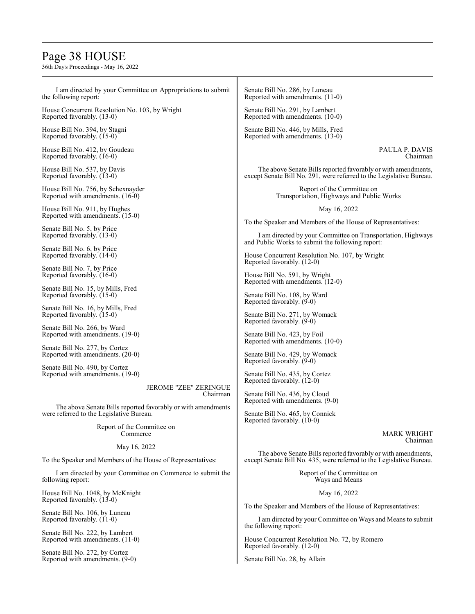# Page 38 HOUSE

36th Day's Proceedings - May 16, 2022

I am directed by your Committee on Appropriations to submit the following report: House Concurrent Resolution No. 103, by Wright Reported favorably. (13-0) House Bill No. 394, by Stagni Reported favorably. (15-0) House Bill No. 412, by Goudeau Reported favorably. (16-0) House Bill No. 537, by Davis Reported favorably. (13-0) House Bill No. 756, by Schexnayder Reported with amendments. (16-0) House Bill No. 911, by Hughes Reported with amendments. (15-0) Senate Bill No. 5, by Price Reported favorably. (13-0) Senate Bill No. 6, by Price Reported favorably. (14-0) Senate Bill No. 7, by Price Reported favorably. (16-0) Senate Bill No. 15, by Mills, Fred Reported favorably. (15-0) Senate Bill No. 16, by Mills, Fred Reported favorably. (15-0) Senate Bill No. 266, by Ward Reported with amendments. (19-0) Senate Bill No. 277, by Cortez Reported with amendments. (20-0) Senate Bill No. 490, by Cortez Reported with amendments. (19-0) JEROME "ZEE" ZERINGUE Chairman The above Senate Bills reported favorably or with amendments were referred to the Legislative Bureau. Report of the Committee on Commerce May 16, 2022 To the Speaker and Members of the House of Representatives: I am directed by your Committee on Commerce to submit the following report: House Bill No. 1048, by McKnight Reported favorably. (13-0) Senate Bill No. 106, by Luneau Reported favorably. (11-0) Senate Bill No. 222, by Lambert Reported with amendments. (11-0) Senate Bill No. 272, by Cortez Reported with amendments. (9-0) Senate Bill No. 286, by Luneau Reported with amendments. (11-0) Senate Bill No. 291, by Lambert Reported with amendments. (10-0) Senate Bill No. 446, by Mills, Fred Reported with amendments. (13-0) PAULA P. DAVIS The above Senate Bills reported favorably or with amendments, except Senate Bill No. 291, were referred to the Legislative Bureau. Report of the Committee on Transportation, Highways and Public Works May 16, 2022 To the Speaker and Members of the House of Representatives: I am directed by your Committee on Transportation, Highways and Public Works to submit the following report: House Concurrent Resolution No. 107, by Wright Reported favorably. (12-0) House Bill No. 591, by Wright Reported with amendments. (12-0) Senate Bill No. 108, by Ward Reported favorably. (9-0) Senate Bill No. 271, by Womack Reported favorably. (9-0) Senate Bill No. 423, by Foil Reported with amendments. (10-0) Senate Bill No. 429, by Womack Reported favorably. (9-0) Senate Bill No. 435, by Cortez Reported favorably. (12-0) Senate Bill No. 436, by Cloud Reported with amendments. (9-0) Senate Bill No. 465, by Connick Reported favorably. (10-0) MARK WRIGHT The above Senate Bills reported favorably or with amendments, except Senate Bill No. 435, were referred to the Legislative Bureau. Report of the Committee on Ways and Means May 16, 2022 To the Speaker and Members of the House of Representatives: I am directed by your Committee on Ways and Means to submit the following report: House Concurrent Resolution No. 72, by Romero Reported favorably. (12-0) Senate Bill No. 28, by Allain

Chairman

Chairman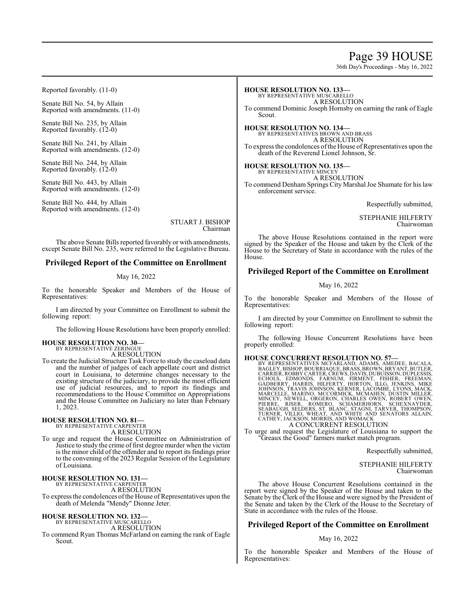# Page 39 HOUSE

36th Day's Proceedings - May 16, 2022

Reported favorably. (11-0)

Senate Bill No. 54, by Allain Reported with amendments. (11-0)

Senate Bill No. 235, by Allain Reported favorably. (12-0)

Senate Bill No. 241, by Allain Reported with amendments. (12-0)

Senate Bill No. 244, by Allain Reported favorably. (12-0)

Senate Bill No. 443, by Allain Reported with amendments. (12-0)

Senate Bill No. 444, by Allain Reported with amendments. (12-0)

> STUART J. BISHOP Chairman

The above Senate Bills reported favorably or with amendments, except Senate Bill No. 235, were referred to the Legislative Bureau.

## **Privileged Report of the Committee on Enrollment**

#### May 16, 2022

To the honorable Speaker and Members of the House of Representatives:

I am directed by your Committee on Enrollment to submit the following report:

The following House Resolutions have been properly enrolled:

#### **HOUSE RESOLUTION NO. 30—** BY REPRESENTATIVE ZERINGUE

A RESOLUTION

To create the Judicial Structure Task Force to study the caseload data and the number of judges of each appellate court and district court in Louisiana, to determine changes necessary to the existing structure of the judiciary, to provide the most efficient use of judicial resources, and to report its findings and recommendations to the House Committee on Appropriations and the House Committee on Judiciary no later than February 1, 2023.

# **HOUSE RESOLUTION NO. 81—** BY REPRESENTATIVE CARPENTER

A RESOLUTION

To urge and request the House Committee on Administration of Justice to study the crime of first degree murder when the victim is the minor child of the offender and to report its findings prior to the convening of the 2023 Regular Session of the Legislature of Louisiana.

#### **HOUSE RESOLUTION NO. 131—** BY REPRESENTATIVE CARPENTER

A RESOLUTION

To express the condolences of the House of Representatives upon the death of Melenda "Mendy" Dionne Jeter.

# **HOUSE RESOLUTION NO. 132—** BY REPRESENTATIVE MUSCARELLO

A RESOLUTION

To commend Ryan Thomas McFarland on earning the rank of Eagle Scout.

#### **HOUSE RESOLUTION NO. 133—**

BY REPRESENTATIVE MUSCARELLO A RESOLUTION To commend Dominic Joseph Hornsby on earning the rank of Eagle Scout.

**HOUSE RESOLUTION NO. 134—** BY REPRESENTATIVES BROWN AND BRASS A RESOLUTION To express the condolences of the House of Representatives upon the

death of the Reverend Lionel Johnson, Sr.

**HOUSE RESOLUTION NO. 135—** BY REPRESENTATIVE MINCEY

A RESOLUTION

To commend Denham Springs City Marshal Joe Shumate for his law enforcement service.

Respectfully submitted,

STEPHANIE HILFERTY Chairwoman

The above House Resolutions contained in the report were signed by the Speaker of the House and taken by the Clerk of the House to the Secretary of State in accordance with the rules of the House.

# **Privileged Report of the Committee on Enrollment**

#### May 16, 2022

To the honorable Speaker and Members of the House of Representatives:

I am directed by your Committee on Enrollment to submit the following report:

The following House Concurrent Resolutions have been properly enrolled:

HOUSE CONCURRENT RESOLUTION NO. 57—<br>BY REPRESENTATIVES MCFARLAND, ADMIS, AMEDEE, BACALA,<br>BAGLEY, BISHOP, BOURRIAQUE, BRASS, BROWN, BRYANT, BUTLER,<br>CARRIER, ROBBY CARTER, CREWS, DAVIS, DUBUISSON, DUPLESSIS,<br>ECHOLS, EDMONDS,

# A CONCURRENT RESOLUTION

To urge and request the Legislature of Louisiana to support the "Greaux the Good" farmers market match program.

Respectfully submitted,

STEPHANIE HILFERTY Chairwoman

The above House Concurrent Resolutions contained in the report were signed by the Speaker of the House and taken to the Senate by the Clerk of the House and were signed by the President of the Senate and taken by the Clerk of the House to the Secretary of State in accordance with the rules of the House.

# **Privileged Report of the Committee on Enrollment**

#### May 16, 2022

To the honorable Speaker and Members of the House of Representatives: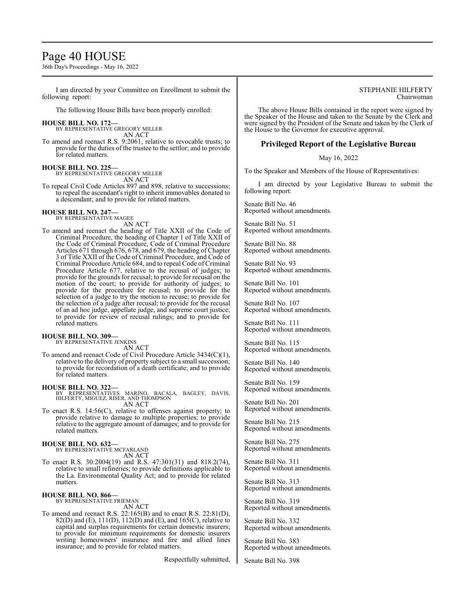# Page 40 HOUSE

36th Day's Proceedings - May 16, 2022

I am directed by your Committee on Enrollment to submit the following report:

The following House Bills have been properly enrolled:

# **HOUSE BILL NO. 172—** BY REPRESENTATIVE GREGORY MILLER

AN ACT

To amend and reenact R.S. 9:2061, relative to revocable trusts; to provide for the duties of the trustee to the settlor; and to provide for related matters.

#### **HOUSE BILL NO. 225—**

BY REPRESENTATIVE GREGORY MILLER AN ACT

To repeal Civil Code Articles 897 and 898, relative to successions; to repeal the ascendant's right to inherit immovables donated to a descendant; and to provide for related matters.

#### **HOUSE BILL NO. 247—**

BY REPRESENTATIVE MAGEE AN ACT

To amend and reenact the heading of Title XXII of the Code of Criminal Procedure, the heading of Chapter 1 of Title XXII of the Code of Criminal Procedure, Code of Criminal Procedure Articles 671 through 676, 678, and 679, the heading of Chapter 3 of Title XXII of the Code of Criminal Procedure, and Code of Criminal Procedure Article 684, and to repeal Code of Criminal Procedure Article 677, relative to the recusal of judges; to provide for the grounds for recusal; to provide for recusal on the motion of the court; to provide for authority of judges; to provide for the procedure for recusal; to provide for the selection of a judge to try the motion to recuse; to provide for the selection of a judge after recusal; to provide for the recusal of an ad hoc judge, appellate judge, and supreme court justice; to provide for review of recusal rulings; and to provide for related matters.

# **HOUSE BILL NO. 309—** BY REPRESENTATIVE JENKINS

AN ACT

To amend and reenact Code of Civil Procedure Article 3434(C)(1), relative to the delivery of property subject to a small succession; to provide for recordation of a death certificate; and to provide for related matters.

**HOUSE BILL NO. 322—** BY REPRESENTATIVES MARINO, BACALA, BAGLEY, DAVIS, HILFERTY, MIGUEZ, RISER, AND THOMPSON AN ACT

To enact R.S. 14:56(C), relative to offenses against property; to provide relative to damage to multiple properties; to provide relative to the aggregate amount of damages; and to provide for related matters.

#### **HOUSE BILL NO. 632—**

BY REPRESENTATIVE MCFARLAND AN ACT

To enact R.S. 30:2004(19) and R.S. 47:301(31) and 818.2(74), relative to small refineries; to provide definitions applicable to the La. Environmental Quality Act; and to provide for related matters.

#### **HOUSE BILL NO. 866—** BY REPRESENTATIVE FRIEMAN

AN ACT

To amend and reenact R.S. 22:165(B) and to enact R.S. 22:81(D), 82(D) and (E),  $111(D)$ ,  $112(D)$  and (E), and  $165(C)$ , relative to capital and surplus requirements for certain domestic insurers; to provide for minimum requirements for domestic insurers writing homeowners' insurance and fire and allied lines insurance; and to provide for related matters.

Respectfully submitted,

#### STEPHANIE HILFERTY Chairwoman

The above House Bills contained in the report were signed by the Speaker of the House and taken to the Senate by the Clerk and were signed by the President of the Senate and taken by the Clerk of the House to the Governor for executive approval.

## **Privileged Report of the Legislative Bureau**

May 16, 2022

To the Speaker and Members of the House of Representatives:

I am directed by your Legislative Bureau to submit the following report:

Senate Bill No. 46 Reported without amendments.

Senate Bill No. 51 Reported without amendments.

Senate Bill No. 88 Reported without amendments.

Senate Bill No. 93 Reported without amendments.

Senate Bill No. 101 Reported without amendments.

Senate Bill No. 107 Reported without amendments.

Senate Bill No. 111 Reported without amendments.

Senate Bill No. 115 Reported without amendments.

Senate Bill No. 140 Reported without amendments.

Senate Bill No. 159 Reported without amendments.

Senate Bill No. 201 Reported without amendments.

Senate Bill No. 215 Reported without amendments.

Senate Bill No. 275 Reported without amendments.

Senate Bill No. 311 Reported without amendments.

Senate Bill No. 313 Reported without amendments.

Senate Bill No. 319 Reported without amendments.

Senate Bill No. 332 Reported without amendments.

Senate Bill No. 383 Reported without amendments.

Senate Bill No. 398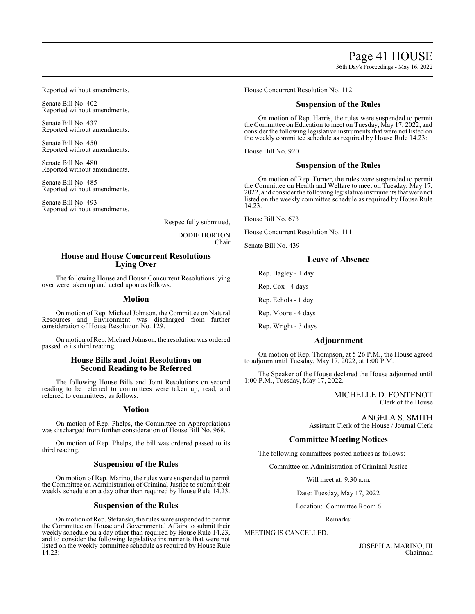# Page 41 HOUSE

36th Day's Proceedings - May 16, 2022

Reported without amendments.

Senate Bill No. 402 Reported without amendments.

Senate Bill No. 437 Reported without amendments.

Senate Bill No. 450 Reported without amendments.

Senate Bill No. 480 Reported without amendments.

Senate Bill No. 485 Reported without amendments.

Senate Bill No. 493 Reported without amendments.

Respectfully submitted,

DODIE HORTON Chair

# **House and House Concurrent Resolutions Lying Over**

The following House and House Concurrent Resolutions lying over were taken up and acted upon as follows:

## **Motion**

On motion of Rep. Michael Johnson, the Committee on Natural Resources and Environment was discharged from further consideration of House Resolution No. 129.

On motion ofRep. Michael Johnson, the resolution was ordered passed to its third reading.

## **House Bills and Joint Resolutions on Second Reading to be Referred**

The following House Bills and Joint Resolutions on second reading to be referred to committees were taken up, read, and referred to committees, as follows:

## **Motion**

On motion of Rep. Phelps, the Committee on Appropriations was discharged from further consideration of House Bill No. 968.

On motion of Rep. Phelps, the bill was ordered passed to its third reading.

## **Suspension of the Rules**

On motion of Rep. Marino, the rules were suspended to permit the Committee on Administration of Criminal Justice to submit their weekly schedule on a day other than required by House Rule 14.23.

## **Suspension of the Rules**

On motion ofRep. Stefanski, the rules were suspended to permit the Committee on House and Governmental Affairs to submit their weekly schedule on a day other than required by House Rule 14.23, and to consider the following legislative instruments that were not listed on the weekly committee schedule as required by House Rule 14.23:

House Concurrent Resolution No. 112

## **Suspension of the Rules**

On motion of Rep. Harris, the rules were suspended to permit the Committee on Education to meet on Tuesday, May 17, 2022, and consider the following legislative instruments that were not listed on the weekly committee schedule as required by House Rule 14.23:

House Bill No. 920

## **Suspension of the Rules**

On motion of Rep. Turner, the rules were suspended to permit the Committee on Health and Welfare to meet on Tuesday, May 17, 2022, and consider the following legislative instruments that were not listed on the weekly committee schedule as required by House Rule 14.23:

House Bill No. 673

House Concurrent Resolution No. 111

Senate Bill No. 439

# **Leave of Absence**

Rep. Bagley - 1 day

Rep. Cox - 4 days

Rep. Echols - 1 day

Rep. Moore - 4 days

Rep. Wright - 3 days

## **Adjournment**

On motion of Rep. Thompson, at 5:26 P.M., the House agreed to adjourn until Tuesday, May 17, 2022, at 1:00 P.M.

The Speaker of the House declared the House adjourned until 1:00 P.M., Tuesday, May 17, 2022.

> MICHELLE D. FONTENOT Clerk of the House

ANGELA S. SMITH Assistant Clerk of the House / Journal Clerk

# **Committee Meeting Notices**

The following committees posted notices as follows:

Committee on Administration of Criminal Justice

Will meet at: 9:30 a.m.

Date: Tuesday, May 17, 2022

Location: Committee Room 6

Remarks:

## MEETING IS CANCELLED.

JOSEPH A. MARINO, III Chairman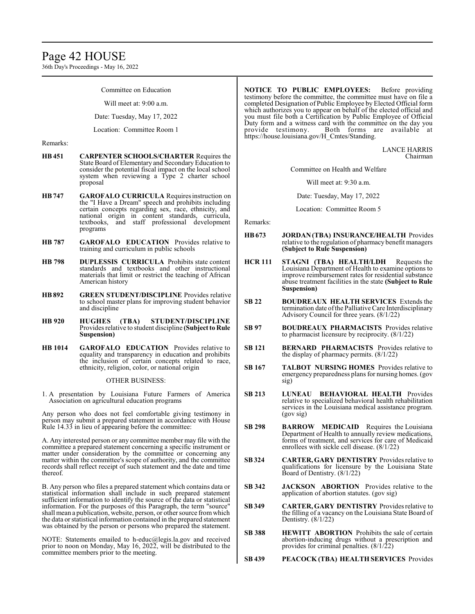36th Day's Proceedings - May 16, 2022

Committee on Education

Will meet at: 9:00 a.m.

Date: Tuesday, May 17, 2022

Location: Committee Room 1

Remarks:

- **HB451 CARPENTER SCHOOLS/CHARTER** Requires the State Board of Elementary and Secondary Education to consider the potential fiscal impact on the local school system when reviewing a Type 2 charter school proposal
- **HB747 GAROFALO CURRICULA** Requiresinstruction on the "I Have a Dream" speech and prohibits including certain concepts regarding sex, race, ethnicity, and national origin in content standards, curricula, textbooks, and staff professional development programs
- **HB 787 GAROFALO EDUCATION** Provides relative to training and curriculum in public schools
- **HB 798 DUPLESSIS CURRICULA** Prohibits state content standards and textbooks and other instructional materials that limit or restrict the teaching of African American history
- **HB892 GREEN STUDENT/DISCIPLINE** Provides relative to school master plans for improving student behavior and discipline
- **HB 920 HUGHES (TBA) STUDENT/DISCIPLINE**  Provides relative to student discipline **(Subject to Rule Suspension)**
- **HB 1014 GAROFALO EDUCATION** Provides relative to equality and transparency in education and prohibits the inclusion of certain concepts related to race, ethnicity, religion, color, or national origin

#### OTHER BUSINESS:

1. A presentation by Louisiana Future Farmers of America Association on agricultural education programs

Any person who does not feel comfortable giving testimony in person may submit a prepared statement in accordance with House Rule 14.33 in lieu of appearing before the committee:

A. Any interested person or any committee member may file with the committee a prepared statement concerning a specific instrument or matter under consideration by the committee or concerning any matter within the committee's scope of authority, and the committee records shall reflect receipt of such statement and the date and time thereof.

B. Any person who files a prepared statement which contains data or statistical information shall include in such prepared statement sufficient information to identify the source of the data or statistical information. For the purposes of this Paragraph, the term "source" shall mean a publication, website, person, or other source from which the data or statistical information contained in the prepared statement was obtained by the person or persons who prepared the statement.

NOTE: Statements emailed to h-educ@legis.la.gov and received prior to noon on Monday, May 16, 2022, will be distributed to the committee members prior to the meeting.

**NOTICE TO PUBLIC EMPLOYEES:** Before providing testimony before the committee, the committee must have on file a completed Designation of Public Employee by Elected Official form which authorizes you to appear on behalf of the elected official and you must file both a Certification by Public Employee of Official Duty form and a witness card with the committee on the day you provide testimony. Both forms are available at https://house.louisiana.gov/H\_Cmtes/Standing.

> LANCE HARRIS Chairman

Committee on Health and Welfare

Will meet at: 9:30 a.m.

Date: Tuesday, May 17, 2022

Location: Committee Room 5

Remarks:

- **HB673 JORDAN (TBA) INSURANCE/HEALTH** Provides relative to the regulation of pharmacy benefit managers **(Subject to Rule Suspension)**
- **HCR 111 STAGNI (TBA) HEALTH/LDH** Requests the Louisiana Department of Health to examine options to improve reimbursement rates for residential substance abuse treatment facilities in the state **(Subject to Rule Suspension)**
- **SB 22 BOUDREAUX HEALTH SERVICES** Extends the termination date ofthe Palliative Care Interdisciplinary Advisory Council for three years. (8/1/22)
- **SB 97 BOUDREAUX PHARMACISTS** Provides relative to pharmacist licensure by reciprocity. (8/1/22)
- **SB 121 BERNARD PHARMACISTS** Provides relative to the display of pharmacy permits. (8/1/22)
- **SB 167 TALBOT NURSING HOMES** Provides relative to emergency preparedness plans for nursing homes. (gov sig)
- **SB 213 LUNEAU BEHAVIORAL HEALTH** Provides relative to specialized behavioral health rehabilitation services in the Louisiana medical assistance program. (gov sig)
- **SB 298 BARROW MEDICAID** Requires the Louisiana Department of Health to annually review medications, forms of treatment, and services for care of Medicaid enrollees with sickle cell disease. (8/1/22)
- **SB 324 CARTER, GARY DENTISTRY** Provides relative to qualifications for licensure by the Louisiana State Board of Dentistry. (8/1/22)
- **SB 342 JACKSON ABORTION** Provides relative to the application of abortion statutes. (gov sig)
- **SB 349 CARTER, GARY DENTISTRY** Provides relative to the filling of a vacancy on the Louisiana State Board of Dentistry. (8/1/22)
- **SB 388 HEWITT ABORTION** Prohibits the sale of certain abortion-inducing drugs without a prescription and provides for criminal penalties.  $(8/1/22)$
- **SB 439 PEACOCK (TBA) HEALTH SERVICES** Provides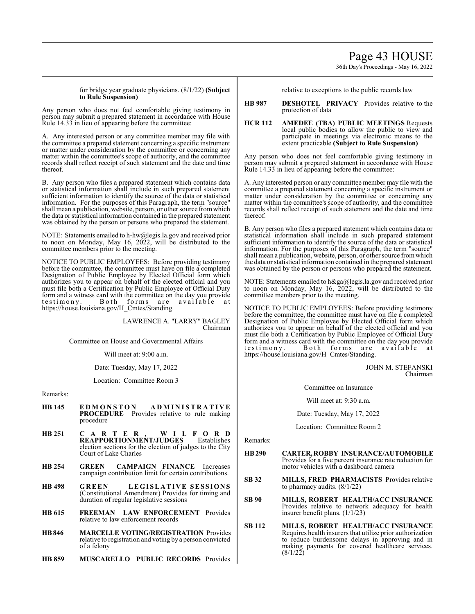# Page 43 HOUSE

36th Day's Proceedings - May 16, 2022

for bridge year graduate physicians. (8/1/22) **(Subject to Rule Suspension)**

Any person who does not feel comfortable giving testimony in person may submit a prepared statement in accordance with House Rule 14.33 in lieu of appearing before the committee:

A. Any interested person or any committee member may file with the committee a prepared statement concerning a specific instrument or matter under consideration by the committee or concerning any matter within the committee's scope of authority, and the committee records shall reflect receipt of such statement and the date and time thereof.

B. Any person who files a prepared statement which contains data or statistical information shall include in such prepared statement sufficient information to identify the source of the data or statistical information. For the purposes of this Paragraph, the term "source" shall mean a publication, website, person, or other source fromwhich the data or statistical information contained in the prepared statement was obtained by the person or persons who prepared the statement.

NOTE: Statements emailed to h-hw@legis.la.gov and received prior to noon on Monday, May 16, 2022, will be distributed to the committee members prior to the meeting.

NOTICE TO PUBLIC EMPLOYEES: Before providing testimony before the committee, the committee must have on file a completed Designation of Public Employee by Elected Official form which authorizes you to appear on behalf of the elected official and you must file both a Certification by Public Employee of Official Duty form and a witness card with the committee on the day you provide testimony. Both forms are available at https://house.louisiana.gov/H\_Cmtes/Standing.

> LAWRENCE A. "LARRY" BAGLEY Chairman

Committee on House and Governmental Affairs

Will meet at: 9:00 a.m.

Date: Tuesday, May 17, 2022

Location: Committee Room 3

Remarks:

- **HB 145 E D M O N S T O N A D M I N I S T R A T I V E PROCEDURE** Provides relative to rule making procedure
- **HB 251 C A R T E R , W I L F O R D REAPPORTIONMENT/JUDGES** election sections for the election of judges to the City Court of Lake Charles
- **HB 254 GREEN CAMPAIGN FINANCE** Increases campaign contribution limit for certain contributions.
- **HB 498 GREEN LEGI SLATIVE SESSIONS**  (Constitutional Amendment) Provides for timing and duration of regular legislative sessions
- **HB 615 FREEMAN LAW ENFORCEMENT** Provides relative to law enforcement records
- **HB846 MARCELLE VOTING/REGISTRATION** Provides relative to registration and voting bya person convicted of a felony
- **HB 859 MUSCARELLO PUBLIC RECORDS** Provides

relative to exceptions to the public records law

**HB 987 DESHOTEL PRIVACY** Provides relative to the protection of data

#### **HCR 112 AMEDEE (TBA) PUBLIC MEETINGS** Requests local public bodies to allow the public to view and participate in meetings via electronic means to the extent practicable **(Subject to Rule Suspension)**

Any person who does not feel comfortable giving testimony in person may submit a prepared statement in accordance with House Rule 14.33 in lieu of appearing before the committee:

A. Any interested person or any committee member may file with the committee a prepared statement concerning a specific instrument or matter under consideration by the committee or concerning any matter within the committee's scope of authority, and the committee records shall reflect receipt of such statement and the date and time thereof.

B. Any person who files a prepared statement which contains data or statistical information shall include in such prepared statement sufficient information to identify the source of the data or statistical information. For the purposes of this Paragraph, the term "source" shall mean a publication, website, person, or other source fromwhich the data or statistical information contained in the prepared statement was obtained by the person or persons who prepared the statement.

NOTE: Statements emailed to h&ga@legis.la.gov and received prior to noon on Monday, May 16, 2022, will be distributed to the committee members prior to the meeting.

NOTICE TO PUBLIC EMPLOYEES: Before providing testimony before the committee, the committee must have on file a completed Designation of Public Employee by Elected Official form which authorizes you to appear on behalf of the elected official and you must file both a Certification by Public Employee of Official Duty form and a witness card with the committee on the day you provide testimony. Both forms are available at https://house.louisiana.gov/H\_Cmtes/Standing.

> JOHN M. STEFANSKI Chairman

Committee on Insurance

Will meet at: 9:30 a.m.

Date: Tuesday, May 17, 2022

Location: Committee Room 2

Remarks:

- **HB290 CARTER,ROBBY INSURANCE/AUTOMOBILE** Provides for a five percent insurance rate reduction for motor vehicles with a dashboard camera
- **SB 32 MILLS, FRED PHARMACISTS** Provides relative to pharmacy audits. (8/1/22)
- **SB 90 MILLS, ROBERT HEALTH/ACC INSURANCE**  Provides relative to network adequacy for health insurer benefit plans. (1/1/23)
- **SB 112 MILLS, ROBERT HEALTH/ACC INSURANCE**  Requires health insurers that utilize prior authorization to reduce burdensome delays in approving and in making payments for covered healthcare services. (8/1/22)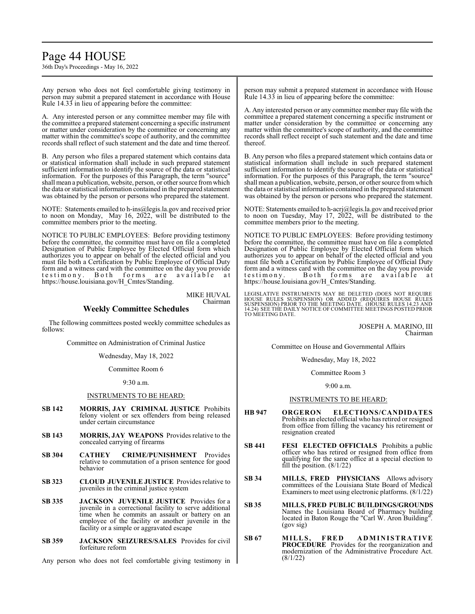# Page 44 HOUSE

36th Day's Proceedings - May 16, 2022

Any person who does not feel comfortable giving testimony in person may submit a prepared statement in accordance with House Rule 14.33 in lieu of appearing before the committee:

A. Any interested person or any committee member may file with the committee a prepared statement concerning a specific instrument or matter under consideration by the committee or concerning any matter within the committee's scope of authority, and the committee records shall reflect of such statement and the date and time thereof.

B. Any person who files a prepared statement which contains data or statistical information shall include in such prepared statement sufficient information to identify the source of the data or statistical information. For the purposes of this Paragraph, the term "source" shall mean a publication, website, person, or other source from which the data or statistical information contained in the prepared statement was obtained by the person or persons who prepared the statement.

NOTE: Statements emailed to h-ins@legis.la.gov and received prior to noon on Monday, May 16, 2022, will be distributed to the committee members prior to the meeting.

NOTICE TO PUBLIC EMPLOYEES: Before providing testimony before the committee, the committee must have on file a completed Designation of Public Employee by Elected Official form which authorizes you to appear on behalf of the elected official and you must file both a Certification by Public Employee of Official Duty form and a witness card with the committee on the day you provide testimony. Both forms are available at https://house.louisiana.gov/H\_Cmtes/Standing.

> MIKE HUVAL Chairman

## **Weekly Committee Schedules**

The following committees posted weekly committee schedules as follows:

Committee on Administration of Criminal Justice

Wednesday, May 18, 2022

Committee Room 6

9:30 a.m.

## INSTRUMENTS TO BE HEARD:

- **SB 142 MORRIS, JAY CRIMINAL JUSTICE** Prohibits felony violent or sex offenders from being released under certain circumstance
- **SB 143 MORRIS, JAY WEAPONS** Provides relative to the concealed carrying of firearms
- **SB 304 CATHEY CRIME/PUNISHMENT** Provides relative to commutation of a prison sentence for good behavior
- **SB 323 CLOUD JUVENILE JUSTICE** Provides relative to juveniles in the criminal justice system
- **SB 335 JACKSON JUVENILE JUSTICE** Provides for a juvenile in a correctional facility to serve additional time when he commits an assault or battery on an employee of the facility or another juvenile in the facility or a simple or aggravated escape
- **SB 359 JACKSON SEIZURES/SALES** Provides for civil forfeiture reform

Any person who does not feel comfortable giving testimony in

person may submit a prepared statement in accordance with House Rule 14.33 in lieu of appearing before the committee:

A. Any interested person or any committee member may file with the committee a prepared statement concerning a specific instrument or matter under consideration by the committee or concerning any matter within the committee's scope of authority, and the committee records shall reflect receipt of such statement and the date and time thereof.

B. Any person who files a prepared statement which contains data or statistical information shall include in such prepared statement sufficient information to identify the source of the data or statistical information. For the purposes of this Paragraph, the term "source" shall mean a publication, website, person, or other source fromwhich the data or statistical information contained in the prepared statement was obtained by the person or persons who prepared the statement.

NOTE: Statements emailed to h-acrj@legis.la.gov and received prior to noon on Tuesday, May 17, 2022, will be distributed to the committee members prior to the meeting.

NOTICE TO PUBLIC EMPLOYEES: Before providing testimony before the committee, the committee must have on file a completed Designation of Public Employee by Elected Official form which authorizes you to appear on behalf of the elected official and you must file both a Certification by Public Employee of Official Duty form and a witness card with the committee on the day you provide testimony. Both forms are available at https://house.louisiana.gov/H\_Cmtes/Standing.

LEGISLATIVE INSTRUMENTS MAY BE DELETED (DOES NOT REQUIRE<br>HOUSE RULES SUSPENSION) OR ADDED (REQUIRES HOUSE RULES<br>SUSPENSION) PRIOR TO THE MEETING DATE. (HOUSE RULES 14.23 AND<br>14.24) SEE THE DAILY NOTICE OF COMMITTEE MEETING TO MEETING DATE.

> JOSEPH A. MARINO, III Chairman

Committee on House and Governmental Affairs

Wednesday, May 18, 2022

Committee Room 3

9:00 a.m.

#### INSTRUMENTS TO BE HEARD:

- **HB 947 ORGERON ELECTIONS/CANDIDATES** Prohibits an elected official who has retired or resigned from office from filling the vacancy his retirement or resignation created
- **SB 441 FESI ELECTED OFFICIALS** Prohibits a public officer who has retired or resigned from office from qualifying for the same office at a special election to fill the position.  $(8/1/22)$
- **SB 34 MILLS, FRED PHYSICIANS** Allows advisory committees of the Louisiana State Board of Medical Examiners to meet using electronic platforms. (8/1/22)
- **SB 35 MILLS, FRED PUBLIC BUILDINGS/GROUNDS** Names the Louisiana Board of Pharmacy building located in Baton Rouge the "Carl W. Aron Building". (gov sig)
- **SB 67 MILLS, FRE D A DM IN I STRATIVE PROCEDURE** Provides for the reorganization and modernization of the Administrative Procedure Act. (8/1/22)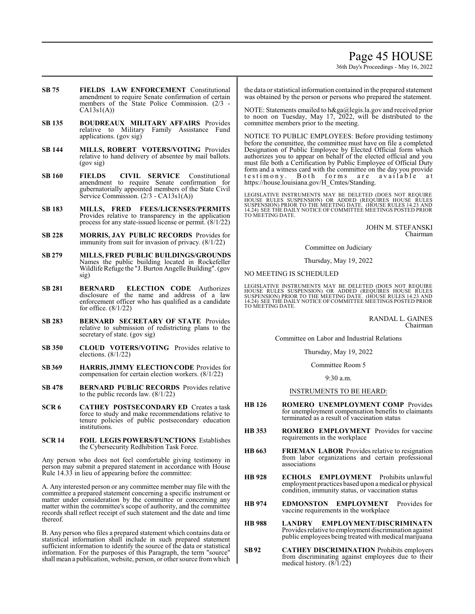# Page 45 HOUSE

36th Day's Proceedings - May 16, 2022

- **SB 75 FIELDS LAW ENFORCEMENT** Constitutional amendment to require Senate confirmation of certain members of the State Police Commission. (2/3 -  $CA13s1(A)$
- **SB 135 BOUDREAUX MILITARY AFFAIRS** Provides relative to Military Family Assistance Fund applications. (gov sig)
- **SB 144 MILLS, ROBERT VOTERS/VOTING** Provides relative to hand delivery of absentee by mail ballots. (gov sig)
- **SB 160 FIELDS CIVIL SERVICE** Constitutional amendment to require Senate confirmation for gubernatorially appointed members of the State Civil Service Commission. (2/3 - CA13s1(A))
- **SB 183 MILLS, FRED FEES/LICENSES/PERMITS** Provides relative to transparency in the application process for any state-issued license or permit. (8/1/22)
- **SB 228 MORRIS, JAY PUBLIC RECORDS** Provides for immunity from suit for invasion of privacy. (8/1/22)
- **SB 279 MILLS, FRED PUBLIC BUILDINGS/GROUNDS** Names the public building located in Rockefeller Wildlife Refuge the "J. Burton Angelle Building". (gov sig)
- **SB 281 BERNARD ELECTION CODE** Authorizes disclosure of the name and address of a law enforcement officer who has qualified as a candidate for office. (8/1/22)
- **SB 283 BERNARD SECRETARY OF STATE** Provides relative to submission of redistricting plans to the secretary of state. (gov sig)
- **SB 350 CLOUD VOTERS/VOTING** Provides relative to elections. (8/1/22)
- **SB 369 HARRIS, JIMMY ELECTION CODE** Provides for compensation for certain election workers. (8/1/22)
- **SB 478 BERNARD PUBLIC RECORDS** Provides relative to the public records law. (8/1/22)
- **SCR 6 CATHEY POSTSECONDARY ED** Creates a task force to study and make recommendations relative to tenure policies of public postsecondary education institutions.
- **SCR 14 FOIL LEGIS POWERS/FUNCTIONS** Establishes the Cybersecurity Redhibition Task Force.

Any person who does not feel comfortable giving testimony in person may submit a prepared statement in accordance with House Rule 14.33 in lieu of appearing before the committee:

A. Any interested person or any committee member may file with the committee a prepared statement concerning a specific instrument or matter under consideration by the committee or concerning any matter within the committee's scope of authority, and the committee records shall reflect receipt of such statement and the date and time thereof.

B. Any person who files a prepared statement which contains data or statistical information shall include in such prepared statement sufficient information to identify the source of the data or statistical information. For the purposes of this Paragraph, the term "source" shall mean a publication, website, person, or other source fromwhich the data or statistical information contained in the prepared statement was obtained by the person or persons who prepared the statement.

NOTE: Statements emailed to h&ga@legis.la.gov and received prior to noon on Tuesday, May 17, 2022, will be distributed to the committee members prior to the meeting.

NOTICE TO PUBLIC EMPLOYEES: Before providing testimony before the committee, the committee must have on file a completed Designation of Public Employee by Elected Official form which authorizes you to appear on behalf of the elected official and you must file both a Certification by Public Employee of Official Duty form and a witness card with the committee on the day you provide testimony. Both forms are available at https://house.louisiana.gov/H\_Cmtes/Standing.

LEGISLATIVE INSTRUMENTS MAY BE DELETED (DOES NOT REQUIRE<br>HOUSE RULES SUSPENSION) OR ADDED (REQUIRES HOUSE RULES<br>SUSPENSION) PRIOR TO THE MEETING DATE. (HOUSE RULES 14.23 AND<br>14.24) SEE THE DAILY NOTICE OF COMMITTEE MEETING TO MEETING DATE.

> JOHN M. STEFANSKI Chairman

#### Committee on Judiciary

Thursday, May 19, 2022

NO MEETING IS SCHEDULED

LEGISLATIVE INSTRUMENTS MAY BE DELETED (DOES NOT REQUIRE<br>HOUSE RULES SUSPENSION) OR ADDED (REQUIRES HOUSE RULES<br>SUSPENSION) PRIOR TO THE MEETING DATE. (HOUSE RULES 14.23 AND<br>14.24) SEE THE DAILY NOTICE OF COMMITTEE MEETING TO MEETING DATE.

> RANDAL L. GAINES Chairman

Committee on Labor and Industrial Relations

Thursday, May 19, 2022

Committee Room 5

9:30 a.m.

## INSTRUMENTS TO BE HEARD:

- **HB 126 ROMERO UNEMPLOYMENT COMP** Provides for unemployment compensation benefits to claimants terminated as a result of vaccination status
- **HB 353 ROMERO EMPLOYMENT** Provides for vaccine requirements in the workplace
- **HB 663 FRIEMAN LABOR** Provides relative to resignation from labor organizations and certain professional associations
- **HB 928 ECHOLS EMPLOYMENT** Prohibits unlawful employment practices based upon a medical or physical condition, immunity status, or vaccination status
- **HB 974 EDMONSTON EMPLOYMENT** Provides for vaccine requirements in the workplace
- **HB 988 LANDRY EMPLOYMENT/DISCRIMINATN** Provides relative to employment discrimination against public employees being treated with medical marijuana
- **SB92 CATHEY DISCRIMINATION** Prohibits employers from discriminating against employees due to their medical history. (8/1/22)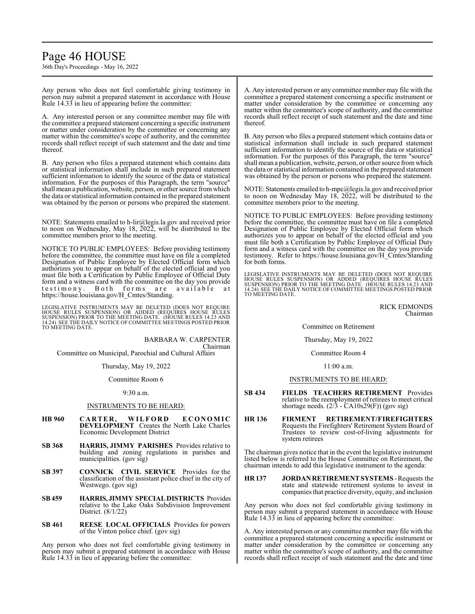# Page 46 HOUSE

36th Day's Proceedings - May 16, 2022

Any person who does not feel comfortable giving testimony in person may submit a prepared statement in accordance with House Rule 14.33 in lieu of appearing before the committee:

A. Any interested person or any committee member may file with the committee a prepared statement concerning a specific instrument or matter under consideration by the committee or concerning any matter within the committee's scope of authority, and the committee records shall reflect receipt of such statement and the date and time thereof.

B. Any person who files a prepared statement which contains data or statistical information shall include in such prepared statement sufficient information to identify the source of the data or statistical information. For the purposes of this Paragraph, the term "source" shall mean a publication, website, person, or other source fromwhich the data or statistical information contained in the prepared statement was obtained by the person or persons who prepared the statement.

NOTE: Statements emailed to h-lir@legis.la.gov and received prior to noon on Wednesday, May 18, 2022, will be distributed to the committee members prior to the meeting.

NOTICE TO PUBLIC EMPLOYEES: Before providing testimony before the committee, the committee must have on file a completed Designation of Public Employee by Elected Official form which authorizes you to appear on behalf of the elected official and you must file both a Certification by Public Employee of Official Duty form and a witness card with the committee on the day you provide testimony. Both forms are available at https://house.louisiana.gov/H\_Cmtes/Standing.

LEGISLATIVE INSTRUMENTS MAY BE DELETED (DOES NOT REQUIRE<br>HOUSE RULES SUSPENSION) OR ADDED (REQUIRES HOUSE RULES<br>SUSPENSION) PRIOR TO THE MEETING DATE. (HOUSE RULES 14.23 AND 14.24) SEE THE DAILY NOTICE OF COMMITTEE MEETINGS POSTED PRIOR TO MEETING DATE.

BARBARA W. CARPENTER Chairman Committee on Municipal, Parochial and Cultural Affairs

Thursday, May 19, 2022

Committee Room 6

9:30 a.m.

#### INSTRUMENTS TO BE HEARD:

- **HB 960 C AR TE R , WILF OR D E C ON OM IC DEVELOPMENT** Creates the North Lake Charles Economic Development District
- **SB 368 HARRIS, JIMMY PARISHES** Provides relative to building and zoning regulations in parishes and municipalities. (gov sig)
- **SB 397 CONNICK CIVIL SERVICE** Provides for the classification of the assistant police chief in the city of Westwego. (gov sig)
- **SB459 HARRIS, JIMMY SPECIAL DISTRICTS** Provides relative to the Lake Oaks Subdivision Improvement District. (8/1/22)
- **SB 461 REESE LOCAL OFFICIALS** Provides for powers of the Vinton police chief. (gov sig)

Any person who does not feel comfortable giving testimony in person may submit a prepared statement in accordance with House Rule 14.33 in lieu of appearing before the committee:

A. Any interested person or any committee member may file with the committee a prepared statement concerning a specific instrument or matter under consideration by the committee or concerning any matter within the committee's scope of authority, and the committee records shall reflect receipt of such statement and the date and time thereof.

B. Any person who files a prepared statement which contains data or statistical information shall include in such prepared statement sufficient information to identify the source of the data or statistical information. For the purposes of this Paragraph, the term "source" shall mean a publication, website, person, or other source fromwhich the data or statistical information contained in the prepared statement was obtained by the person or persons who prepared the statement.

NOTE: Statements emailed to h-mpc@legis.la.gov and received prior to noon on Wednesday May 18, 2022, will be distributed to the committee members prior to the meeting.

NOTICE TO PUBLIC EMPLOYEES: Before providing testimony before the committee, the committee must have on file a completed Designation of Public Employee by Elected Official form which authorizes you to appear on behalf of the elected official and you must file both a Certification by Public Employee of Official Duty form and a witness card with the committee on the day you provide testimony. Refer to https://house.louisiana.gov/H\_Cmtes/Standing for both forms.

LEGISLATIVE INSTRUMENTS MAY BE DELETED (DOES NOT REQUIRE HOUSE RULES SUSPENSION) OR ADDED (REQUIRES HOUSE RULES<br>SUSPENSION) PRIOR TO THE MEETING DATE. (HOUSE RULES 14.23 AND<br>14.24) SEE THE DAILY NOTICE OFCOMMITTEE MEETINGS POSTED PRIOR<br>TO MEETING DATE.

> RICK EDMONDS Chairman

Committee on Retirement

Thursday, May 19, 2022

Committee Room 4

11:00 a.m.

# INSTRUMENTS TO BE HEARD:

- **SB 434 FIELDS TEACHERS RETIREMENT** Provides relative to the reemployment of retirees to meet critical shortage needs. (2/3 - CA10s29(F)) (gov sig)
- **HR 136 FIRMENT RETIREMENT/FIREFIGHTERS** Requests the Firefighters' Retirement System Board of Trustees to review cost-of-living adjustments for system retirees

The chairman gives notice that in the event the legislative instrument listed below is referred to the House Committee on Retirement, the chairman intends to add this legislative instrument to the agenda:

**HR 137 JORDAN RETIREMENT SYSTEMS** - Requests the state and statewide retirement systems to invest in companies that practice diversity, equity, and inclusion

Any person who does not feel comfortable giving testimony in person may submit a prepared statement in accordance with House Rule 14.33 in lieu of appearing before the committee:

A. Any interested person or any committee member may file with the committee a prepared statement concerning a specific instrument or matter under consideration by the committee or concerning any matter within the committee's scope of authority, and the committee records shall reflect receipt of such statement and the date and time